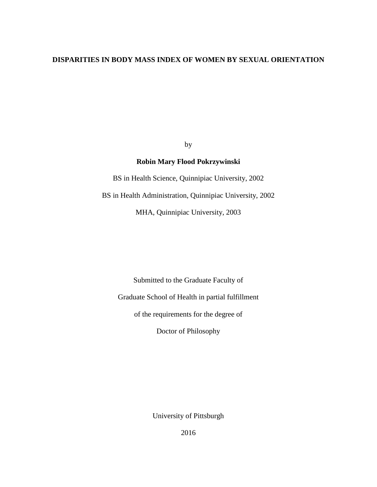# **DISPARITIES IN BODY MASS INDEX OF WOMEN BY SEXUAL ORIENTATION**

by

# **Robin Mary Flood Pokrzywinski**

BS in Health Science, Quinnipiac University, 2002

BS in Health Administration, Quinnipiac University, 2002

MHA, Quinnipiac University, 2003

Submitted to the Graduate Faculty of Graduate School of Health in partial fulfillment

of the requirements for the degree of

Doctor of Philosophy

University of Pittsburgh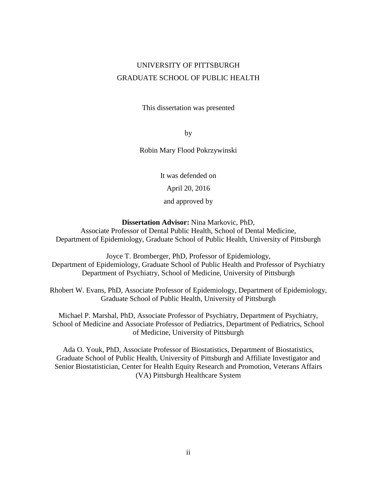# UNIVERSITY OF PITTSBURGH GRADUATE SCHOOL OF PUBLIC HEALTH

This dissertation was presented

by

Robin Mary Flood Pokrzywinski

It was defended on

April 20, 2016

and approved by

**Dissertation Advisor:** Nina Markovic, PhD,

Associate Professor of Dental Public Health, School of Dental Medicine, Department of Epidemiology, Graduate School of Public Health, University of Pittsburgh

Joyce T. Bromberger, PhD, Professor of Epidemiology, Department of Epidemiology, Graduate School of Public Health and Professor of Psychiatry Department of Psychiatry, School of Medicine, University of Pittsburgh

Rhobert W. Evans, PhD, Associate Professor of Epidemiology, Department of Epidemiology, Graduate School of Public Health, University of Pittsburgh

Michael P. Marshal, PhD, Associate Professor of Psychiatry, Department of Psychiatry, School of Medicine and Associate Professor of Pediatrics, Department of Pediatrics, School of Medicine, University of Pittsburgh

Ada O. Youk, PhD, Associate Professor of Biostatistics, Department of Biostatistics, Graduate School of Public Health, University of Pittsburgh and Affiliate Investigator and Senior Biostatistician, Center for Health Equity Research and Promotion, Veterans Affairs (VA) Pittsburgh Healthcare System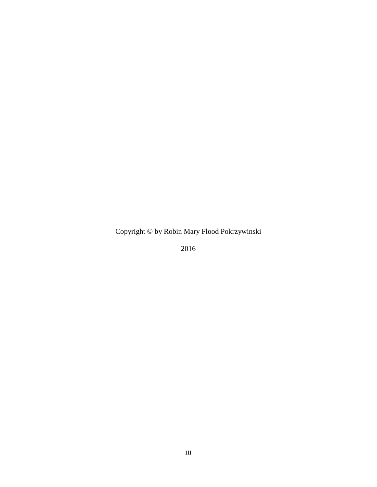Copyright © by Robin Mary Flood Pokrzywinski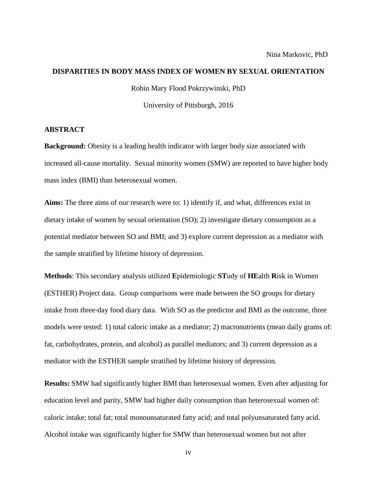## **DISPARITIES IN BODY MASS INDEX OF WOMEN BY SEXUAL ORIENTATION**

Robin Mary Flood Pokrzywinski, PhD

University of Pittsburgh, 2016

# **ABSTRACT**

**Background:** Obesity is a leading health indicator with larger body size associated with increased all-cause mortality. Sexual minority women (SMW) are reported to have higher body mass index (BMI) than heterosexual women.

**Aims:** The three aims of our research were to: 1) identify if, and what, differences exist in dietary intake of women by sexual orientation (SO); 2) investigate dietary consumption as a potential mediator between SO and BMI; and 3) explore current depression as a mediator with the sample stratified by lifetime history of depression.

**Methods**: This secondary analysis utilized **E**pidemiologic **ST**udy of **HE**alth **R**isk in Women (ESTHER) Project data. Group comparisons were made between the SO groups for dietary intake from three-day food diary data. With SO as the predictor and BMI as the outcome, three models were tested: 1) total caloric intake as a mediator; 2) macronutrients (mean daily grams of: fat, carbohydrates, protein, and alcohol) as parallel mediators; and 3) current depression as a mediator with the ESTHER sample stratified by lifetime history of depression.

**Results:** SMW had significantly higher BMI than heterosexual women. Even after adjusting for education level and parity, SMW had higher daily consumption than heterosexual women of: caloric intake; total fat; total monounsaturated fatty acid; and total polyunsaturated fatty acid. Alcohol intake was significantly higher for SMW than heterosexual women but not after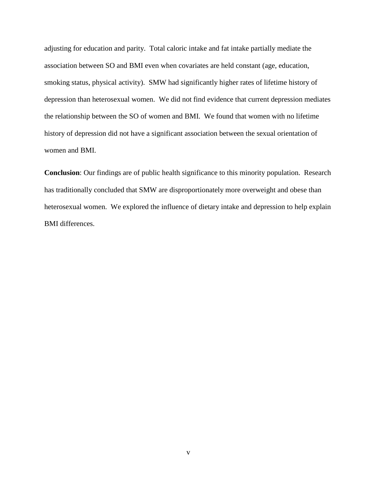adjusting for education and parity. Total caloric intake and fat intake partially mediate the association between SO and BMI even when covariates are held constant (age, education, smoking status, physical activity). SMW had significantly higher rates of lifetime history of depression than heterosexual women. We did not find evidence that current depression mediates the relationship between the SO of women and BMI. We found that women with no lifetime history of depression did not have a significant association between the sexual orientation of women and BMI.

**Conclusion**: Our findings are of public health significance to this minority population. Research has traditionally concluded that SMW are disproportionately more overweight and obese than heterosexual women. We explored the influence of dietary intake and depression to help explain BMI differences.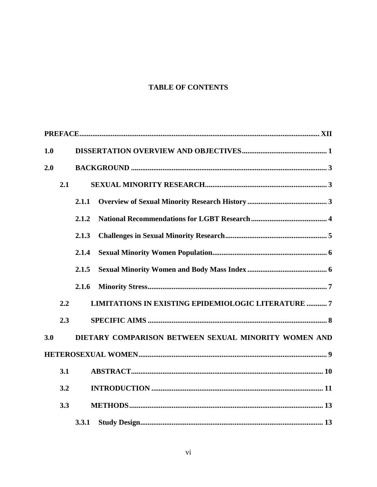# **TABLE OF CONTENTS**

| 1.0 |     |       |                                                            |
|-----|-----|-------|------------------------------------------------------------|
| 2.0 |     |       |                                                            |
|     | 2.1 |       |                                                            |
|     |     | 2.1.1 |                                                            |
|     |     | 2.1.2 |                                                            |
|     |     | 2.1.3 |                                                            |
|     |     | 2.1.4 |                                                            |
|     |     | 2.1.5 |                                                            |
|     |     | 2.1.6 |                                                            |
|     | 2.2 |       | <b>LIMITATIONS IN EXISTING EPIDEMIOLOGIC LITERATURE  7</b> |
|     | 2.3 |       |                                                            |
| 3.0 |     |       | DIETARY COMPARISON BETWEEN SEXUAL MINORITY WOMEN AND       |
|     |     |       |                                                            |
|     | 3.1 |       |                                                            |
|     | 3.2 |       |                                                            |
|     | 3.3 |       |                                                            |
|     |     | 3.3.1 |                                                            |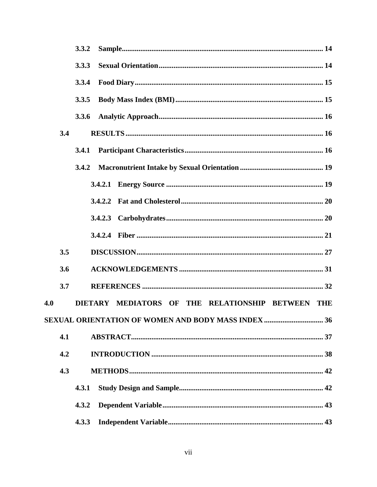|     |     | 3.3.2                                             |  |
|-----|-----|---------------------------------------------------|--|
|     |     | 3.3.3                                             |  |
|     |     | 3.3.4                                             |  |
|     |     | 3.3.5                                             |  |
|     |     | 3.3.6                                             |  |
|     | 3.4 |                                                   |  |
|     |     | 3.4.1                                             |  |
|     |     | 3.4.2                                             |  |
|     |     | 3.4.2.1                                           |  |
|     |     |                                                   |  |
|     |     |                                                   |  |
|     |     |                                                   |  |
|     | 3.5 |                                                   |  |
|     | 3.6 |                                                   |  |
|     | 3.7 |                                                   |  |
| 4.0 |     | DIETARY MEDIATORS OF THE RELATIONSHIP BETWEEN THE |  |
|     |     |                                                   |  |
|     | 4.1 |                                                   |  |
|     | 4.2 |                                                   |  |
|     | 4.3 |                                                   |  |
|     |     | 4.3.1                                             |  |
|     |     | 4.3.2                                             |  |
|     |     | 4.3.3                                             |  |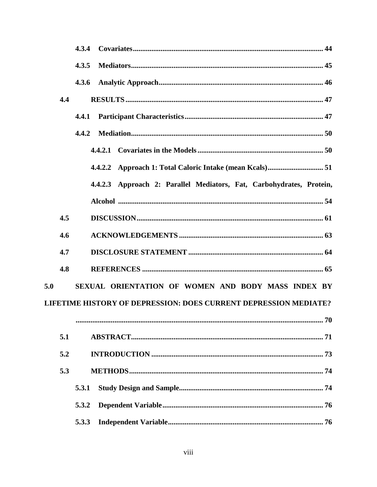|     | 4.3.4                                                                   |
|-----|-------------------------------------------------------------------------|
|     | 4.3.5                                                                   |
|     | 4.3.6                                                                   |
| 4.4 |                                                                         |
|     | 4.4.1                                                                   |
|     | 4.4.2                                                                   |
|     |                                                                         |
|     |                                                                         |
|     | 4.4.2.3 Approach 2: Parallel Mediators, Fat, Carbohydrates, Protein,    |
|     |                                                                         |
| 4.5 |                                                                         |
| 4.6 |                                                                         |
| 4.7 |                                                                         |
| 4.8 |                                                                         |
| 5.0 | SEXUAL ORIENTATION OF WOMEN AND BODY MASS INDEX BY                      |
|     | <b>LIFETIME HISTORY OF DEPRESSION: DOES CURRENT DEPRESSION MEDIATE?</b> |
|     |                                                                         |
| 5.1 |                                                                         |
| 5.2 |                                                                         |
| 5.3 |                                                                         |
|     | 5.3.1                                                                   |
|     | 5.3.2                                                                   |
|     | 5.3.3                                                                   |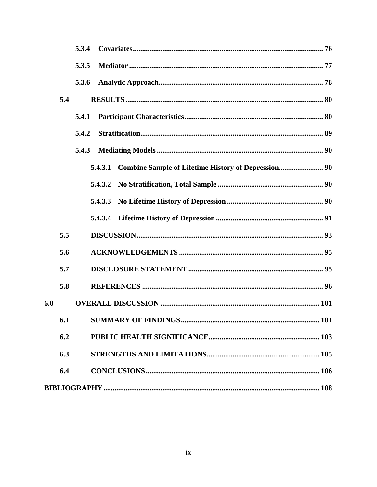|     |     | 5.3.4   |  |
|-----|-----|---------|--|
|     |     | 5.3.5   |  |
|     |     | 5.3.6   |  |
|     | 5.4 |         |  |
|     |     | 5.4.1   |  |
|     |     | 5.4.2   |  |
|     |     | 5.4.3   |  |
|     |     | 5.4.3.1 |  |
|     |     | 5.4.3.2 |  |
|     |     |         |  |
|     |     |         |  |
|     | 5.5 |         |  |
|     | 5.6 |         |  |
|     | 5.7 |         |  |
|     | 5.8 |         |  |
| 6.0 |     |         |  |
|     | 6.1 | 101     |  |
|     | 6.2 |         |  |
|     | 6.3 |         |  |
|     | 6.4 |         |  |
|     |     |         |  |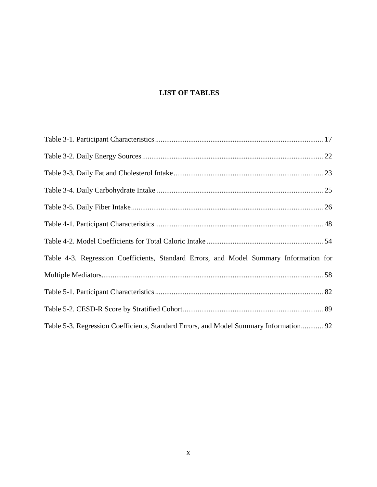# **LIST OF TABLES**

| Table 4-3. Regression Coefficients, Standard Errors, and Model Summary Information for |
|----------------------------------------------------------------------------------------|
|                                                                                        |
|                                                                                        |
|                                                                                        |
| Table 5-3. Regression Coefficients, Standard Errors, and Model Summary Information 92  |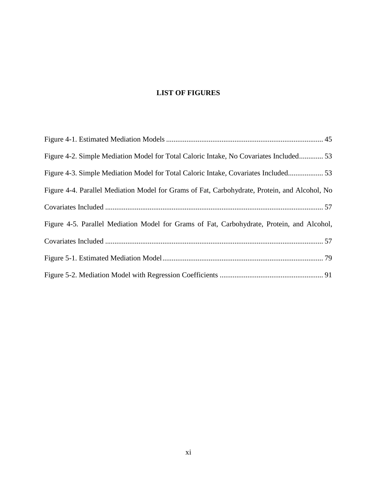# **LIST OF FIGURES**

| Figure 4-2. Simple Mediation Model for Total Caloric Intake, No Covariates Included 53        |
|-----------------------------------------------------------------------------------------------|
| Figure 4-3. Simple Mediation Model for Total Caloric Intake, Covariates Included 53           |
| Figure 4-4. Parallel Mediation Model for Grams of Fat, Carbohydrate, Protein, and Alcohol, No |
|                                                                                               |
| Figure 4-5. Parallel Mediation Model for Grams of Fat, Carbohydrate, Protein, and Alcohol,    |
|                                                                                               |
|                                                                                               |
|                                                                                               |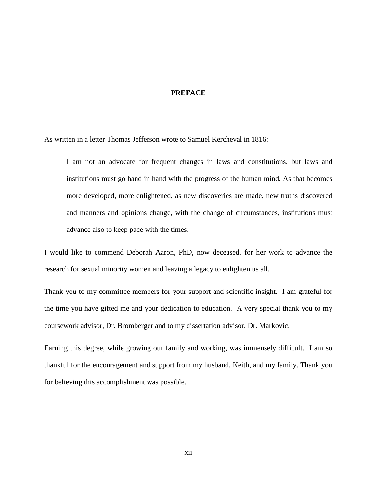# **PREFACE**

<span id="page-11-0"></span>As written in a letter Thomas Jefferson wrote to Samuel Kercheval in 1816:

I am not an advocate for frequent changes in laws and constitutions, but laws and institutions must go hand in hand with the progress of the human mind. As that becomes more developed, more enlightened, as new discoveries are made, new truths discovered and manners and opinions change, with the change of circumstances, institutions must advance also to keep pace with the times.

I would like to commend Deborah Aaron, PhD, now deceased, for her work to advance the research for sexual minority women and leaving a legacy to enlighten us all.

Thank you to my committee members for your support and scientific insight. I am grateful for the time you have gifted me and your dedication to education. A very special thank you to my coursework advisor, Dr. Bromberger and to my dissertation advisor, Dr. Markovic.

Earning this degree, while growing our family and working, was immensely difficult. I am so thankful for the encouragement and support from my husband, Keith, and my family. Thank you for believing this accomplishment was possible.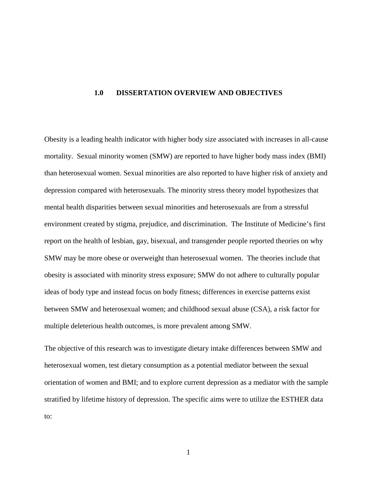# <span id="page-12-0"></span>**1.0 DISSERTATION OVERVIEW AND OBJECTIVES**

Obesity is a leading health indicator with higher body size associated with increases in all-cause mortality. Sexual minority women (SMW) are reported to have higher body mass index (BMI) than heterosexual women. Sexual minorities are also reported to have higher risk of anxiety and depression compared with heterosexuals. The minority stress theory model hypothesizes that mental health disparities between sexual minorities and heterosexuals are from a stressful environment created by stigma, prejudice, and discrimination. The Institute of Medicine's first report on the health of lesbian, gay, bisexual, and transgender people reported theories on why SMW may be more obese or overweight than heterosexual women. The theories include that obesity is associated with minority stress exposure; SMW do not adhere to culturally popular ideas of body type and instead focus on body fitness; differences in exercise patterns exist between SMW and heterosexual women; and childhood sexual abuse (CSA), a risk factor for multiple deleterious health outcomes, is more prevalent among SMW.

The objective of this research was to investigate dietary intake differences between SMW and heterosexual women, test dietary consumption as a potential mediator between the sexual orientation of women and BMI; and to explore current depression as a mediator with the sample stratified by lifetime history of depression. The specific aims were to utilize the ESTHER data to: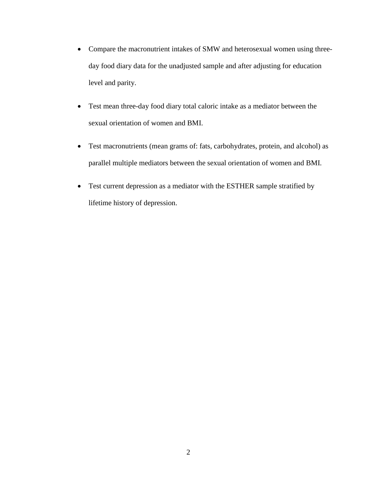- Compare the macronutrient intakes of SMW and heterosexual women using threeday food diary data for the unadjusted sample and after adjusting for education level and parity.
- Test mean three-day food diary total caloric intake as a mediator between the sexual orientation of women and BMI.
- Test macronutrients (mean grams of: fats, carbohydrates, protein, and alcohol) as parallel multiple mediators between the sexual orientation of women and BMI.
- Test current depression as a mediator with the ESTHER sample stratified by lifetime history of depression.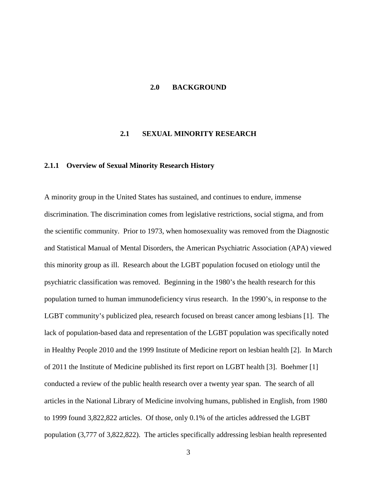#### <span id="page-14-0"></span>**2.0 BACKGROUND**

## **2.1 SEXUAL MINORITY RESEARCH**

# <span id="page-14-2"></span><span id="page-14-1"></span>**2.1.1 Overview of Sexual Minority Research History**

A minority group in the United States has sustained, and continues to endure, immense discrimination. The discrimination comes from legislative restrictions, social stigma, and from the scientific community. Prior to 1973, when homosexuality was removed from the Diagnostic and Statistical Manual of Mental Disorders, the American Psychiatric Association (APA) viewed this minority group as ill. Research about the LGBT population focused on etiology until the psychiatric classification was removed. Beginning in the 1980's the health research for this population turned to human immunodeficiency virus research. In the 1990's, in response to the LGBT community's publicized plea, research focused on breast cancer among lesbians [1]. The lack of population-based data and representation of the LGBT population was specifically noted in Healthy People 2010 and the 1999 Institute of Medicine report on lesbian health [2]. In March of 2011 the Institute of Medicine published its first report on LGBT health [3]. Boehmer [1] conducted a review of the public health research over a twenty year span. The search of all articles in the National Library of Medicine involving humans, published in English, from 1980 to 1999 found 3,822,822 articles. Of those, only 0.1% of the articles addressed the LGBT population (3,777 of 3,822,822). The articles specifically addressing lesbian health represented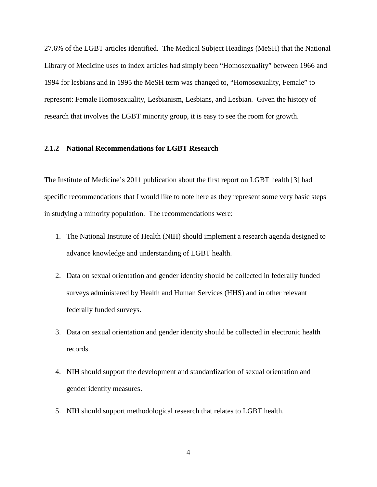27.6% of the LGBT articles identified. The Medical Subject Headings (MeSH) that the National Library of Medicine uses to index articles had simply been "Homosexuality" between 1966 and 1994 for lesbians and in 1995 the MeSH term was changed to, "Homosexuality, Female" to represent: Female Homosexuality, Lesbianism, Lesbians, and Lesbian. Given the history of research that involves the LGBT minority group, it is easy to see the room for growth.

# <span id="page-15-0"></span>**2.1.2 National Recommendations for LGBT Research**

The Institute of Medicine's 2011 publication about the first report on LGBT health [3] had specific recommendations that I would like to note here as they represent some very basic steps in studying a minority population. The recommendations were:

- 1. The National Institute of Health (NIH) should implement a research agenda designed to advance knowledge and understanding of LGBT health.
- 2. Data on sexual orientation and gender identity should be collected in federally funded surveys administered by Health and Human Services (HHS) and in other relevant federally funded surveys.
- 3. Data on sexual orientation and gender identity should be collected in electronic health records.
- 4. NIH should support the development and standardization of sexual orientation and gender identity measures.
- 5. NIH should support methodological research that relates to LGBT health.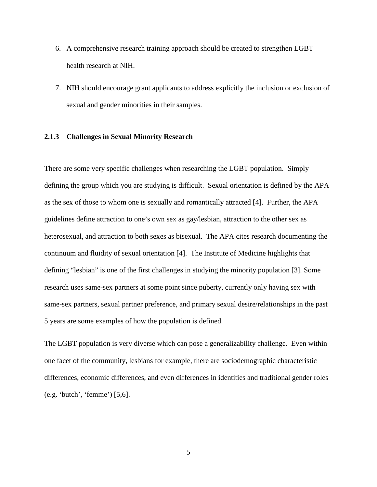- 6. A comprehensive research training approach should be created to strengthen LGBT health research at NIH.
- 7. NIH should encourage grant applicants to address explicitly the inclusion or exclusion of sexual and gender minorities in their samples.

# <span id="page-16-0"></span>**2.1.3 Challenges in Sexual Minority Research**

There are some very specific challenges when researching the LGBT population. Simply defining the group which you are studying is difficult. Sexual orientation is defined by the APA as the sex of those to whom one is sexually and romantically attracted [4]. Further, the APA guidelines define attraction to one's own sex as gay/lesbian, attraction to the other sex as heterosexual, and attraction to both sexes as bisexual. The APA cites research documenting the continuum and fluidity of sexual orientation [4]. The Institute of Medicine highlights that defining "lesbian" is one of the first challenges in studying the minority population [3]. Some research uses same-sex partners at some point since puberty, currently only having sex with same-sex partners, sexual partner preference, and primary sexual desire/relationships in the past 5 years are some examples of how the population is defined.

The LGBT population is very diverse which can pose a generalizability challenge. Even within one facet of the community, lesbians for example, there are sociodemographic characteristic differences, economic differences, and even differences in identities and traditional gender roles (e.g. 'butch', 'femme') [5,6].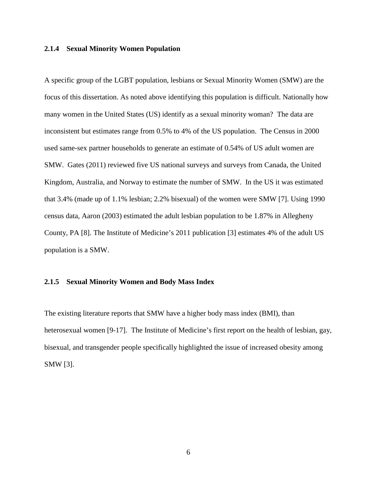## <span id="page-17-0"></span>**2.1.4 Sexual Minority Women Population**

A specific group of the LGBT population, lesbians or Sexual Minority Women (SMW) are the focus of this dissertation. As noted above identifying this population is difficult. Nationally how many women in the United States (US) identify as a sexual minority woman? The data are inconsistent but estimates range from 0.5% to 4% of the US population. The Census in 2000 used same-sex partner households to generate an estimate of 0.54% of US adult women are SMW. Gates (2011) reviewed five US national surveys and surveys from Canada, the United Kingdom, Australia, and Norway to estimate the number of SMW. In the US it was estimated that 3.4% (made up of 1.1% lesbian; 2.2% bisexual) of the women were SMW [7]. Using 1990 census data, Aaron (2003) estimated the adult lesbian population to be 1.87% in Allegheny County, PA [8]. The Institute of Medicine's 2011 publication [3] estimates 4% of the adult US population is a SMW.

### <span id="page-17-1"></span>**2.1.5 Sexual Minority Women and Body Mass Index**

The existing literature reports that SMW have a higher body mass index (BMI), than heterosexual women [9-17]. The Institute of Medicine's first report on the health of lesbian, gay, bisexual, and transgender people specifically highlighted the issue of increased obesity among SMW [3].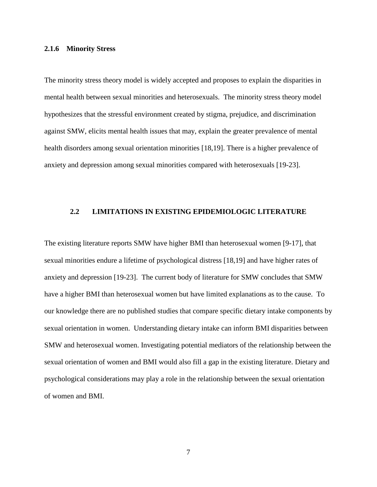# <span id="page-18-0"></span>**2.1.6 Minority Stress**

The minority stress theory model is widely accepted and proposes to explain the disparities in mental health between sexual minorities and heterosexuals. The minority stress theory model hypothesizes that the stressful environment created by stigma, prejudice, and discrimination against SMW, elicits mental health issues that may, explain the greater prevalence of mental health disorders among sexual orientation minorities [18,19]. There is a higher prevalence of anxiety and depression among sexual minorities compared with heterosexuals [19-23].

#### <span id="page-18-1"></span>**2.2 LIMITATIONS IN EXISTING EPIDEMIOLOGIC LITERATURE**

The existing literature reports SMW have higher BMI than heterosexual women [9-17], that sexual minorities endure a lifetime of psychological distress [18,19] and have higher rates of anxiety and depression [19-23]. The current body of literature for SMW concludes that SMW have a higher BMI than heterosexual women but have limited explanations as to the cause. To our knowledge there are no published studies that compare specific dietary intake components by sexual orientation in women. Understanding dietary intake can inform BMI disparities between SMW and heterosexual women. Investigating potential mediators of the relationship between the sexual orientation of women and BMI would also fill a gap in the existing literature. Dietary and psychological considerations may play a role in the relationship between the sexual orientation of women and BMI.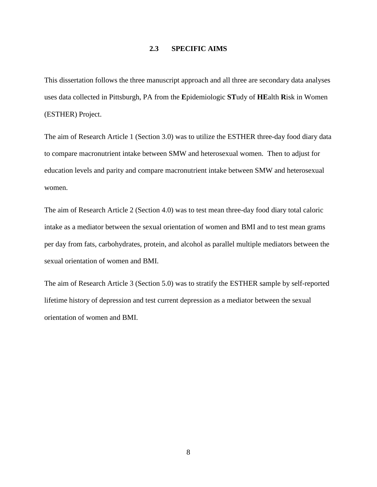# **2.3 SPECIFIC AIMS**

<span id="page-19-0"></span>This dissertation follows the three manuscript approach and all three are secondary data analyses uses data collected in Pittsburgh, PA from the **E**pidemiologic **ST**udy of **HE**alth **R**isk in Women (ESTHER) Project.

The aim of Research Article 1 (Section 3.0) was to utilize the ESTHER three-day food diary data to compare macronutrient intake between SMW and heterosexual women. Then to adjust for education levels and parity and compare macronutrient intake between SMW and heterosexual women.

The aim of Research Article 2 (Section 4.0) was to test mean three-day food diary total caloric intake as a mediator between the sexual orientation of women and BMI and to test mean grams per day from fats, carbohydrates, protein, and alcohol as parallel multiple mediators between the sexual orientation of women and BMI.

The aim of Research Article 3 (Section 5.0) was to stratify the ESTHER sample by self-reported lifetime history of depression and test current depression as a mediator between the sexual orientation of women and BMI.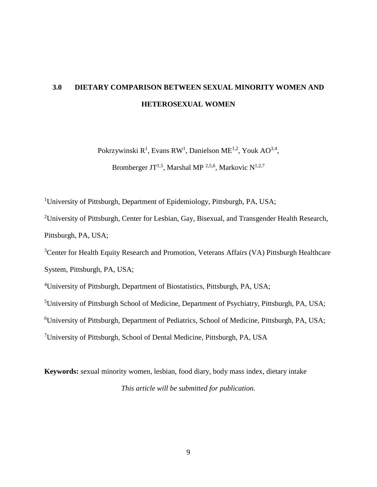# <span id="page-20-0"></span>**3.0 DIETARY COMPARISON BETWEEN SEXUAL MINORITY WOMEN AND HETEROSEXUAL WOMEN**

Pokrzywinski  $R^1$ , Evans RW<sup>1</sup>, Danielson ME<sup>1,2</sup>, Youk AO<sup>3,4</sup>,

Bromberger JT<sup>1,5</sup>, Marshal MP<sup>2,5,6</sup>, Markovic N<sup>1,2,7</sup>

<sup>1</sup>University of Pittsburgh, Department of Epidemiology, Pittsburgh, PA, USA;

<sup>2</sup>University of Pittsburgh, Center for Lesbian, Gay, Bisexual, and Transgender Health Research, Pittsburgh, PA, USA;

<sup>3</sup>Center for Health Equity Research and Promotion, Veterans Affairs (VA) Pittsburgh Healthcare

System, Pittsburgh, PA, USA;

4 University of Pittsburgh, Department of Biostatistics, Pittsburgh, PA, USA;

<sup>5</sup>University of Pittsburgh School of Medicine, Department of Psychiatry, Pittsburgh, PA, USA;

<sup>6</sup>University of Pittsburgh, Department of Pediatrics, School of Medicine, Pittsburgh, PA, USA;

<sup>7</sup>University of Pittsburgh, School of Dental Medicine, Pittsburgh, PA, USA

**Keywords:** sexual minority women, lesbian, food diary, body mass index, dietary intake *This article will be submitted for publication.*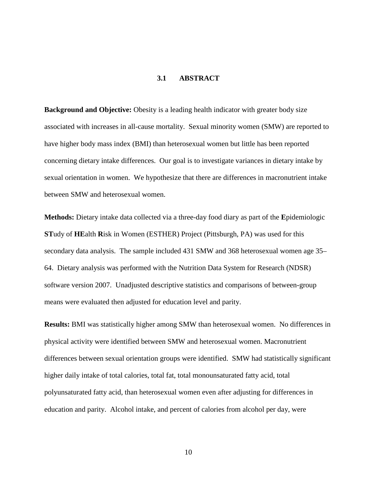# **3.1 ABSTRACT**

<span id="page-21-0"></span>**Background and Objective:** Obesity is a leading health indicator with greater body size associated with increases in all-cause mortality. Sexual minority women (SMW) are reported to have higher body mass index (BMI) than heterosexual women but little has been reported concerning dietary intake differences. Our goal is to investigate variances in dietary intake by sexual orientation in women. We hypothesize that there are differences in macronutrient intake between SMW and heterosexual women.

**Methods:** Dietary intake data collected via a three-day food diary as part of the **E**pidemiologic **ST**udy of **HE**alth **R**isk in Women (ESTHER) Project (Pittsburgh, PA) was used for this secondary data analysis. The sample included 431 SMW and 368 heterosexual women age 35– 64. Dietary analysis was performed with the Nutrition Data System for Research (NDSR) software version 2007. Unadjusted descriptive statistics and comparisons of between-group means were evaluated then adjusted for education level and parity.

**Results:** BMI was statistically higher among SMW than heterosexual women. No differences in physical activity were identified between SMW and heterosexual women. Macronutrient differences between sexual orientation groups were identified. SMW had statistically significant higher daily intake of total calories, total fat, total monounsaturated fatty acid, total polyunsaturated fatty acid, than heterosexual women even after adjusting for differences in education and parity. Alcohol intake, and percent of calories from alcohol per day, were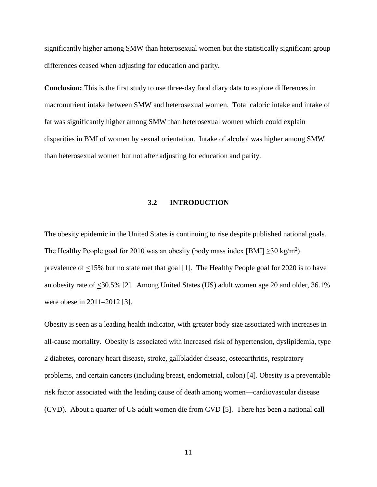significantly higher among SMW than heterosexual women but the statistically significant group differences ceased when adjusting for education and parity.

**Conclusion:** This is the first study to use three-day food diary data to explore differences in macronutrient intake between SMW and heterosexual women. Total caloric intake and intake of fat was significantly higher among SMW than heterosexual women which could explain disparities in BMI of women by sexual orientation. Intake of alcohol was higher among SMW than heterosexual women but not after adjusting for education and parity.

# **3.2 INTRODUCTION**

<span id="page-22-0"></span>The obesity epidemic in the United States is continuing to rise despite published national goals. The Healthy People goal for 2010 was an obesity (body mass index [BMI]  $\geq$ 30 kg/m<sup>2</sup>) prevalence of <15% but no state met that goal [1]. The Healthy People goal for 2020 is to have an obesity rate of <30.5% [2]. Among United States (US) adult women age 20 and older, 36.1% were obese in 2011–2012 [3].

Obesity is seen as a leading health indicator, with greater body size associated with increases in all-cause mortality. Obesity is associated with increased risk of hypertension, dyslipidemia, type 2 diabetes, coronary heart disease, stroke, gallbladder disease, osteoarthritis, respiratory problems, and certain cancers (including breast, endometrial, colon) [4]. Obesity is a preventable risk factor associated with the leading cause of death among women—cardiovascular disease (CVD). About a quarter of US adult women die from CVD [5]. There has been a national call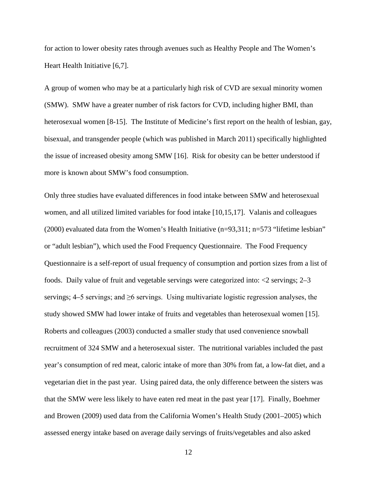for action to lower obesity rates through avenues such as Healthy People and The Women's Heart Health Initiative [6,7].

A group of women who may be at a particularly high risk of CVD are sexual minority women (SMW). SMW have a greater number of risk factors for CVD, including higher BMI, than heterosexual women [8-15]. The Institute of Medicine's first report on the health of lesbian, gay, bisexual, and transgender people (which was published in March 2011) specifically highlighted the issue of increased obesity among SMW [16]. Risk for obesity can be better understood if more is known about SMW's food consumption.

Only three studies have evaluated differences in food intake between SMW and heterosexual women, and all utilized limited variables for food intake [10,15,17]. Valanis and colleagues (2000) evaluated data from the Women's Health Initiative  $(n=93,311; n=573$  "lifetime lesbian" or "adult lesbian"), which used the Food Frequency Questionnaire. The Food Frequency Questionnaire is a self-report of usual frequency of consumption and portion sizes from a list of foods. Daily value of fruit and vegetable servings were categorized into: <2 servings; 2–3 servings; 4–5 servings; and ≥6 servings. Using multivariate logistic regression analyses, the study showed SMW had lower intake of fruits and vegetables than heterosexual women [15]. Roberts and colleagues (2003) conducted a smaller study that used convenience snowball recruitment of 324 SMW and a heterosexual sister. The nutritional variables included the past year's consumption of red meat, caloric intake of more than 30% from fat, a low-fat diet, and a vegetarian diet in the past year. Using paired data, the only difference between the sisters was that the SMW were less likely to have eaten red meat in the past year [17]. Finally, Boehmer and Browen (2009) used data from the California Women's Health Study (2001–2005) which assessed energy intake based on average daily servings of fruits/vegetables and also asked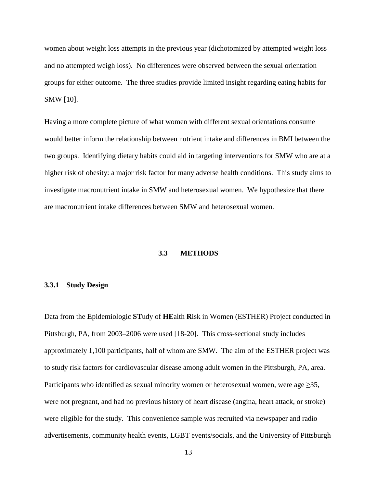women about weight loss attempts in the previous year (dichotomized by attempted weight loss and no attempted weigh loss). No differences were observed between the sexual orientation groups for either outcome. The three studies provide limited insight regarding eating habits for SMW [10].

Having a more complete picture of what women with different sexual orientations consume would better inform the relationship between nutrient intake and differences in BMI between the two groups. Identifying dietary habits could aid in targeting interventions for SMW who are at a higher risk of obesity: a major risk factor for many adverse health conditions. This study aims to investigate macronutrient intake in SMW and heterosexual women. We hypothesize that there are macronutrient intake differences between SMW and heterosexual women.

# **3.3 METHODS**

# <span id="page-24-1"></span><span id="page-24-0"></span>**3.3.1 Study Design**

Data from the **E**pidemiologic **ST**udy of **HE**alth **R**isk in Women (ESTHER) Project conducted in Pittsburgh, PA, from 2003–2006 were used [18-20]. This cross-sectional study includes approximately 1,100 participants, half of whom are SMW. The aim of the ESTHER project was to study risk factors for cardiovascular disease among adult women in the Pittsburgh, PA, area. Participants who identified as sexual minority women or heterosexual women, were age  $\geq 35$ , were not pregnant, and had no previous history of heart disease (angina, heart attack, or stroke) were eligible for the study. This convenience sample was recruited via newspaper and radio advertisements, community health events, LGBT events/socials, and the University of Pittsburgh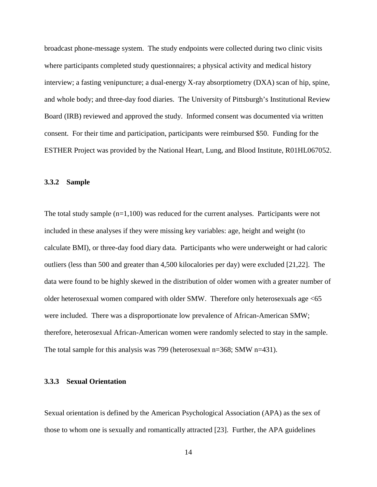broadcast phone-message system. The study endpoints were collected during two clinic visits where participants completed study questionnaires; a physical activity and medical history interview; a fasting venipuncture; a dual-energy X-ray absorptiometry (DXA) scan of hip, spine, and whole body; and three-day food diaries. The University of Pittsburgh's Institutional Review Board (IRB) reviewed and approved the study. Informed consent was documented via written consent. For their time and participation, participants were reimbursed \$50. Funding for the ESTHER Project was provided by the National Heart, Lung, and Blood Institute, R01HL067052.

## <span id="page-25-0"></span>**3.3.2 Sample**

The total study sample  $(n=1,100)$  was reduced for the current analyses. Participants were not included in these analyses if they were missing key variables: age, height and weight (to calculate BMI), or three-day food diary data. Participants who were underweight or had caloric outliers (less than 500 and greater than 4,500 kilocalories per day) were excluded [21,22]. The data were found to be highly skewed in the distribution of older women with a greater number of older heterosexual women compared with older SMW. Therefore only heterosexuals age <65 were included. There was a disproportionate low prevalence of African-American SMW; therefore, heterosexual African-American women were randomly selected to stay in the sample. The total sample for this analysis was 799 (heterosexual n=368; SMW n=431).

## <span id="page-25-1"></span>**3.3.3 Sexual Orientation**

Sexual orientation is defined by the American Psychological Association (APA) as the sex of those to whom one is sexually and romantically attracted [23]. Further, the APA guidelines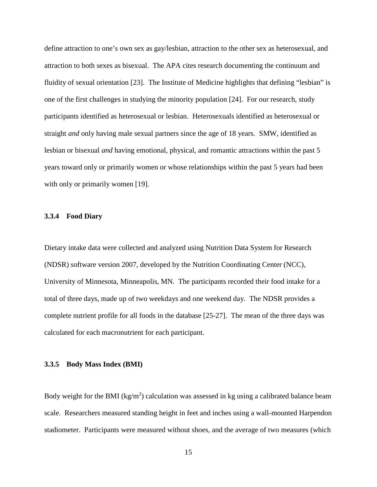define attraction to one's own sex as gay/lesbian, attraction to the other sex as heterosexual, and attraction to both sexes as bisexual. The APA cites research documenting the continuum and fluidity of sexual orientation [23]. The Institute of Medicine highlights that defining "lesbian" is one of the first challenges in studying the minority population [24]. For our research, study participants identified as heterosexual or lesbian. Heterosexuals identified as heterosexual or straight *and* only having male sexual partners since the age of 18 years. SMW, identified as lesbian or bisexual *and* having emotional, physical, and romantic attractions within the past 5 years toward only or primarily women or whose relationships within the past 5 years had been with only or primarily women [19].

# <span id="page-26-0"></span>**3.3.4 Food Diary**

Dietary intake data were collected and analyzed using Nutrition Data System for Research (NDSR) software version 2007, developed by the Nutrition Coordinating Center (NCC), University of Minnesota, Minneapolis, MN. The participants recorded their food intake for a total of three days, made up of two weekdays and one weekend day. The NDSR provides a complete nutrient profile for all foods in the database [25-27]. The mean of the three days was calculated for each macronutrient for each participant.

# <span id="page-26-1"></span>**3.3.5 Body Mass Index (BMI)**

Body weight for the BMI ( $kg/m<sup>2</sup>$ ) calculation was assessed in kg using a calibrated balance beam scale. Researchers measured standing height in feet and inches using a wall-mounted Harpendon stadiometer. Participants were measured without shoes, and the average of two measures (which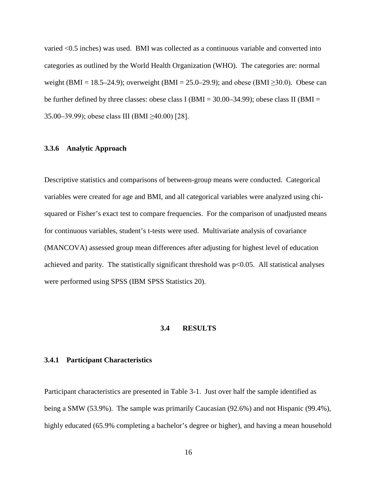varied <0.5 inches) was used. BMI was collected as a continuous variable and converted into categories as outlined by the World Health Organization (WHO). The categories are: normal weight (BMI = 18.5–24.9); overweight (BMI = 25.0–29.9); and obese (BMI  $\geq$ 30.0). Obese can be further defined by three classes: obese class I (BMI =  $30.00-34.99$ ); obese class II (BMI = 35.00–39.99); obese class III (BMI ≥40.00) [28].

# <span id="page-27-0"></span>**3.3.6 Analytic Approach**

Descriptive statistics and comparisons of between-group means were conducted. Categorical variables were created for age and BMI, and all categorical variables were analyzed using chisquared or Fisher's exact test to compare frequencies. For the comparison of unadjusted means for continuous variables, student's t-tests were used. Multivariate analysis of covariance (MANCOVA) assessed group mean differences after adjusting for highest level of education achieved and parity. The statistically significant threshold was  $p<0.05$ . All statistical analyses were performed using SPSS (IBM SPSS Statistics 20).

# **3.4 RESULTS**

## <span id="page-27-2"></span><span id="page-27-1"></span>**3.4.1 Participant Characteristics**

Participant characteristics are presented in Table 3-1. Just over half the sample identified as being a SMW (53.9%). The sample was primarily Caucasian (92.6%) and not Hispanic (99.4%), highly educated (65.9% completing a bachelor's degree or higher), and having a mean household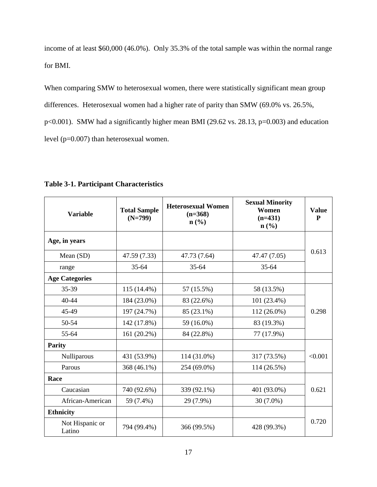income of at least \$60,000 (46.0%). Only 35.3% of the total sample was within the normal range for BMI.

When comparing SMW to heterosexual women, there were statistically significant mean group differences. Heterosexual women had a higher rate of parity than SMW (69.0% vs. 26.5%, p<0.001). SMW had a significantly higher mean BMI (29.62 vs. 28.13, p=0.003) and education level (p=0.007) than heterosexual women.

| <b>Variable</b>           | <b>Total Sample</b><br>$(N=799)$ | <b>Heterosexual Women</b><br>$(n=368)$<br>$n\left(\frac{0}{0}\right)$ | <b>Sexual Minority</b><br>Women<br>$(n=431)$<br>$n\left(\frac{0}{0}\right)$ | <b>Value</b><br>P |
|---------------------------|----------------------------------|-----------------------------------------------------------------------|-----------------------------------------------------------------------------|-------------------|
| Age, in years             |                                  |                                                                       |                                                                             |                   |
| Mean (SD)                 | 47.59 (7.33)                     | 47.73 (7.64)                                                          | 47.47 (7.05)                                                                | 0.613             |
| range                     | $35 - 64$                        | $35 - 64$                                                             | $35 - 64$                                                                   |                   |
| <b>Age Categories</b>     |                                  |                                                                       |                                                                             |                   |
| 35-39                     | 115 (14.4%)                      | 57 (15.5%)                                                            | 58 (13.5%)                                                                  |                   |
| $40 - 44$                 | 184 (23.0%)                      | 83 (22.6%)                                                            | 101 (23.4%)                                                                 |                   |
| 45-49                     | 197 (24.7%)                      | 85 (23.1%)                                                            | 112 (26.0%)                                                                 | 0.298             |
| 50-54                     | 142 (17.8%)                      | 59 (16.0%)                                                            | 83 (19.3%)                                                                  |                   |
| 55-64                     | 161 (20.2%)                      | 84 (22.8%)                                                            | 77 (17.9%)                                                                  |                   |
| <b>Parity</b>             |                                  |                                                                       |                                                                             |                   |
| Nulliparous               | 431 (53.9%)                      | 114 (31.0%)                                                           | 317 (73.5%)                                                                 | < 0.001           |
| Parous                    | 368 (46.1%)                      | 254 (69.0%)                                                           | 114 (26.5%)                                                                 |                   |
| Race                      |                                  |                                                                       |                                                                             |                   |
| Caucasian                 | 740 (92.6%)                      | 339 (92.1%)                                                           | 401 (93.0%)                                                                 | 0.621             |
| African-American          | 59 (7.4%)                        | 29 (7.9%)                                                             | 30 (7.0%)                                                                   |                   |
| <b>Ethnicity</b>          |                                  |                                                                       |                                                                             |                   |
| Not Hispanic or<br>Latino | 794 (99.4%)                      | 366 (99.5%)                                                           | 428 (99.3%)                                                                 | 0.720             |

<span id="page-28-0"></span>**Table 3-1. Participant Characteristics**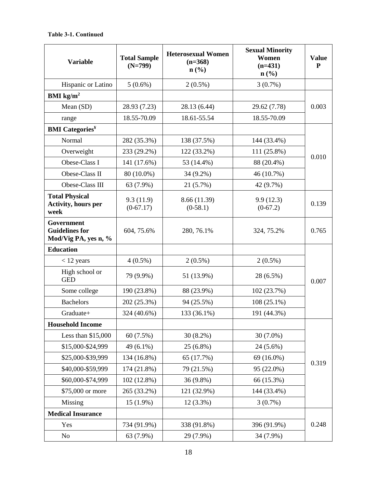# **Table 3-1. Continued**

| <b>Variable</b>                                                    | <b>Total Sample</b><br>$(N=799)$ | <b>Heterosexual Women</b><br>$(n=368)$<br>$n\left(\frac{0}{0}\right)$ | <b>Sexual Minority</b><br>Women<br>$(n=431)$<br>$\mathbf{n}(\%)$ | <b>Value</b><br>P |
|--------------------------------------------------------------------|----------------------------------|-----------------------------------------------------------------------|------------------------------------------------------------------|-------------------|
| Hispanic or Latino                                                 | $5(0.6\%)$                       | $2(0.5\%)$                                                            | $3(0.7\%)$                                                       |                   |
| BMI $\text{kg/m}^2$                                                |                                  |                                                                       |                                                                  |                   |
| Mean (SD)                                                          | 28.93 (7.23)                     | 28.13 (6.44)                                                          | 29.62 (7.78)                                                     | 0.003             |
| range                                                              | 18.55-70.09                      | 18.61-55.54                                                           | 18.55-70.09                                                      |                   |
| <b>BMI</b> Categories <sup>¥</sup>                                 |                                  |                                                                       |                                                                  |                   |
| Normal                                                             | 282 (35.3%)                      | 138 (37.5%)                                                           | 144 (33.4%)                                                      |                   |
| Overweight                                                         | 233 (29.2%)                      | 122 (33.2%)                                                           | 111 (25.8%)                                                      |                   |
| Obese-Class I                                                      | 141 (17.6%)                      | 53 (14.4%)                                                            | 88 (20.4%)                                                       | 0.010             |
| Obese-Class II                                                     | 80 (10.0%)                       | 34 (9.2%)                                                             | 46 (10.7%)                                                       |                   |
| Obese-Class III                                                    | 63 (7.9%)                        | 21 (5.7%)                                                             | 42 (9.7%)                                                        |                   |
| <b>Total Physical</b><br><b>Activity, hours per</b><br>week        | 9.3(11.9)<br>$(0-67.17)$         | 8.66 (11.39)<br>$(0-58.1)$                                            | 9.9(12.3)<br>$(0-67.2)$                                          | 0.139             |
| <b>Government</b><br><b>Guidelines for</b><br>Mod/Vig PA, yes n, % | 604, 75.6%                       | 280, 76.1%                                                            | 324, 75.2%                                                       | 0.765             |
| <b>Education</b>                                                   |                                  |                                                                       |                                                                  |                   |
| $<$ 12 years                                                       | $4(0.5\%)$                       | $2(0.5\%)$                                                            | $2(0.5\%)$                                                       |                   |
| High school or<br><b>GED</b>                                       | 79 (9.9%)                        | 51 (13.9%)                                                            | 28 (6.5%)                                                        | 0.007             |
| Some college                                                       | 190 (23.8%)                      | 88 (23.9%)                                                            | 102 (23.7%)                                                      |                   |
| <b>Bachelors</b>                                                   | 202 (25.3%)                      | 94 (25.5%)                                                            | $108(25.1\%)$                                                    |                   |
| Graduate+                                                          | 324 (40.6%)                      | 133 (36.1%)                                                           | 191 (44.3%)                                                      |                   |
| <b>Household Income</b>                                            |                                  |                                                                       |                                                                  |                   |
| Less than \$15,000                                                 | 60(7.5%)                         | $30(8.2\%)$                                                           | 30 (7.0%)                                                        |                   |
| \$15,000-\$24,999                                                  | 49 (6.1%)                        | 25 (6.8%)                                                             | 24 (5.6%)                                                        |                   |
| \$25,000-\$39,999                                                  | 134 (16.8%)                      | 65 (17.7%)                                                            | 69 (16.0%)                                                       | 0.319             |
| \$40,000-\$59,999                                                  | 174 (21.8%)                      | 79 (21.5%)                                                            | 95 (22.0%)                                                       |                   |
| \$60,000-\$74,999                                                  | 102 (12.8%)                      | 36 (9.8%)                                                             | 66 (15.3%)                                                       |                   |
| \$75,000 or more                                                   | 265 (33.2%)                      | 121 (32.9%)                                                           | 144 (33.4%)                                                      |                   |
| Missing                                                            | $15(1.9\%)$                      | $12(3.3\%)$                                                           | 3(0.7%)                                                          |                   |
| <b>Medical Insurance</b>                                           |                                  |                                                                       |                                                                  |                   |
| Yes                                                                | 734 (91.9%)                      | 338 (91.8%)                                                           | 396 (91.9%)                                                      | 0.248             |
| No                                                                 | 63 (7.9%)                        | 29 (7.9%)                                                             | 34 (7.9%)                                                        |                   |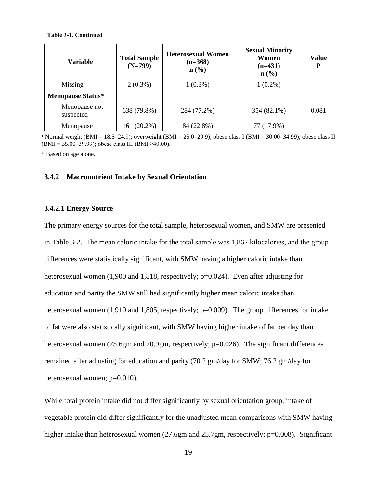#### **Table 3-1. Continued**

| <b>Variable</b>            | <b>Total Sample</b><br>$(N=799)$ | <b>Heterosexual Women</b><br>$(n=368)$<br>$n\left(\frac{0}{0}\right)$ | <b>Sexual Minority</b><br>Women<br>$(n=431)$<br>$n\left(\frac{0}{0}\right)$ | Value |  |
|----------------------------|----------------------------------|-----------------------------------------------------------------------|-----------------------------------------------------------------------------|-------|--|
| Missing                    | $2(0.3\%)$                       | $1(0.3\%)$                                                            | $1(0.2\%)$                                                                  |       |  |
| <b>Menopause Status*</b>   |                                  |                                                                       |                                                                             |       |  |
| Menopause not<br>suspected | 638 (79.8%)                      | 284 (77.2%)                                                           | 354 (82.1%)                                                                 | 0.081 |  |
| Menopause                  | 161 (20.2%)                      | 84 (22.8%)                                                            | 77 (17.9%)                                                                  |       |  |

 $*$  Normal weight (BMI = 18.5–24.9); overweight (BMI = 25.0–29.9); obese class I (BMI = 30.00–34.99); obese class II  $(BMI = 35.00-39.99)$ ; obese class III (BMI ≥40.00).

<span id="page-30-0"></span>\* Based on age alone.

# **3.4.2 Macronutrient Intake by Sexual Orientation**

# <span id="page-30-1"></span>**3.4.2.1 Energy Source**

The primary energy sources for the total sample, heterosexual women, and SMW are presented in Table 3-2. The mean caloric intake for the total sample was 1,862 kilocalories, and the group differences were statistically significant, with SMW having a higher caloric intake than heterosexual women (1,900 and 1,818, respectively; p=0.024). Even after adjusting for education and parity the SMW still had significantly higher mean caloric intake than heterosexual women (1,910 and 1,805, respectively; p=0.009). The group differences for intake of fat were also statistically significant, with SMW having higher intake of fat per day than heterosexual women (75.6gm and 70.9gm, respectively; p=0.026). The significant differences remained after adjusting for education and parity (70.2 gm/day for SMW; 76.2 gm/day for heterosexual women; p=0.010).

While total protein intake did not differ significantly by sexual orientation group, intake of vegetable protein did differ significantly for the unadjusted mean comparisons with SMW having higher intake than heterosexual women (27.6gm and 25.7gm, respectively; p=0.008). Significant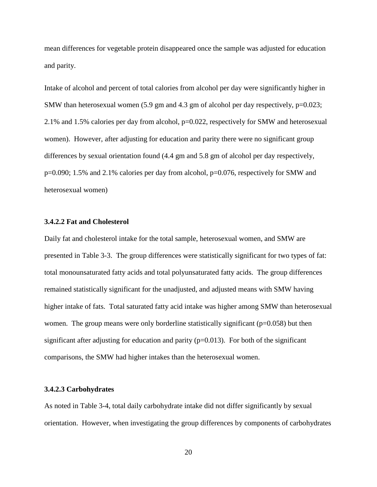mean differences for vegetable protein disappeared once the sample was adjusted for education and parity.

Intake of alcohol and percent of total calories from alcohol per day were significantly higher in SMW than heterosexual women (5.9 gm and 4.3 gm of alcohol per day respectively, p=0.023; 2.1% and 1.5% calories per day from alcohol, p=0.022, respectively for SMW and heterosexual women). However, after adjusting for education and parity there were no significant group differences by sexual orientation found (4.4 gm and 5.8 gm of alcohol per day respectively, p=0.090; 1.5% and 2.1% calories per day from alcohol, p=0.076, respectively for SMW and heterosexual women)

# <span id="page-31-0"></span>**3.4.2.2 Fat and Cholesterol**

Daily fat and cholesterol intake for the total sample, heterosexual women, and SMW are presented in Table 3-3. The group differences were statistically significant for two types of fat: total monounsaturated fatty acids and total polyunsaturated fatty acids. The group differences remained statistically significant for the unadjusted, and adjusted means with SMW having higher intake of fats. Total saturated fatty acid intake was higher among SMW than heterosexual women. The group means were only borderline statistically significant  $(p=0.058)$  but then significant after adjusting for education and parity  $(p=0.013)$ . For both of the significant comparisons, the SMW had higher intakes than the heterosexual women.

# <span id="page-31-1"></span>**3.4.2.3 Carbohydrates**

As noted in Table 3-4, total daily carbohydrate intake did not differ significantly by sexual orientation. However, when investigating the group differences by components of carbohydrates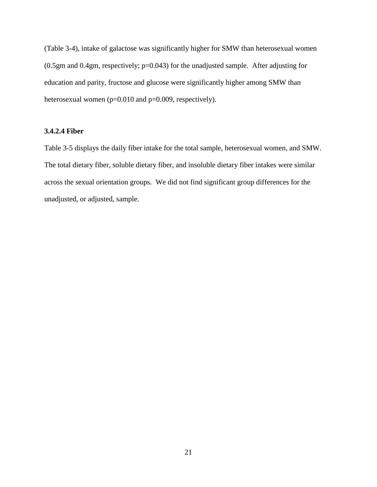(Table 3-4), intake of galactose was significantly higher for SMW than heterosexual women (0.5gm and 0.4gm, respectively; p=0.043) for the unadjusted sample. After adjusting for education and parity, fructose and glucose were significantly higher among SMW than heterosexual women (p=0.010 and p=0.009, respectively).

# <span id="page-32-0"></span>**3.4.2.4 Fiber**

Table 3-5 displays the daily fiber intake for the total sample, heterosexual women, and SMW. The total dietary fiber, soluble dietary fiber, and insoluble dietary fiber intakes were similar across the sexual orientation groups. We did not find significant group differences for the unadjusted, or adjusted, sample.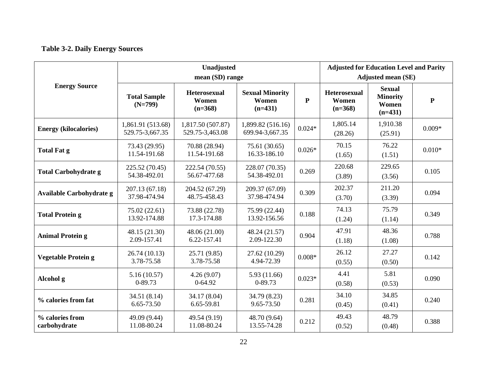# **Table 3-2. Daily Energy Sources**

<span id="page-33-0"></span>

|                                 |                                      | <b>Adjusted for Education Level and Parity</b><br><b>Adjusted mean (SE)</b> |                                              |              |                                           |                                                        |              |
|---------------------------------|--------------------------------------|-----------------------------------------------------------------------------|----------------------------------------------|--------------|-------------------------------------------|--------------------------------------------------------|--------------|
| <b>Energy Source</b>            | <b>Total Sample</b><br>$(N=799)$     | <b>Heterosexual</b><br>Women<br>$(n=368)$                                   | <b>Sexual Minority</b><br>Women<br>$(n=431)$ | $\mathbf{P}$ | <b>Heterosexual</b><br>Women<br>$(n=368)$ | <b>Sexual</b><br><b>Minority</b><br>Women<br>$(n=431)$ | $\mathbf{P}$ |
| <b>Energy (kilocalories)</b>    | 1,861.91 (513.68)<br>529.75-3,667.35 | 1,817.50 (507.87)<br>529.75-3,463.08                                        | 1,899.82 (516.16)<br>699.94-3,667.35         | $0.024*$     | 1,805.14<br>(28.26)                       | 1,910.38<br>(25.91)                                    | $0.009*$     |
| <b>Total Fat g</b>              | 73.43 (29.95)<br>11.54-191.68        | 70.88 (28.94)<br>11.54-191.68                                               | 75.61 (30.65)<br>16.33-186.10                | $0.026*$     | 70.15<br>(1.65)                           | 76.22<br>(1.51)                                        | $0.010*$     |
| <b>Total Carbohydrate g</b>     | 225.52 (70.45)<br>54.38-492.01       | 222.54 (70.55)<br>56.67-477.68                                              | 228.07 (70.35)<br>54.38-492.01               | 0.269        | 220.68<br>(3.89)                          | 229.65<br>(3.56)                                       | 0.105        |
| Available Carbohydrate g        | 207.13 (67.18)<br>37.98-474.94       | 204.52 (67.29)<br>48.75-458.43                                              | 209.37 (67.09)<br>37.98-474.94               | 0.309        | 202.37<br>(3.70)                          | 211.20<br>(3.39)                                       | 0.094        |
| <b>Total Protein g</b>          | 75.02 (22.61)<br>13.92-174.88        | 73.88 (22.78)<br>17.3-174.88                                                | 75.99 (22.44)<br>13.92-156.56                | 0.188        | 74.13<br>(1.24)                           | 75.79<br>(1.14)                                        | 0.349        |
| <b>Animal Protein g</b>         | 48.15 (21.30)<br>2.09-157.41         | 48.06 (21.00)<br>6.22-157.41                                                | 48.24 (21.57)<br>2.09-122.30                 | 0.904        | 47.91<br>(1.18)                           | 48.36<br>(1.08)                                        | 0.788        |
| <b>Vegetable Protein g</b>      | 26.74 (10.13)<br>3.78-75.58          | 25.71 (9.85)<br>3.78-75.58                                                  | 27.62 (10.29)<br>4.94-72.39                  | $0.008*$     | 26.12<br>(0.55)                           | 27.27<br>(0.50)                                        | 0.142        |
| Alcohol g                       | 5.16(10.57)<br>0-89.73               | 4.26(9.07)<br>$0 - 64.92$                                                   | 5.93 (11.66)<br>0-89.73                      | $0.023*$     | 4.41<br>(0.58)                            | 5.81<br>(0.53)                                         | 0.090        |
| % calories from fat             | 34.51 (8.14)<br>6.65-73.50           | 34.17 (8.04)<br>6.65-59.81                                                  | 34.79 (8.23)<br>9.65-73.50                   | 0.281        | 34.10<br>(0.45)                           | 34.85<br>(0.41)                                        | 0.240        |
| % calories from<br>carbohydrate | 49.09 (9.44)<br>11.08-80.24          | 49.54 (9.19)<br>11.08-80.24                                                 | 48.70 (9.64)<br>13.55-74.28                  | 0.212        | 49.43<br>(0.52)                           | 48.79<br>(0.48)                                        | 0.388        |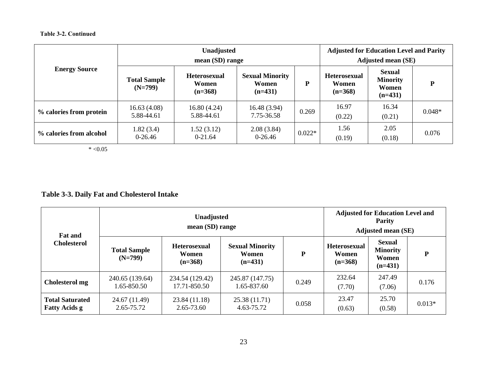# **Table 3-2. Continued**

|                         | Unadjusted<br>mean (SD) range    |                                           |                                              |          | <b>Adjusted for Education Level and Parity</b><br><b>Adjusted mean (SE)</b> |                                                        |          |  |
|-------------------------|----------------------------------|-------------------------------------------|----------------------------------------------|----------|-----------------------------------------------------------------------------|--------------------------------------------------------|----------|--|
| <b>Energy Source</b>    | <b>Total Sample</b><br>$(N=799)$ | <b>Heterosexual</b><br>Women<br>$(n=368)$ | <b>Sexual Minority</b><br>Women<br>$(n=431)$ | P        | <b>Heterosexual</b><br>Women<br>$(n=368)$                                   | <b>Sexual</b><br><b>Minority</b><br>Women<br>$(n=431)$ | D        |  |
| % calories from protein | 16.63(4.08)<br>5.88-44.61        | 16.80(4.24)<br>5.88-44.61                 | 16.48 (3.94)<br>7.75-36.58                   | 0.269    | 16.97<br>(0.22)                                                             | 16.34<br>(0.21)                                        | $0.048*$ |  |
| % calories from alcohol | 1.82(3.4)<br>$0-26.46$           | 1.52(3.12)<br>$0-21.64$                   | 2.08(3.84)<br>$0-26.46$                      | $0.022*$ | 1.56<br>(0.19)                                                              | 2.05<br>(0.18)                                         | 0.076    |  |

 $* < 0.05$ 

# **Table 3-3. Daily Fat and Cholesterol Intake**

<span id="page-34-0"></span>

| <b>Fat and</b>                                 |                                  | <b>Unadjusted</b><br>mean (SD) range      |                                              | <b>Adjusted for Education Level and</b><br><b>Parity</b><br><b>Adjusted mean (SE)</b> |                                    |                                                        |          |
|------------------------------------------------|----------------------------------|-------------------------------------------|----------------------------------------------|---------------------------------------------------------------------------------------|------------------------------------|--------------------------------------------------------|----------|
| <b>Cholesterol</b>                             | <b>Total Sample</b><br>$(N=799)$ | <b>Heterosexual</b><br>Women<br>$(n=368)$ | <b>Sexual Minority</b><br>Women<br>$(n=431)$ | P                                                                                     | Heterosexual<br>Women<br>$(n=368)$ | <b>Sexual</b><br><b>Minority</b><br>Women<br>$(n=431)$ | P        |
| Cholesterol mg                                 | 240.65 (139.64)<br>1.65-850.50   | 234.54 (129.42)<br>17.71-850.50           | 245.87 (147.75)<br>1.65-837.60               | 0.249                                                                                 | 232.64<br>(7.70)                   | 247.49<br>(7.06)                                       | 0.176    |
| <b>Total Saturated</b><br><b>Fatty Acids g</b> | 24.67 (11.49)<br>2.65-75.72      | 23.84 (11.18)<br>2.65-73.60               | 25.38 (11.71)<br>4.63-75.72                  | 0.058                                                                                 | 23.47<br>(0.63)                    | 25.70<br>(0.58)                                        | $0.013*$ |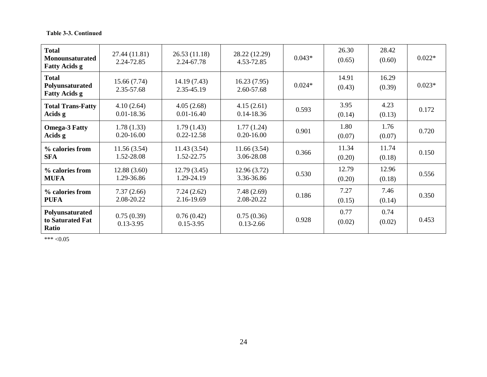| <b>Total</b><br><b>Monounsaturated</b><br><b>Fatty Acids g</b> | 27.44 (11.81)<br>2.24-72.85  | 26.53(11.18)<br>2.24-67.78   | 28.22 (12.29)<br>4.53-72.85  | $0.043*$ | 26.30<br>(0.65) | 28.42<br>(0.60) | $0.022*$ |
|----------------------------------------------------------------|------------------------------|------------------------------|------------------------------|----------|-----------------|-----------------|----------|
| <b>Total</b><br>Polyunsaturated<br><b>Fatty Acids g</b>        | 15.66 (7.74)<br>2.35-57.68   | 14.19(7.43)<br>2.35-45.19    | 16.23(7.95)<br>2.60-57.68    | $0.024*$ | 14.91<br>(0.43) | 16.29<br>(0.39) | $0.023*$ |
| <b>Total Trans-Fatty</b><br>Acids g                            | 4.10(2.64)<br>$0.01 - 18.36$ | 4.05(2.68)<br>$0.01 - 16.40$ | 4.15(2.61)<br>$0.14 - 18.36$ | 0.593    | 3.95<br>(0.14)  | 4.23<br>(0.13)  | 0.172    |
| <b>Omega-3 Fatty</b><br>Acids g                                | 1.78(1.33)<br>$0.20 - 16.00$ | 1.79(1.43)<br>$0.22 - 12.58$ | 1.77(1.24)<br>$0.20 - 16.00$ | 0.901    | 1.80<br>(0.07)  | 1.76<br>(0.07)  | 0.720    |
| % calories from<br><b>SFA</b>                                  | 11.56(3.54)<br>1.52-28.08    | 11.43(3.54)<br>1.52-22.75    | 11.66(3.54)<br>3.06-28.08    | 0.366    | 11.34<br>(0.20) | 11.74<br>(0.18) | 0.150    |
| % calories from<br><b>MUFA</b>                                 | 12.88(3.60)<br>1.29-36.86    | 12.79(3.45)<br>1.29-24.19    | 12.96(3.72)<br>3.36-36.86    | 0.530    | 12.79<br>(0.20) | 12.96<br>(0.18) | 0.556    |
| % calories from<br><b>PUFA</b>                                 | 7.37(2.66)<br>2.08-20.22     | 7.24(2.62)<br>2.16-19.69     | 7.48(2.69)<br>2.08-20.22     | 0.186    | 7.27<br>(0.15)  | 7.46<br>(0.14)  | 0.350    |
| Polyunsaturated<br>to Saturated Fat<br>Ratio                   | 0.75(0.39)<br>$0.13 - 3.95$  | 0.76(0.42)<br>$0.15 - 3.95$  | 0.75(0.36)<br>$0.13 - 2.66$  | 0.928    | 0.77<br>(0.02)  | 0.74<br>(0.02)  | 0.453    |

 $*** < 0.05$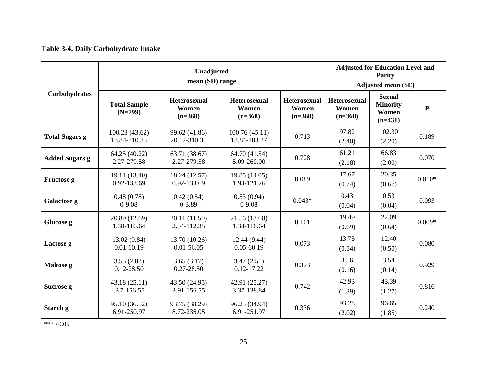# **Table 3-4. Daily Carbohydrate Intake**

|                       | Unadjusted<br>mean (SD) range    |                                    |                                           |                                           | <b>Adjusted for Education Level and</b><br><b>Parity</b><br><b>Adjusted mean (SE)</b> |                                                        |           |
|-----------------------|----------------------------------|------------------------------------|-------------------------------------------|-------------------------------------------|---------------------------------------------------------------------------------------|--------------------------------------------------------|-----------|
| <b>Carbohydrates</b>  | <b>Total Sample</b><br>$(N=799)$ | Heterosexual<br>Women<br>$(n=368)$ | <b>Heterosexual</b><br>Women<br>$(n=368)$ | <b>Heterosexual</b><br>Women<br>$(n=368)$ | <b>Heterosexual</b><br>Women<br>$(n=368)$                                             | <b>Sexual</b><br><b>Minority</b><br>Women<br>$(n=431)$ | ${\bf P}$ |
| <b>Total Sugars g</b> | 100.23 (43.62)<br>13.84-310.35   | 99.62 (41.86)<br>20.12-310.35      | 100.76(45.11)<br>13.84-283.27             | 0.713                                     | 97.82<br>(2.40)                                                                       | 102.30<br>(2.20)                                       | 0.189     |
| <b>Added Sugars g</b> | 64.25 (40.22)<br>2.27-279.58     | 63.71 (38.67)<br>2.27-279.58       | 64.70 (41.54)<br>5.09-260.00              | 0.728                                     | 61.21<br>(2.18)                                                                       | 66.83<br>(2.00)                                        | 0.070     |
| Fructose g            | 19.11 (13.40)<br>0.92-133.69     | 18.24 (12.57)<br>0.92-133.69       | 19.85 (14.05)<br>1.93-121.26              | 0.089                                     | 17.67<br>(0.74)                                                                       | 20.35<br>(0.67)                                        | $0.010*$  |
| Galactose g           | 0.48(0.78)<br>$0-9.08$           | 0.42(0.54)<br>$0 - 3.89$           | 0.53(0.94)<br>$0-9.08$                    | $0.043*$                                  | 0.43<br>(0.04)                                                                        | 0.53<br>(0.04)                                         | 0.093     |
| Glucose g             | 20.89 (12.69)<br>1.38-116.64     | 20.11 (11.50)<br>2.54-112.35       | 21.56 (13.60)<br>1.38-116.64              | 0.101                                     | 19.49<br>(0.69)                                                                       | 22.09<br>(0.64)                                        | $0.009*$  |
| Lactose g             | 13.02 (9.84)<br>$0.01 - 60.19$   | 13.70 (10.26)<br>$0.01 - 56.05$    | 12.44 (9.44)<br>$0.05 - 60.19$            | 0.073                                     | 13.75<br>(0.54)                                                                       | 12.40<br>(0.50)                                        | 0.080     |
| Maltose g             | 3.55(2.83)<br>$0.12 - 28.50$     | 3.65(3.17)<br>$0.27 - 28.50$       | 3.47(2.51)<br>$0.12 - 17.22$              | 0.373                                     | 3.56<br>(0.16)                                                                        | 3.54<br>(0.14)                                         | 0.929     |
| Sucrose g             | 43.18 (25.11)<br>.3.7-156.55     | 43.50 (24.95)<br>3.91-156.55       | 42.91 (25.27)<br>3.37-138.84              | 0.742                                     | 42.93<br>(1.39)                                                                       | 43.39<br>(1.27)                                        | 0.816     |
| Starch g              | 95.10 (36.52)<br>6.91-250.97     | 93.75 (38.29)<br>8.72-236.05       | 96.25 (34.94)<br>6.91-251.97              | 0.336                                     | 93.28<br>(2.02)                                                                       | 96.65<br>(1.85)                                        | 0.240     |

 $*** < 0.05$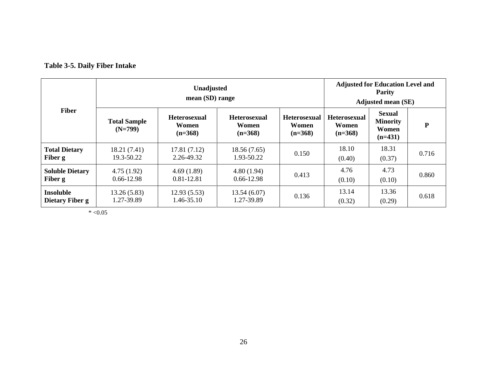# **Table 3-5. Daily Fiber Intake**

|                                     |                                  | <b>Unadjusted</b><br>mean (SD) range      |                                           |                                           |                                           | <b>Adjusted for Education Level and</b><br><b>Parity</b><br><b>Adjusted mean (SE)</b> |       |  |
|-------------------------------------|----------------------------------|-------------------------------------------|-------------------------------------------|-------------------------------------------|-------------------------------------------|---------------------------------------------------------------------------------------|-------|--|
| <b>Fiber</b>                        | <b>Total Sample</b><br>$(N=799)$ | <b>Heterosexual</b><br>Women<br>$(n=368)$ | <b>Heterosexual</b><br>Women<br>$(n=368)$ | <b>Heterosexual</b><br>Women<br>$(n=368)$ | <b>Heterosexual</b><br>Women<br>$(n=368)$ | <b>Sexual</b><br><b>Minority</b><br>Women<br>$(n=431)$                                | P     |  |
| <b>Total Dietary</b><br>Fiber g     | 18.21 (7.41)<br>19.3-50.22       | 17.81 (7.12)<br>2.26-49.32                | 18.56(7.65)<br>1.93-50.22                 | 0.150                                     | 18.10<br>(0.40)                           | 18.31<br>(0.37)                                                                       | 0.716 |  |
| <b>Soluble Dietary</b><br>Fiber g   | 4.75(1.92)<br>$0.66 - 12.98$     | 4.69(1.89)<br>0.81-12.81                  | 4.80(1.94)<br>0.66-12.98                  | 0.413                                     | 4.76<br>(0.10)                            | 4.73<br>(0.10)                                                                        | 0.860 |  |
| <b>Insoluble</b><br>Dietary Fiber g | 13.26(5.83)<br>1.27-39.89        | 12.93(5.53)<br>1.46-35.10                 | 13.54(6.07)<br>1.27-39.89                 | 0.136                                     | 13.14<br>(0.32)                           | 13.36<br>(0.29)                                                                       | 0.618 |  |

 $* < 0.05$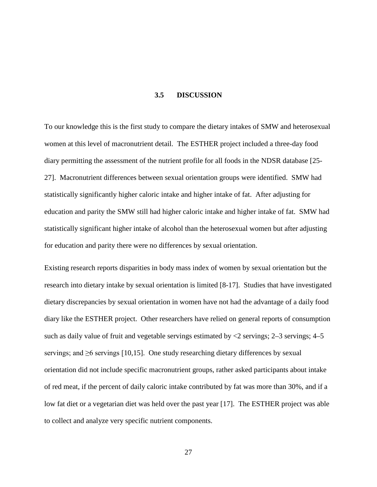## **3.5 DISCUSSION**

To our knowledge this is the first study to compare the dietary intakes of SMW and heterosexual women at this level of macronutrient detail. The ESTHER project included a three-day food diary permitting the assessment of the nutrient profile for all foods in the NDSR database [25- 27]. Macronutrient differences between sexual orientation groups were identified. SMW had statistically significantly higher caloric intake and higher intake of fat. After adjusting for education and parity the SMW still had higher caloric intake and higher intake of fat. SMW had statistically significant higher intake of alcohol than the heterosexual women but after adjusting for education and parity there were no differences by sexual orientation.

Existing research reports disparities in body mass index of women by sexual orientation but the research into dietary intake by sexual orientation is limited [8-17]. Studies that have investigated dietary discrepancies by sexual orientation in women have not had the advantage of a daily food diary like the ESTHER project. Other researchers have relied on general reports of consumption such as daily value of fruit and vegetable servings estimated by  $\langle 2 \rangle$  servings; 2–3 servings; 4–5 servings; and  $\geq 6$  servings [10,15]. One study researching dietary differences by sexual orientation did not include specific macronutrient groups, rather asked participants about intake of red meat, if the percent of daily caloric intake contributed by fat was more than 30%, and if a low fat diet or a vegetarian diet was held over the past year [17]. The ESTHER project was able to collect and analyze very specific nutrient components.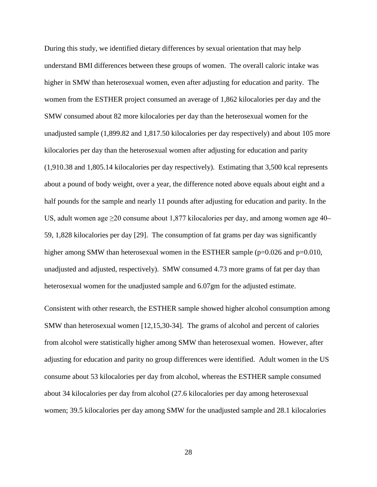During this study, we identified dietary differences by sexual orientation that may help understand BMI differences between these groups of women. The overall caloric intake was higher in SMW than heterosexual women, even after adjusting for education and parity. The women from the ESTHER project consumed an average of 1,862 kilocalories per day and the SMW consumed about 82 more kilocalories per day than the heterosexual women for the unadjusted sample (1,899.82 and 1,817.50 kilocalories per day respectively) and about 105 more kilocalories per day than the heterosexual women after adjusting for education and parity (1,910.38 and 1,805.14 kilocalories per day respectively). Estimating that 3,500 kcal represents about a pound of body weight, over a year, the difference noted above equals about eight and a half pounds for the sample and nearly 11 pounds after adjusting for education and parity. In the US, adult women age  $\geq 20$  consume about 1,877 kilocalories per day, and among women age 40– 59, 1,828 kilocalories per day [29]. The consumption of fat grams per day was significantly higher among SMW than heterosexual women in the ESTHER sample (p=0.026 and p=0.010, unadjusted and adjusted, respectively). SMW consumed 4.73 more grams of fat per day than heterosexual women for the unadjusted sample and 6.07gm for the adjusted estimate.

Consistent with other research, the ESTHER sample showed higher alcohol consumption among SMW than heterosexual women [12,15,30-34]. The grams of alcohol and percent of calories from alcohol were statistically higher among SMW than heterosexual women. However, after adjusting for education and parity no group differences were identified. Adult women in the US consume about 53 kilocalories per day from alcohol, whereas the ESTHER sample consumed about 34 kilocalories per day from alcohol (27.6 kilocalories per day among heterosexual women; 39.5 kilocalories per day among SMW for the unadjusted sample and 28.1 kilocalories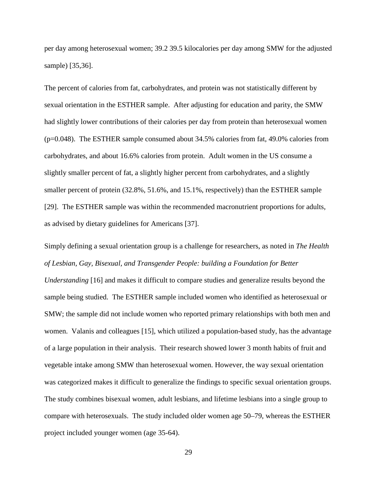per day among heterosexual women; 39.2 39.5 kilocalories per day among SMW for the adjusted sample) [35,36].

The percent of calories from fat, carbohydrates, and protein was not statistically different by sexual orientation in the ESTHER sample. After adjusting for education and parity, the SMW had slightly lower contributions of their calories per day from protein than heterosexual women (p=0.048). The ESTHER sample consumed about 34.5% calories from fat, 49.0% calories from carbohydrates, and about 16.6% calories from protein. Adult women in the US consume a slightly smaller percent of fat, a slightly higher percent from carbohydrates, and a slightly smaller percent of protein (32.8%, 51.6%, and 15.1%, respectively) than the ESTHER sample [29]. The ESTHER sample was within the recommended macronutrient proportions for adults, as advised by dietary guidelines for Americans [37].

Simply defining a sexual orientation group is a challenge for researchers, as noted in *The Health of Lesbian, Gay, Bisexual, and Transgender People: building a Foundation for Better Understanding* [16] and makes it difficult to compare studies and generalize results beyond the sample being studied. The ESTHER sample included women who identified as heterosexual or SMW; the sample did not include women who reported primary relationships with both men and women. Valanis and colleagues [15], which utilized a population-based study, has the advantage of a large population in their analysis. Their research showed lower 3 month habits of fruit and vegetable intake among SMW than heterosexual women. However, the way sexual orientation was categorized makes it difficult to generalize the findings to specific sexual orientation groups. The study combines bisexual women, adult lesbians, and lifetime lesbians into a single group to compare with heterosexuals. The study included older women age 50–79, whereas the ESTHER project included younger women (age 35-64).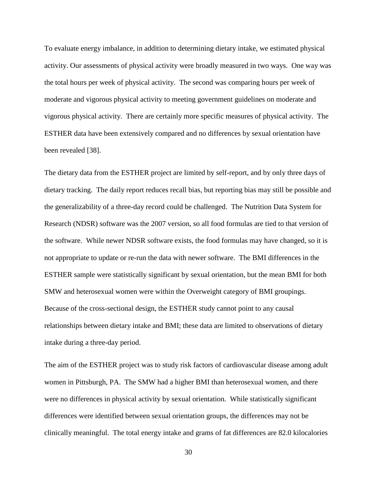To evaluate energy imbalance, in addition to determining dietary intake, we estimated physical activity. Our assessments of physical activity were broadly measured in two ways. One way was the total hours per week of physical activity. The second was comparing hours per week of moderate and vigorous physical activity to meeting government guidelines on moderate and vigorous physical activity. There are certainly more specific measures of physical activity. The ESTHER data have been extensively compared and no differences by sexual orientation have been revealed [38].

The dietary data from the ESTHER project are limited by self-report, and by only three days of dietary tracking. The daily report reduces recall bias, but reporting bias may still be possible and the generalizability of a three-day record could be challenged. The Nutrition Data System for Research (NDSR) software was the 2007 version, so all food formulas are tied to that version of the software. While newer NDSR software exists, the food formulas may have changed, so it is not appropriate to update or re-run the data with newer software. The BMI differences in the ESTHER sample were statistically significant by sexual orientation, but the mean BMI for both SMW and heterosexual women were within the Overweight category of BMI groupings. Because of the cross-sectional design, the ESTHER study cannot point to any causal relationships between dietary intake and BMI; these data are limited to observations of dietary intake during a three-day period.

The aim of the ESTHER project was to study risk factors of cardiovascular disease among adult women in Pittsburgh, PA. The SMW had a higher BMI than heterosexual women, and there were no differences in physical activity by sexual orientation. While statistically significant differences were identified between sexual orientation groups, the differences may not be clinically meaningful. The total energy intake and grams of fat differences are 82.0 kilocalories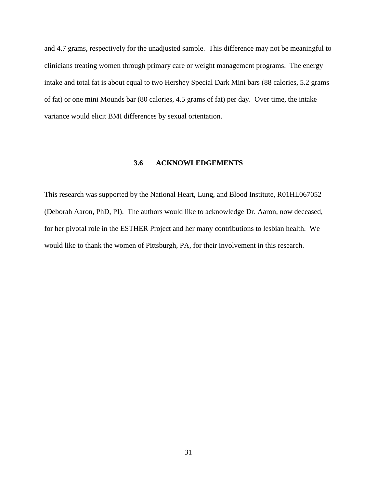and 4.7 grams, respectively for the unadjusted sample. This difference may not be meaningful to clinicians treating women through primary care or weight management programs. The energy intake and total fat is about equal to two Hershey Special Dark Mini bars (88 calories, 5.2 grams of fat) or one mini Mounds bar (80 calories, 4.5 grams of fat) per day. Over time, the intake variance would elicit BMI differences by sexual orientation.

## **3.6 ACKNOWLEDGEMENTS**

This research was supported by the National Heart, Lung, and Blood Institute, R01HL067052 (Deborah Aaron, PhD, PI). The authors would like to acknowledge Dr. Aaron, now deceased, for her pivotal role in the ESTHER Project and her many contributions to lesbian health. We would like to thank the women of Pittsburgh, PA, for their involvement in this research.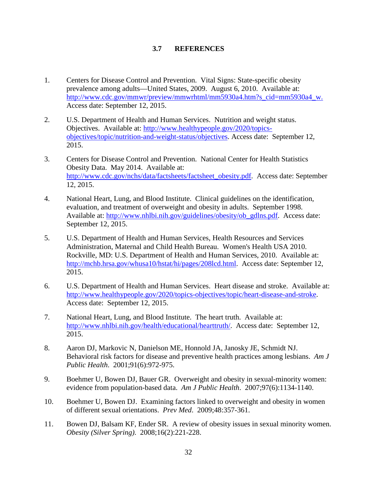## **3.7 REFERENCES**

- 1. Centers for Disease Control and Prevention. Vital Signs: State-specific obesity prevalence among adults—United States, 2009. August 6, 2010. Available at: [http://www.cdc.gov/mmwr/preview/mmwrhtml/mm5930a4.htm?s\\_cid=mm5930a4\\_w.](http://www.cdc.gov/mmwr/preview/mmwrhtml/mm5930a4.htm?s_cid=mm5930a4_w) Access date: September 12, 2015.
- 2. U.S. Department of Health and Human Services. Nutrition and weight status. Objectives. Available at: [http://www.healthypeople.gov/2020/topics](http://www.healthypeople.gov/2020/topics-objectives/topic/nutrition-and-weight-status/objectives)[objectives/topic/nutrition-and-weight-status/objectives.](http://www.healthypeople.gov/2020/topics-objectives/topic/nutrition-and-weight-status/objectives) Access date: September 12, 2015.
- 3. Centers for Disease Control and Prevention. National Center for Health Statistics Obesity Data. May 2014. Available at: [http://www.cdc.gov/nchs/data/factsheets/factsheet\\_obesity.pdf.](http://www.cdc.gov/nchs/data/factsheets/factsheet_obesity.pdf) Access date: September 12, 2015.
- 4. National Heart, Lung, and Blood Institute. Clinical guidelines on the identification, evaluation, and treatment of overweight and obesity in adults. September 1998. Available at: [http://www.nhlbi.nih.gov/guidelines/obesity/ob\\_gdlns.pdf.](http://www.nhlbi.nih.gov/guidelines/obesity/ob_gdlns.pdf) Access date: September 12, 2015.
- 5. U.S. Department of Health and Human Services, Health Resources and Services Administration, Maternal and Child Health Bureau. Women's Health USA 2010. Rockville, MD: U.S. Department of Health and Human Services, 2010. Available at: [http://mchb.hrsa.gov/whusa10/hstat/hi/pages/208lcd.html.](http://mchb.hrsa.gov/whusa10/hstat/hi/pages/208lcd.html) Access date: September 12, 2015.
- 6. U.S. Department of Health and Human Services. Heart disease and stroke. Available at: [http://www.healthypeople.gov/2020/topics-objectives/topic/heart-disease-and-stroke.](http://www.healthypeople.gov/2020/topics-objectives/topic/heart-disease-and-stroke) Access date: September 12, 2015.
- 7. National Heart, Lung, and Blood Institute. The heart truth. Available at: [http://www.nhlbi.nih.gov/health/educational/hearttruth/.](http://www.nhlbi.nih.gov/health/educational/hearttruth/) Access date: September 12, 2015.
- 8. Aaron DJ, Markovic N, Danielson ME, Honnold JA, Janosky JE, Schmidt NJ. Behavioral risk factors for disease and preventive health practices among lesbians. *Am J Public Health*. 2001;91(6):972-975.
- 9. Boehmer U, Bowen DJ, Bauer GR. Overweight and obesity in sexual-minority women: evidence from population-based data. *Am J Public Health*. 2007;97(6):1134-1140.
- 10. Boehmer U, Bowen DJ. Examining factors linked to overweight and obesity in women of different sexual orientations. *Prev Med*. 2009;48:357-361.
- 11. Bowen DJ, Balsam KF, Ender SR. A review of obesity issues in sexual minority women. *Obesity (Silver Spring)*. 2008;16(2):221-228.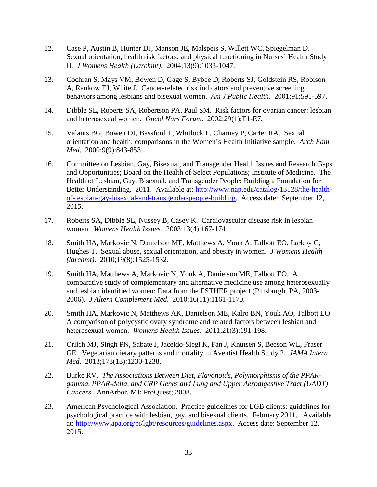- 12. Case P, Austin B, Hunter DJ, Manson JE, Malspeis S, Willett WC, Spiegelman D. Sexual orientation, health risk factors, and physical functioning in Nurses' Health Study II. *J Womens Health (Larchmt)*. 2004;13(9):1033-1047.
- 13. Cochran S, Mays VM, Bowen D, Gage S, Bybee D, Roberts SJ, Goldstein RS, Robison A, Rankow EJ, White J. Cancer-related risk indicators and preventive screening behaviors among lesbians and bisexual women. *Am J Public Health*. 2001;91:591-597.
- 14. Dibble SL, Roberts SA, Robertson PA, Paul SM. Risk factors for ovarian cancer: lesbian and heterosexual women. *Oncol Nurs Forum*. 2002;29(1):E1-E7.
- 15. Valanis BG, Bowen DJ, Bassford T, Whitlock E, Charney P, Carter RA. Sexual orientation and health: comparisons in the Women's Health Initiative sample. *Arch Fam Med*. 2000;9(9):843-853.
- 16. Committee on Lesbian, Gay, Bisexual, and Transgender Health Issues and Research Gaps and Opportunities; Board on the Health of Select Populations; Institute of Medicine. The Health of Lesbian, Gay, Bisexual, and Transgender People: Building a Foundation for Better Understanding. 2011. Available at: [http://www.nap.edu/catalog/13128/the-health](http://www.nap.edu/catalog/13128/the-health-of-lesbian-gay-bisexual-and-transgender-people-building)[of-lesbian-gay-bisexual-and-transgender-people-building.](http://www.nap.edu/catalog/13128/the-health-of-lesbian-gay-bisexual-and-transgender-people-building) Access date: September 12, 2015.
- 17. Roberts SA, Dibble SL, Nussey B, Casey K. Cardiovascular disease risk in lesbian women. *Womens Health Issues*. 2003;13(4):167-174.
- 18. Smith HA, Markovic N, Danielson ME, Matthews A, Youk A, Talbott EO, Larkby C, Hughes T. Sexual abuse, sexual orientation, and obesity in women. *J Womens Health (larchmt)*. 2010;19(8):1525-1532.
- 19. Smith HA, Matthews A, Markovic N, Youk A, Danielson ME, Talbott EO. A comparative study of complementary and alternative medicine use among heterosexually and lesbian identified women: Data from the ESTHER project (Pittsburgh, PA, 2003- 2006). *J Altern Complement Med*. 2010;16(11):1161-1170.
- 20. Smith HA, Markovic N, Matthews AK, Danielson ME, Kalro BN, Youk AO, Talbott EO. A comparison of polycystic ovary syndrome and related factors between lesbian and heterosexual women. *Womens Health Issues*. 2011;21(3):191-198.
- 21. Orlich MJ, Singh PN, Sabate J, Jaceldo-Siegl K, Fan J, Knutsen S, Beeson WL, Fraser GE. Vegetarian dietary patterns and mortality in Aventist Health Study 2. *JAMA Intern Med*. 2013;173(13):1230-1238.
- 22. Burke RV. *The Associations Between Diet, Flavonoids, Polymorphisms of the PPARgamma, PPAR-delta, and CRP Genes and Lung and Upper Aerodigestive Tract (UADT) Cancers*. AnnArbor, MI: ProQuest; 2008.
- 23. American Psychological Association. Practice guidelines for LGB clients: guidelines for psychological practice with lesbian, gay, and bisexual clients. February 2011. Available at: [http://www.apa.org/pi/lgbt/resources/guidelines.aspx.](http://www.apa.org/pi/lgbt/resources/guidelines.aspx) Access date: September 12, 2015.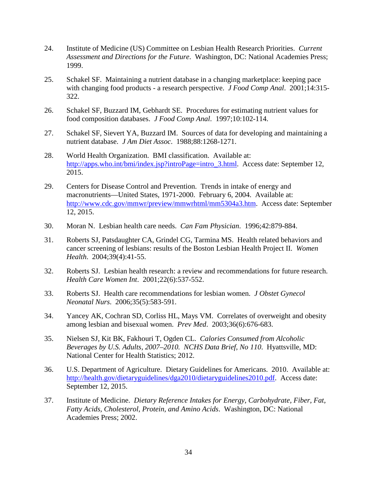- 24. Institute of Medicine (US) Committee on Lesbian Health Research Priorities. *Current Assessment and Directions for the Future*. Washington, DC: National Academies Press; 1999.
- 25. Schakel SF. Maintaining a nutrient database in a changing marketplace: keeping pace with changing food products - a research perspective. *J Food Comp Anal*. 2001;14:315- 322.
- 26. Schakel SF, Buzzard IM, Gebhardt SE. Procedures for estimating nutrient values for food composition databases. *J Food Comp Anal*. 1997;10:102-114.
- 27. Schakel SF, Sievert YA, Buzzard IM. Sources of data for developing and maintaining a nutrient database. *J Am Diet Assoc*. 1988;88:1268-1271.
- 28. World Health Organization. BMI classification. Available at: [http://apps.who.int/bmi/index.jsp?introPage=intro\\_3.html.](http://apps.who.int/bmi/index.jsp?introPage=intro_3.html) Access date: September 12, 2015.
- 29. Centers for Disease Control and Prevention. Trends in intake of energy and macronutrients—United States, 1971-2000. February 6, 2004. Available at: [http://www.cdc.gov/mmwr/preview/mmwrhtml/mm5304a3.htm.](http://www.cdc.gov/mmwr/preview/mmwrhtml/mm5304a3.htm) Access date: September 12, 2015.
- 30. Moran N. Lesbian health care needs. *Can Fam Physician*. 1996;42:879-884.
- 31. Roberts SJ, Patsdaughter CA, Grindel CG, Tarmina MS. Health related behaviors and cancer screening of lesbians: results of the Boston Lesbian Health Project II. *Women Health*. 2004;39(4):41-55.
- 32. Roberts SJ. Lesbian health research: a review and recommendations for future research. *Health Care Women Int*. 2001;22(6):537-552.
- 33. Roberts SJ. Health care recommendations for lesbian women. *J Obstet Gynecol Neonatal Nurs*. 2006;35(5):583-591.
- 34. Yancey AK, Cochran SD, Corliss HL, Mays VM. Correlates of overweight and obesity among lesbian and bisexual women. *Prev Med*. 2003;36(6):676-683.
- 35. Nielsen SJ, Kit BK, Fakhouri T, Ogden CL. *Calories Consumed from Alcoholic Beverages by U.S. Adults, 2007–2010. NCHS Data Brief, No 110*. Hyattsville, MD: National Center for Health Statistics; 2012.
- 36. U.S. Department of Agriculture. Dietary Guidelines for Americans. 2010. Available at: [http://health.gov/dietaryguidelines/dga2010/dietaryguidelines2010.pdf.](http://health.gov/dietaryguidelines/dga2010/dietaryguidelines2010.pdf) Access date: September 12, 2015.
- 37. Institute of Medicine. *Dietary Reference Intakes for Energy, Carbohydrate, Fiber, Fat, Fatty Acids, Cholesterol, Protein, and Amino Acids*. Washington, DC: National Academies Press; 2002.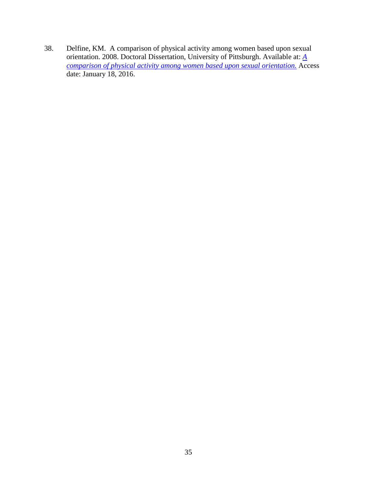38. Delfine, KM. A comparison of physical activity among women based upon sexual orientation. 2008. Doctoral Dissertation, University of Pittsburgh. Available at: *[A](http://d-scholarship.pitt.edu/9374/) [comparison of physical activity among women based upon sexual orientation.](http://d-scholarship.pitt.edu/9374/)* Access date: January 18, 2016.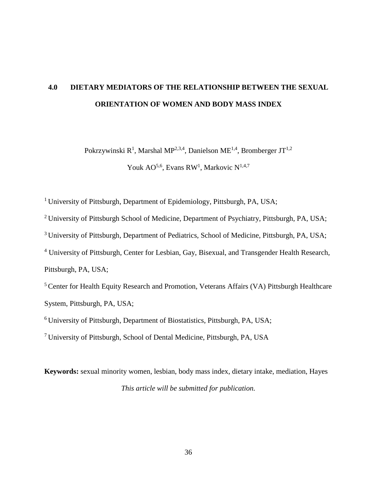# **4.0 DIETARY MEDIATORS OF THE RELATIONSHIP BETWEEN THE SEXUAL ORIENTATION OF WOMEN AND BODY MASS INDEX**

Pokrzywinski R<sup>1</sup>, Marshal MP<sup>2,3,4</sup>, Danielson ME<sup>1,4</sup>, Bromberger JT<sup>1,2</sup>

Youk AO<sup>5,6</sup>, Evans RW<sup>1</sup>, Markovic N<sup>1,4,7</sup>

<sup>1</sup> University of Pittsburgh, Department of Epidemiology, Pittsburgh, PA, USA;

<sup>2</sup> University of Pittsburgh School of Medicine, Department of Psychiatry, Pittsburgh, PA, USA;

<sup>3</sup> University of Pittsburgh, Department of Pediatrics, School of Medicine, Pittsburgh, PA, USA;

<sup>4</sup> University of Pittsburgh, Center for Lesbian, Gay, Bisexual, and Transgender Health Research, Pittsburgh, PA, USA;

<sup>5</sup> Center for Health Equity Research and Promotion, Veterans Affairs (VA) Pittsburgh Healthcare System, Pittsburgh, PA, USA;

6 University of Pittsburgh, Department of Biostatistics, Pittsburgh, PA, USA;

7 University of Pittsburgh, School of Dental Medicine, Pittsburgh, PA, USA

**Keywords:** sexual minority women, lesbian, body mass index, dietary intake, mediation, Hayes *This article will be submitted for publication.*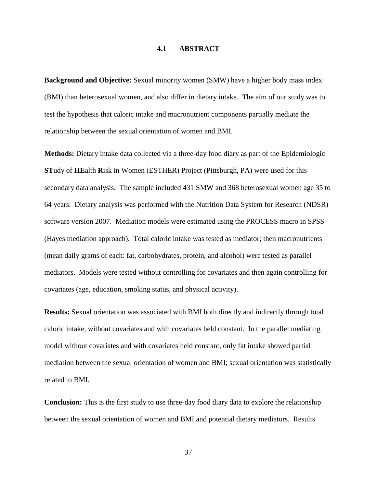#### **4.1 ABSTRACT**

**Background and Objective:** Sexual minority women (SMW) have a higher body mass index (BMI) than heterosexual women, and also differ in dietary intake. The aim of our study was to test the hypothesis that caloric intake and macronutrient components partially mediate the relationship between the sexual orientation of women and BMI.

**Methods:** Dietary intake data collected via a three-day food diary as part of the **E**pidemiologic **ST**udy of **HE**alth **R**isk in Women (ESTHER) Project (Pittsburgh, PA) were used for this secondary data analysis. The sample included 431 SMW and 368 heterosexual women age 35 to 64 years. Dietary analysis was performed with the Nutrition Data System for Research (NDSR) software version 2007. Mediation models were estimated using the PROCESS macro in SPSS (Hayes mediation approach). Total caloric intake was tested as mediator; then macronutrients (mean daily grams of each: fat, carbohydrates, protein, and alcohol) were tested as parallel mediators. Models were tested without controlling for covariates and then again controlling for covariates (age, education, smoking status, and physical activity).

**Results:** Sexual orientation was associated with BMI both directly and indirectly through total caloric intake, without covariates and with covariates held constant. In the parallel mediating model without covariates and with covariates held constant, only fat intake showed partial mediation between the sexual orientation of women and BMI; sexual orientation was statistically related to BMI.

**Conclusion:** This is the first study to use three-day food diary data to explore the relationship between the sexual orientation of women and BMI and potential dietary mediators. Results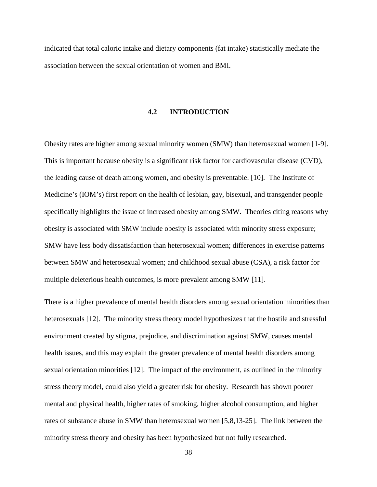indicated that total caloric intake and dietary components (fat intake) statistically mediate the association between the sexual orientation of women and BMI.

### **4.2 INTRODUCTION**

Obesity rates are higher among sexual minority women (SMW) than heterosexual women [1-9]. This is important because obesity is a significant risk factor for cardiovascular disease (CVD), the leading cause of death among women, and obesity is preventable. [10]. The Institute of Medicine's (IOM's) first report on the health of lesbian, gay, bisexual, and transgender people specifically highlights the issue of increased obesity among SMW. Theories citing reasons why obesity is associated with SMW include obesity is associated with minority stress exposure; SMW have less body dissatisfaction than heterosexual women; differences in exercise patterns between SMW and heterosexual women; and childhood sexual abuse (CSA), a risk factor for multiple deleterious health outcomes, is more prevalent among SMW [11].

There is a higher prevalence of mental health disorders among sexual orientation minorities than heterosexuals [12]. The minority stress theory model hypothesizes that the hostile and stressful environment created by stigma, prejudice, and discrimination against SMW, causes mental health issues, and this may explain the greater prevalence of mental health disorders among sexual orientation minorities [12]. The impact of the environment, as outlined in the minority stress theory model, could also yield a greater risk for obesity. Research has shown poorer mental and physical health, higher rates of smoking, higher alcohol consumption, and higher rates of substance abuse in SMW than heterosexual women [5,8,13-25]. The link between the minority stress theory and obesity has been hypothesized but not fully researched.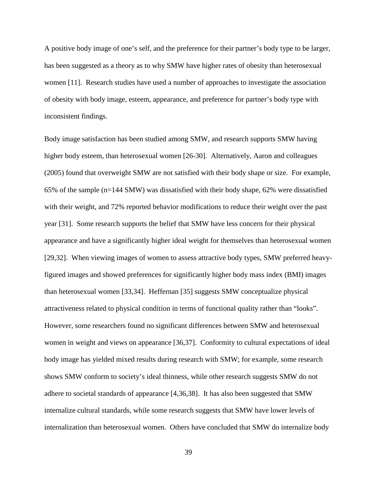A positive body image of one's self, and the preference for their partner's body type to be larger, has been suggested as a theory as to why SMW have higher rates of obesity than heterosexual women [11]. Research studies have used a number of approaches to investigate the association of obesity with body image, esteem, appearance, and preference for partner's body type with inconsistent findings.

Body image satisfaction has been studied among SMW, and research supports SMW having higher body esteem, than heterosexual women [26-30]. Alternatively, Aaron and colleagues (2005) found that overweight SMW are not satisfied with their body shape or size. For example, 65% of the sample (n=144 SMW) was dissatisfied with their body shape, 62% were dissatisfied with their weight, and 72% reported behavior modifications to reduce their weight over the past year [31]. Some research supports the belief that SMW have less concern for their physical appearance and have a significantly higher ideal weight for themselves than heterosexual women [29,32]. When viewing images of women to assess attractive body types, SMW preferred heavyfigured images and showed preferences for significantly higher body mass index (BMI) images than heterosexual women [33,34]. Heffernan [35] suggests SMW conceptualize physical attractiveness related to physical condition in terms of functional quality rather than "looks". However, some researchers found no significant differences between SMW and heterosexual women in weight and views on appearance [36,37]. Conformity to cultural expectations of ideal body image has yielded mixed results during research with SMW; for example, some research shows SMW conform to society's ideal thinness, while other research suggests SMW do not adhere to societal standards of appearance [4,36,38]. It has also been suggested that SMW internalize cultural standards, while some research suggests that SMW have lower levels of internalization than heterosexual women. Others have concluded that SMW do internalize body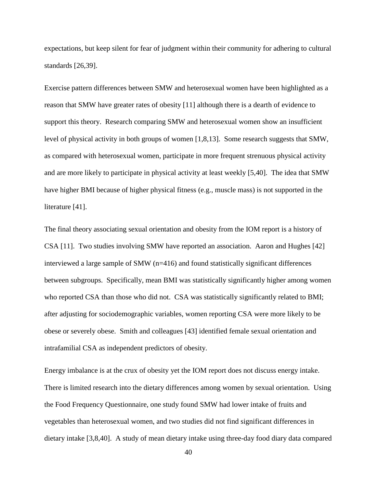expectations, but keep silent for fear of judgment within their community for adhering to cultural standards [26,39].

Exercise pattern differences between SMW and heterosexual women have been highlighted as a reason that SMW have greater rates of obesity [11] although there is a dearth of evidence to support this theory. Research comparing SMW and heterosexual women show an insufficient level of physical activity in both groups of women [1,8,13]. Some research suggests that SMW, as compared with heterosexual women, participate in more frequent strenuous physical activity and are more likely to participate in physical activity at least weekly [5,40]. The idea that SMW have higher BMI because of higher physical fitness (e.g., muscle mass) is not supported in the literature [41].

The final theory associating sexual orientation and obesity from the IOM report is a history of CSA [11]. Two studies involving SMW have reported an association. Aaron and Hughes [42] interviewed a large sample of SMW (n=416) and found statistically significant differences between subgroups. Specifically, mean BMI was statistically significantly higher among women who reported CSA than those who did not. CSA was statistically significantly related to BMI; after adjusting for sociodemographic variables, women reporting CSA were more likely to be obese or severely obese. Smith and colleagues [43] identified female sexual orientation and intrafamilial CSA as independent predictors of obesity.

Energy imbalance is at the crux of obesity yet the IOM report does not discuss energy intake. There is limited research into the dietary differences among women by sexual orientation. Using the Food Frequency Questionnaire, one study found SMW had lower intake of fruits and vegetables than heterosexual women, and two studies did not find significant differences in dietary intake [3,8,40]. A study of mean dietary intake using three-day food diary data compared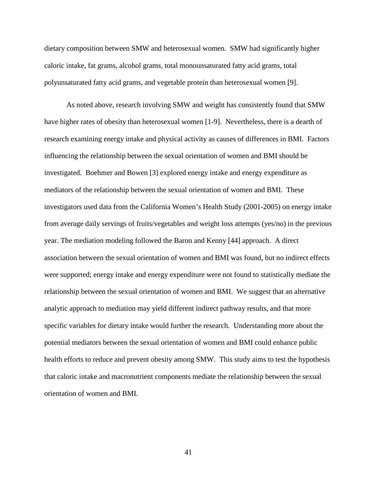dietary composition between SMW and heterosexual women. SMW had significantly higher caloric intake, fat grams, alcohol grams, total monounsaturated fatty acid grams, total polyunsaturated fatty acid grams, and vegetable protein than heterosexual women [9].

As noted above, research involving SMW and weight has consistently found that SMW have higher rates of obesity than heterosexual women [1-9]. Nevertheless, there is a dearth of research examining energy intake and physical activity as causes of differences in BMI. Factors influencing the relationship between the sexual orientation of women and BMI should be investigated. Boehmer and Bowen [3] explored energy intake and energy expenditure as mediators of the relationship between the sexual orientation of women and BMI. These investigators used data from the California Women's Health Study (2001-2005) on energy intake from average daily servings of fruits/vegetables and weight loss attempts (yes/no) in the previous year. The mediation modeling followed the Baron and Kenny [44] approach. A direct association between the sexual orientation of women and BMI was found, but no indirect effects were supported; energy intake and energy expenditure were not found to statistically mediate the relationship between the sexual orientation of women and BMI. We suggest that an alternative analytic approach to mediation may yield different indirect pathway results, and that more specific variables for dietary intake would further the research. Understanding more about the potential mediators between the sexual orientation of women and BMI could enhance public health efforts to reduce and prevent obesity among SMW. This study aims to test the hypothesis that caloric intake and macronutrient components mediate the relationship between the sexual orientation of women and BMI.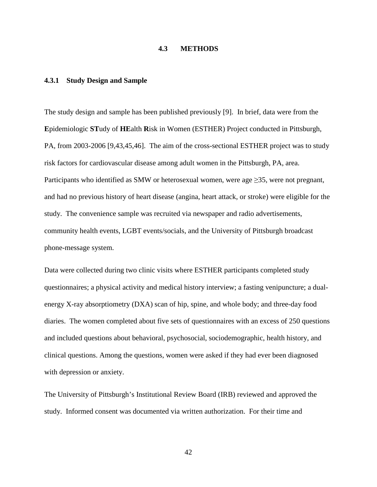## **4.3 METHODS**

#### **4.3.1 Study Design and Sample**

The study design and sample has been published previously [9]. In brief, data were from the **E**pidemiologic **ST**udy of **HE**alth **R**isk in Women (ESTHER) Project conducted in Pittsburgh, PA, from 2003-2006 [9,43,45,46]. The aim of the cross-sectional ESTHER project was to study risk factors for cardiovascular disease among adult women in the Pittsburgh, PA, area. Participants who identified as SMW or heterosexual women, were age  $\geq$ 35, were not pregnant, and had no previous history of heart disease (angina, heart attack, or stroke) were eligible for the study. The convenience sample was recruited via newspaper and radio advertisements, community health events, LGBT events/socials, and the University of Pittsburgh broadcast phone-message system.

Data were collected during two clinic visits where ESTHER participants completed study questionnaires; a physical activity and medical history interview; a fasting venipuncture; a dualenergy X-ray absorptiometry (DXA) scan of hip, spine, and whole body; and three-day food diaries. The women completed about five sets of questionnaires with an excess of 250 questions and included questions about behavioral, psychosocial, sociodemographic, health history, and clinical questions. Among the questions, women were asked if they had ever been diagnosed with depression or anxiety.

The University of Pittsburgh's Institutional Review Board (IRB) reviewed and approved the study. Informed consent was documented via written authorization. For their time and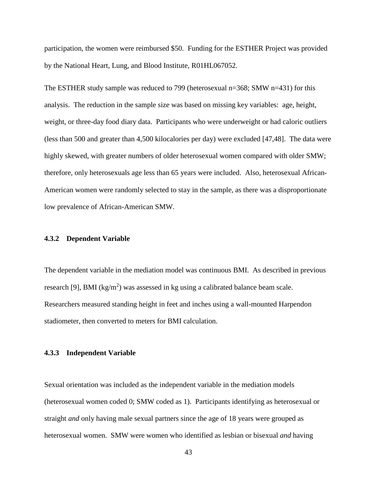participation, the women were reimbursed \$50. Funding for the ESTHER Project was provided by the National Heart, Lung, and Blood Institute, R01HL067052.

The ESTHER study sample was reduced to 799 (heterosexual n=368; SMW n=431) for this analysis. The reduction in the sample size was based on missing key variables: age, height, weight, or three-day food diary data. Participants who were underweight or had caloric outliers (less than 500 and greater than 4,500 kilocalories per day) were excluded [47,48]. The data were highly skewed, with greater numbers of older heterosexual women compared with older SMW; therefore, only heterosexuals age less than 65 years were included. Also, heterosexual African-American women were randomly selected to stay in the sample, as there was a disproportionate low prevalence of African-American SMW.

#### **4.3.2 Dependent Variable**

The dependent variable in the mediation model was continuous BMI. As described in previous research [9], BMI ( $kg/m<sup>2</sup>$ ) was assessed in kg using a calibrated balance beam scale. Researchers measured standing height in feet and inches using a wall-mounted Harpendon stadiometer, then converted to meters for BMI calculation.

#### **4.3.3 Independent Variable**

Sexual orientation was included as the independent variable in the mediation models (heterosexual women coded 0; SMW coded as 1). Participants identifying as heterosexual or straight *and* only having male sexual partners since the age of 18 years were grouped as heterosexual women. SMW were women who identified as lesbian or bisexual *and* having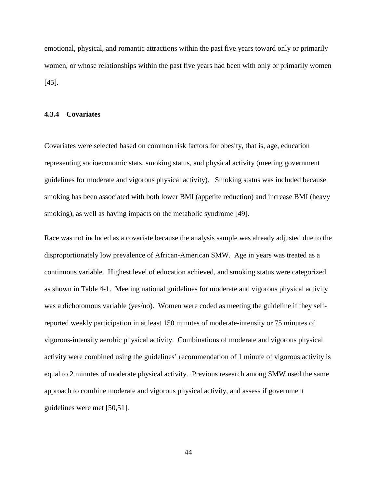emotional, physical, and romantic attractions within the past five years toward only or primarily women, or whose relationships within the past five years had been with only or primarily women [45].

#### **4.3.4 Covariates**

Covariates were selected based on common risk factors for obesity, that is, age, education representing socioeconomic stats, smoking status, and physical activity (meeting government guidelines for moderate and vigorous physical activity). Smoking status was included because smoking has been associated with both lower BMI (appetite reduction) and increase BMI (heavy smoking), as well as having impacts on the metabolic syndrome [49].

Race was not included as a covariate because the analysis sample was already adjusted due to the disproportionately low prevalence of African-American SMW. Age in years was treated as a continuous variable. Highest level of education achieved, and smoking status were categorized as shown in Table 4-1. Meeting national guidelines for moderate and vigorous physical activity was a dichotomous variable (yes/no). Women were coded as meeting the guideline if they selfreported weekly participation in at least 150 minutes of moderate-intensity or 75 minutes of vigorous-intensity aerobic physical activity. Combinations of moderate and vigorous physical activity were combined using the guidelines' recommendation of 1 minute of vigorous activity is equal to 2 minutes of moderate physical activity. Previous research among SMW used the same approach to combine moderate and vigorous physical activity, and assess if government guidelines were met [50,51].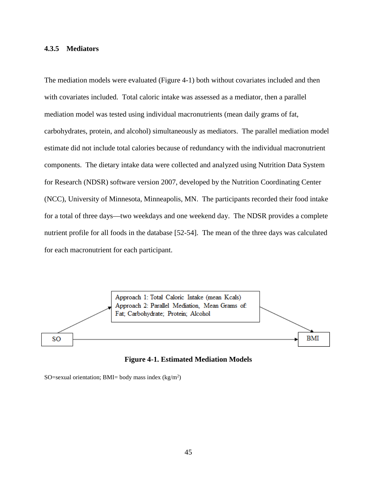#### **4.3.5 Mediators**

The mediation models were evaluated (Figure 4-1) both without covariates included and then with covariates included. Total caloric intake was assessed as a mediator, then a parallel mediation model was tested using individual macronutrients (mean daily grams of fat, carbohydrates, protein, and alcohol) simultaneously as mediators. The parallel mediation model estimate did not include total calories because of redundancy with the individual macronutrient components. The dietary intake data were collected and analyzed using Nutrition Data System for Research (NDSR) software version 2007, developed by the Nutrition Coordinating Center (NCC), University of Minnesota, Minneapolis, MN. The participants recorded their food intake for a total of three days—two weekdays and one weekend day. The NDSR provides a complete nutrient profile for all foods in the database [52-54]. The mean of the three days was calculated for each macronutrient for each participant.



**Figure 4-1. Estimated Mediation Models**

SO=sexual orientation; BMI= body mass index  $(kg/m^2)$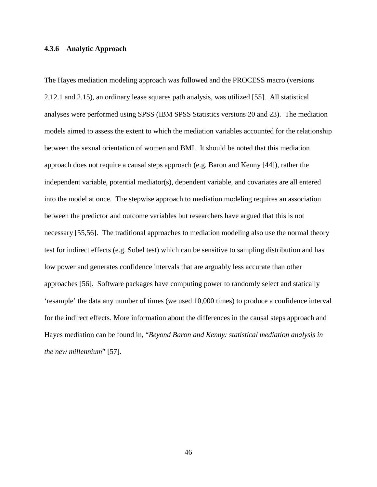#### **4.3.6 Analytic Approach**

The Hayes mediation modeling approach was followed and the PROCESS macro (versions 2.12.1 and 2.15), an ordinary lease squares path analysis, was utilized [55]. All statistical analyses were performed using SPSS (IBM SPSS Statistics versions 20 and 23). The mediation models aimed to assess the extent to which the mediation variables accounted for the relationship between the sexual orientation of women and BMI. It should be noted that this mediation approach does not require a causal steps approach (e.g. Baron and Kenny [44]), rather the independent variable, potential mediator(s), dependent variable, and covariates are all entered into the model at once. The stepwise approach to mediation modeling requires an association between the predictor and outcome variables but researchers have argued that this is not necessary [55,56]. The traditional approaches to mediation modeling also use the normal theory test for indirect effects (e.g. Sobel test) which can be sensitive to sampling distribution and has low power and generates confidence intervals that are arguably less accurate than other approaches [56]. Software packages have computing power to randomly select and statically 'resample' the data any number of times (we used 10,000 times) to produce a confidence interval for the indirect effects. More information about the differences in the causal steps approach and Hayes mediation can be found in, "*Beyond Baron and Kenny: statistical mediation analysis in the new millennium*" [57].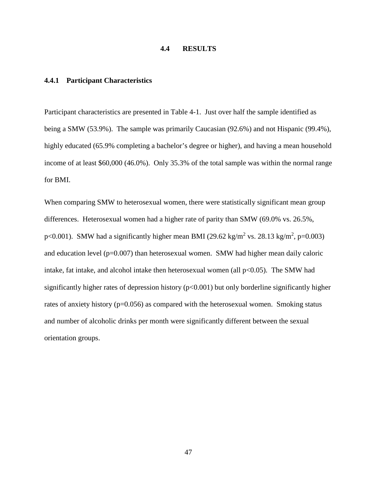## **4.4 RESULTS**

#### **4.4.1 Participant Characteristics**

Participant characteristics are presented in Table 4-1. Just over half the sample identified as being a SMW (53.9%). The sample was primarily Caucasian (92.6%) and not Hispanic (99.4%), highly educated (65.9% completing a bachelor's degree or higher), and having a mean household income of at least \$60,000 (46.0%). Only 35.3% of the total sample was within the normal range for BMI.

When comparing SMW to heterosexual women, there were statistically significant mean group differences. Heterosexual women had a higher rate of parity than SMW (69.0% vs. 26.5%, p<0.001). SMW had a significantly higher mean BMI (29.62 kg/m<sup>2</sup> vs. 28.13 kg/m<sup>2</sup>, p=0.003) and education level (p=0.007) than heterosexual women. SMW had higher mean daily caloric intake, fat intake, and alcohol intake then heterosexual women (all  $p<0.05$ ). The SMW had significantly higher rates of depression history  $(p<0.001)$  but only borderline significantly higher rates of anxiety history ( $p=0.056$ ) as compared with the heterosexual women. Smoking status and number of alcoholic drinks per month were significantly different between the sexual orientation groups.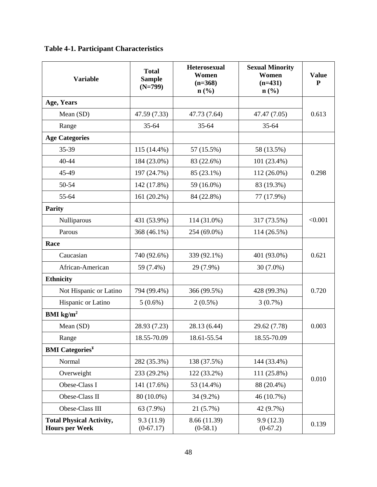| <b>Table 4-1. Participant Characteristics</b> |  |  |
|-----------------------------------------------|--|--|
|-----------------------------------------------|--|--|

| <b>Variable</b>                                          | <b>Total</b><br><b>Sample</b><br>$(N=799)$ | <b>Heterosexual</b><br>Women<br>$(n=368)$<br>$n\left(\frac{0}{0}\right)$ | <b>Sexual Minority</b><br>Women<br>$(n=431)$<br>$n\left(\frac{0}{0}\right)$ | <b>Value</b><br>${\bf P}$ |  |
|----------------------------------------------------------|--------------------------------------------|--------------------------------------------------------------------------|-----------------------------------------------------------------------------|---------------------------|--|
| Age, Years                                               |                                            |                                                                          |                                                                             |                           |  |
| Mean (SD)                                                | 47.59 (7.33)                               | 47.73 (7.64)                                                             | 47.47 (7.05)                                                                | 0.613                     |  |
| Range                                                    | 35-64                                      | $35 - 64$                                                                | 35-64                                                                       |                           |  |
| <b>Age Categories</b>                                    |                                            |                                                                          |                                                                             |                           |  |
| 35-39                                                    | 115 (14.4%)                                | 57 (15.5%)                                                               | 58 (13.5%)                                                                  |                           |  |
| 40-44                                                    | 184 (23.0%)                                | 83 (22.6%)                                                               | 101 (23.4%)                                                                 |                           |  |
| 45-49                                                    | 197 (24.7%)                                | 85 (23.1%)                                                               | 112 (26.0%)                                                                 | 0.298                     |  |
| 50-54                                                    | 142 (17.8%)                                | 59 (16.0%)                                                               | 83 (19.3%)                                                                  |                           |  |
| 55-64                                                    | 161 (20.2%)                                | 84 (22.8%)                                                               | 77 (17.9%)                                                                  |                           |  |
| <b>Parity</b>                                            |                                            |                                                                          |                                                                             |                           |  |
| Nulliparous                                              | 431 (53.9%)                                | 114 (31.0%)                                                              | 317 (73.5%)                                                                 | < 0.001                   |  |
| Parous                                                   | 368 (46.1%)                                | 254 (69.0%)                                                              | 114 (26.5%)                                                                 |                           |  |
| Race                                                     |                                            |                                                                          |                                                                             |                           |  |
| Caucasian                                                | 740 (92.6%)                                | 339 (92.1%)                                                              | 401 (93.0%)                                                                 | 0.621                     |  |
| African-American                                         | 59 (7.4%)                                  | 29 (7.9%)                                                                | $30(7.0\%)$                                                                 |                           |  |
| <b>Ethnicity</b>                                         |                                            |                                                                          |                                                                             |                           |  |
| Not Hispanic or Latino                                   | 794 (99.4%)                                | 366 (99.5%)                                                              | 428 (99.3%)                                                                 | 0.720                     |  |
| Hispanic or Latino                                       | $5(0.6\%)$                                 | $2(0.5\%)$                                                               | 3(0.7%)                                                                     |                           |  |
| BMI $\text{kg/m}^2$                                      |                                            |                                                                          |                                                                             |                           |  |
| Mean (SD)                                                | 28.93 (7.23)                               | 28.13 (6.44)                                                             | 29.62 (7.78)                                                                | 0.003                     |  |
| Range                                                    | 18.55-70.09                                | 18.61-55.54                                                              | 18.55-70.09                                                                 |                           |  |
| <b>BMI</b> Categories <sup>¥</sup>                       |                                            |                                                                          |                                                                             |                           |  |
| Normal                                                   | 282 (35.3%)                                | 138 (37.5%)                                                              | 144 (33.4%)                                                                 |                           |  |
| Overweight                                               | 233 (29.2%)                                | 122 (33.2%)                                                              | 111 (25.8%)                                                                 |                           |  |
| Obese-Class I                                            | 141 (17.6%)                                | 53 (14.4%)                                                               | 88 (20.4%)                                                                  | 0.010                     |  |
| Obese-Class II                                           | 80 (10.0%)                                 | $34(9.2\%)$                                                              | 46 (10.7%)                                                                  |                           |  |
| Obese-Class III                                          | 63 (7.9%)                                  | 21(5.7%)                                                                 | 42 (9.7%)                                                                   |                           |  |
| <b>Total Physical Activity,</b><br><b>Hours per Week</b> | 9.3(11.9)<br>$(0-67.17)$                   | 8.66 (11.39)<br>$(0-58.1)$                                               | 9.9(12.3)<br>$(0-67.2)$                                                     | 0.139                     |  |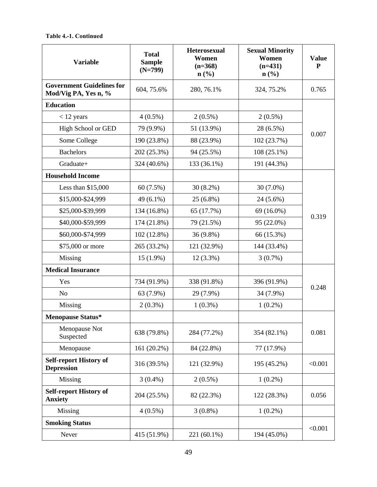#### **Table 4.-1. Continued**

| <b>Variable</b>                                          | <b>Total</b><br><b>Sample</b><br>$(N=799)$ | <b>Heterosexual</b><br>Women<br>$(n=368)$<br>$n\left(\frac{0}{0}\right)$ | <b>Sexual Minority</b><br>Women<br>$(n=431)$<br>$n\left(\frac{0}{0}\right)$ | <b>Value</b><br>${\bf P}$ |
|----------------------------------------------------------|--------------------------------------------|--------------------------------------------------------------------------|-----------------------------------------------------------------------------|---------------------------|
| <b>Government Guidelines for</b><br>Mod/Vig PA, Yes n, % | 604, 75.6%                                 | 280, 76.1%                                                               | 324, 75.2%                                                                  | 0.765                     |
| <b>Education</b>                                         |                                            |                                                                          |                                                                             |                           |
| $<$ 12 years                                             | $4(0.5\%)$                                 | $2(0.5\%)$                                                               | $2(0.5\%)$                                                                  |                           |
| High School or GED                                       | 79 (9.9%)                                  | 51 (13.9%)                                                               | 28 (6.5%)                                                                   | 0.007                     |
| Some College                                             | 190 (23.8%)                                | 88 (23.9%)                                                               | 102 (23.7%)                                                                 |                           |
| <b>Bachelors</b>                                         | 202 (25.3%)                                | 94 (25.5%)                                                               | $108(25.1\%)$                                                               |                           |
| Graduate+                                                | 324 (40.6%)                                | 133 (36.1%)                                                              | 191 (44.3%)                                                                 |                           |
| <b>Household Income</b>                                  |                                            |                                                                          |                                                                             |                           |
| Less than $$15,000$                                      | 60(7.5%)                                   | $30(8.2\%)$                                                              | $30(7.0\%)$                                                                 |                           |
| \$15,000-\$24,999                                        | 49 (6.1%)                                  | $25(6.8\%)$                                                              | $24(5.6\%)$                                                                 |                           |
| \$25,000-\$39,999                                        | 134 (16.8%)                                | 65 (17.7%)                                                               | 69 (16.0%)                                                                  | 0.319                     |
| \$40,000-\$59,999                                        | 174 (21.8%)                                | 79 (21.5%)                                                               | 95 (22.0%)                                                                  |                           |
| \$60,000-\$74,999                                        | 102 (12.8%)                                | 36 (9.8%)                                                                | 66 (15.3%)                                                                  |                           |
| \$75,000 or more                                         | 265 (33.2%)                                | 121 (32.9%)                                                              | 144 (33.4%)                                                                 |                           |
| Missing                                                  | $15(1.9\%)$                                | $12(3.3\%)$                                                              | 3(0.7%)                                                                     |                           |
| <b>Medical Insurance</b>                                 |                                            |                                                                          |                                                                             |                           |
| Yes                                                      | 734 (91.9%)                                | 338 (91.8%)                                                              | 396 (91.9%)                                                                 | 0.248                     |
| N <sub>o</sub>                                           | 63 (7.9%)                                  | 29 (7.9%)                                                                | 34 (7.9%)                                                                   |                           |
| Missing                                                  | $2(0.3\%)$                                 | $1(0.3\%)$                                                               | $1(0.2\%)$                                                                  |                           |
| <b>Menopause Status*</b>                                 |                                            |                                                                          |                                                                             |                           |
| Menopause Not<br>Suspected                               | 638 (79.8%)                                | 284 (77.2%)                                                              | 354 (82.1%)                                                                 | 0.081                     |
| Menopause                                                | 161 (20.2%)                                | 84 (22.8%)                                                               | 77 (17.9%)                                                                  |                           |
| <b>Self-report History of</b><br><b>Depression</b>       | 316 (39.5%)                                | 121 (32.9%)                                                              | 195 (45.2%)                                                                 | < 0.001                   |
| Missing                                                  | $3(0.4\%)$                                 | $2(0.5\%)$                                                               | $1(0.2\%)$                                                                  |                           |
| <b>Self-report History of</b><br><b>Anxiety</b>          | 204 (25.5%)                                | 82 (22.3%)                                                               | 122 (28.3%)                                                                 | 0.056                     |
| Missing                                                  | $4(0.5\%)$                                 | $3(0.8\%)$                                                               | $1(0.2\%)$                                                                  |                           |
| <b>Smoking Status</b>                                    |                                            |                                                                          |                                                                             |                           |
| Never                                                    | 415 (51.9%)                                | 221 (60.1%)                                                              | 194 (45.0%)                                                                 | < 0.001                   |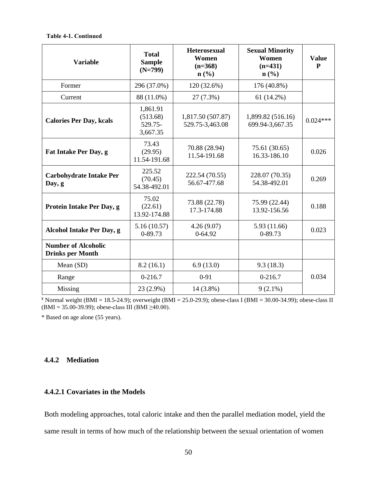#### **Table 4-1. Continued**

| <b>Variable</b>                                       | <b>Total</b><br><b>Sample</b><br>$(N=799)$  | <b>Heterosexual</b><br>Women<br>$(n=368)$<br>$n\left(\frac{9}{6}\right)$ | <b>Sexual Minority</b><br>Women<br>$(n=431)$<br>$n$ (%) | <b>Value</b><br>P |
|-------------------------------------------------------|---------------------------------------------|--------------------------------------------------------------------------|---------------------------------------------------------|-------------------|
| Former                                                | 296 (37.0%)                                 | 120 (32.6%)                                                              | 176 (40.8%)                                             |                   |
| Current                                               | 88 (11.0%)                                  | 27 (7.3%)                                                                | $61(14.2\%)$                                            |                   |
| <b>Calories Per Day, kcals</b>                        | 1,861.91<br>(513.68)<br>529.75-<br>3,667.35 | 1,817.50 (507.87)<br>529.75-3,463.08                                     | 1,899.82 (516.16)<br>699.94-3,667.35                    | $0.024***$        |
| Fat Intake Per Day, g                                 | 73.43<br>(29.95)<br>11.54-191.68            | 70.88 (28.94)<br>11.54-191.68                                            | 75.61 (30.65)<br>16.33-186.10                           | 0.026             |
| <b>Carbohydrate Intake Per</b><br>Day, g              | 225.52<br>(70.45)<br>54.38-492.01           | 222.54 (70.55)<br>56.67-477.68                                           | 228.07 (70.35)<br>54.38-492.01                          | 0.269             |
| Protein Intake Per Day, g                             | 75.02<br>(22.61)<br>13.92-174.88            | 73.88 (22.78)<br>17.3-174.88                                             | 75.99 (22.44)<br>13.92-156.56                           | 0.188             |
| <b>Alcohol Intake Per Day, g</b>                      | 5.16(10.57)<br>0-89.73                      | 4.26(9.07)<br>$0 - 64.92$                                                | 5.93 (11.66)<br>0-89.73                                 | 0.023             |
| <b>Number of Alcoholic</b><br><b>Drinks per Month</b> |                                             |                                                                          |                                                         |                   |
| Mean (SD)                                             | 8.2(16.1)                                   | 6.9(13.0)                                                                | 9.3(18.3)                                               |                   |
| Range                                                 | $0-216.7$                                   | $0 - 91$                                                                 | $0-216.7$                                               | 0.034             |
| Missing                                               | 23 (2.9%)                                   | 14 (3.8%)                                                                | $9(2.1\%)$                                              |                   |

 $*$  Normal weight (BMI = 18.5-24.9); overweight (BMI = 25.0-29.9); obese-class I (BMI = 30.00-34.99); obese-class II (BMI = 35.00-39.99); obese-class III (BMI ≥40.00).

\* Based on age alone (55 years).

## **4.4.2 Mediation**

## **4.4.2.1 Covariates in the Models**

Both modeling approaches, total caloric intake and then the parallel mediation model, yield the same result in terms of how much of the relationship between the sexual orientation of women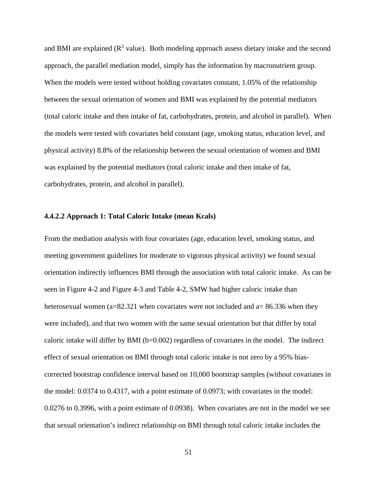and BMI are explained  $(R^2 \text{ value})$ . Both modeling approach assess dietary intake and the second approach, the parallel mediation model, simply has the information by macronutrient group. When the models were tested without holding covariates constant, 1.05% of the relationship between the sexual orientation of women and BMI was explained by the potential mediators (total caloric intake and then intake of fat, carbohydrates, protein, and alcohol in parallel). When the models were tested with covariates held constant (age, smoking status, education level, and physical activity) 8.8% of the relationship between the sexual orientation of women and BMI was explained by the potential mediators (total caloric intake and then intake of fat, carbohydrates, protein, and alcohol in parallel).

#### **4.4.2.2 Approach 1: Total Caloric Intake (mean Kcals)**

From the mediation analysis with four covariates (age, education level, smoking status, and meeting government guidelines for moderate to vigorous physical activity) we found sexual orientation indirectly influences BMI through the association with total caloric intake. As can be seen in Figure 4-2 and Figure 4-3 and Table 4-2, SMW had higher caloric intake than heterosexual women ( $a=82.321$  when covariates were not included and  $a=86.336$  when they were included), and that two women with the same sexual orientation but that differ by total caloric intake will differ by BMI ( $b=0.002$ ) regardless of covariates in the model. The indirect effect of sexual orientation on BMI through total caloric intake is not zero by a 95% biascorrected bootstrap confidence interval based on 10,000 bootstrap samples (without covariates in the model: 0.0374 to 0.4317, with a point estimate of 0.0973; with covariates in the model: 0.0276 to 0.3996, with a point estimate of 0.0938). When covariates are not in the model we see that sexual orientation's indirect relationship on BMI through total caloric intake includes the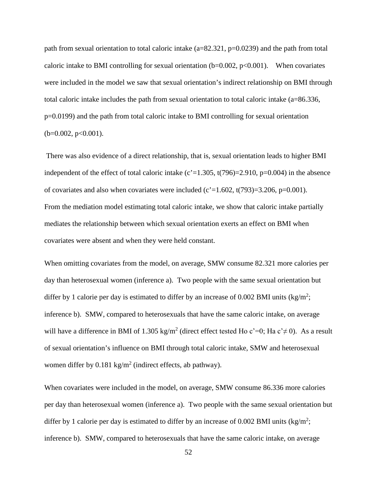path from sexual orientation to total caloric intake (a=82.321, p=0.0239) and the path from total caloric intake to BMI controlling for sexual orientation  $(b=0.002, p<0.001)$ . When covariates were included in the model we saw that sexual orientation's indirect relationship on BMI through total caloric intake includes the path from sexual orientation to total caloric intake (a=86.336, p=0.0199) and the path from total caloric intake to BMI controlling for sexual orientation  $(b=0.002, p<0.001)$ .

There was also evidence of a direct relationship, that is, sexual orientation leads to higher BMI independent of the effect of total caloric intake  $(c'=1.305, t(796)=2.910, p=0.004)$  in the absence of covariates and also when covariates were included (c' $=1.602$ , t(793)=3.206, p=0.001). From the mediation model estimating total caloric intake, we show that caloric intake partially mediates the relationship between which sexual orientation exerts an effect on BMI when covariates were absent and when they were held constant.

When omitting covariates from the model, on average, SMW consume 82.321 more calories per day than heterosexual women (inference a). Two people with the same sexual orientation but differ by 1 calorie per day is estimated to differ by an increase of 0.002 BMI units ( $\text{kg/m}^2$ ; inference b). SMW, compared to heterosexuals that have the same caloric intake, on average will have a difference in BMI of 1.305 kg/m<sup>2</sup> (direct effect tested Ho c'=0; Ha c' $\neq$  0). As a result of sexual orientation's influence on BMI through total caloric intake, SMW and heterosexual women differ by  $0.181 \text{ kg/m}^2$  (indirect effects, ab pathway).

When covariates were included in the model, on average, SMW consume 86.336 more calories per day than heterosexual women (inference a). Two people with the same sexual orientation but differ by 1 calorie per day is estimated to differ by an increase of 0.002 BMI units ( $\text{kg/m}^2$ ; inference b). SMW, compared to heterosexuals that have the same caloric intake, on average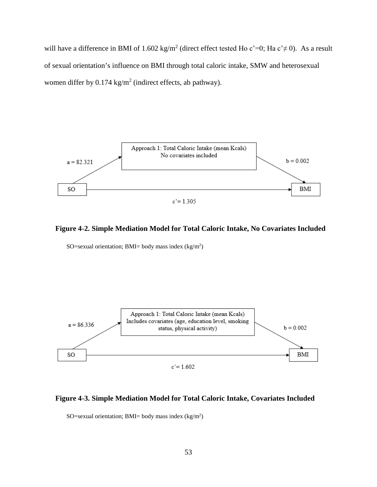will have a difference in BMI of 1.602 kg/m<sup>2</sup> (direct effect tested Ho c'=0; Ha c' $\neq$  0). As a result of sexual orientation's influence on BMI through total caloric intake, SMW and heterosexual women differ by  $0.174 \text{ kg/m}^2$  (indirect effects, ab pathway).



#### **Figure 4-2. Simple Mediation Model for Total Caloric Intake, No Covariates Included**

SO=sexual orientation; BMI= body mass index  $(kg/m^2)$ 



#### **Figure 4-3. Simple Mediation Model for Total Caloric Intake, Covariates Included**

SO=sexual orientation; BMI= body mass index  $(kg/m<sup>2</sup>)$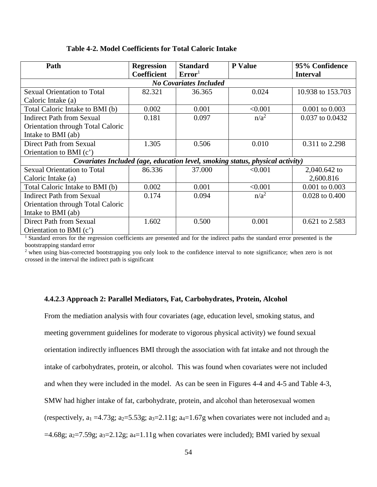#### **Table 4-2. Model Coefficients for Total Caloric Intake**

| Path                               | <b>Regression</b>             | <b>Standard</b>    | <b>P</b> Value                                                                | 95% Confidence     |  |  |  |  |
|------------------------------------|-------------------------------|--------------------|-------------------------------------------------------------------------------|--------------------|--|--|--|--|
|                                    | <b>Coefficient</b>            | Error <sup>1</sup> |                                                                               | <b>Interval</b>    |  |  |  |  |
|                                    | <b>No Covariates Included</b> |                    |                                                                               |                    |  |  |  |  |
| <b>Sexual Orientation to Total</b> | 82.321                        | 36.365             | 0.024                                                                         | 10.938 to 153.703  |  |  |  |  |
| Caloric Intake (a)                 |                               |                    |                                                                               |                    |  |  |  |  |
| Total Caloric Intake to BMI (b)    | 0.002                         | 0.001              | < 0.001                                                                       | $0.001$ to $0.003$ |  |  |  |  |
| <b>Indirect Path from Sexual</b>   | 0.181                         | 0.097              | $n/a^2$                                                                       | 0.037 to 0.0432    |  |  |  |  |
| Orientation through Total Caloric  |                               |                    |                                                                               |                    |  |  |  |  |
| Intake to BMI (ab)                 |                               |                    |                                                                               |                    |  |  |  |  |
| Direct Path from Sexual            | 1.305                         | 0.506              | 0.010                                                                         | 0.311 to 2.298     |  |  |  |  |
| Orientation to BMI (c')            |                               |                    |                                                                               |                    |  |  |  |  |
|                                    |                               |                    | Covariates Included (age, education level, smoking status, physical activity) |                    |  |  |  |  |
| <b>Sexual Orientation to Total</b> | 86.336                        | 37.000             | < 0.001                                                                       | 2,040.642 to       |  |  |  |  |
| Caloric Intake (a)                 |                               |                    |                                                                               | 2,600.816          |  |  |  |  |
| Total Caloric Intake to BMI (b)    | 0.002                         | 0.001              | < 0.001                                                                       | $0.001$ to $0.003$ |  |  |  |  |
| <b>Indirect Path from Sexual</b>   | 0.174                         | 0.094              | $n/a^2$                                                                       | $0.028$ to $0.400$ |  |  |  |  |
| Orientation through Total Caloric  |                               |                    |                                                                               |                    |  |  |  |  |
| Intake to BMI (ab)                 |                               |                    |                                                                               |                    |  |  |  |  |
| Direct Path from Sexual            | 1.602                         | 0.500              | 0.001                                                                         | 0.621 to 2.583     |  |  |  |  |
| Orientation to BMI (c')            |                               |                    |                                                                               |                    |  |  |  |  |

<sup>1</sup> Standard errors for the regression coefficients are presented and for the indirect paths the standard error presented is the bootstrapping standard error

 $2$  when using bias-corrected bootstrapping you only look to the confidence interval to note significance; when zero is not crossed in the interval the indirect path is significant

#### **4.4.2.3 Approach 2: Parallel Mediators, Fat, Carbohydrates, Protein, Alcohol**

From the mediation analysis with four covariates (age, education level, smoking status, and meeting government guidelines for moderate to vigorous physical activity) we found sexual orientation indirectly influences BMI through the association with fat intake and not through the intake of carbohydrates, protein, or alcohol. This was found when covariates were not included and when they were included in the model. As can be seen in Figures 4-4 and 4-5 and Table 4-3, SMW had higher intake of fat, carbohydrate, protein, and alcohol than heterosexual women (respectively,  $a_1 = 4.73g$ ;  $a_2 = 5.53g$ ;  $a_3 = 2.11g$ ;  $a_4 = 1.67g$  when covariates were not included and  $a_1$  $=4.68g$ ; a<sub>2</sub> $=7.59g$ ; a<sub>3</sub> $=2.12g$ ; a<sub>4</sub> $=1.11g$  when covariates were included); BMI varied by sexual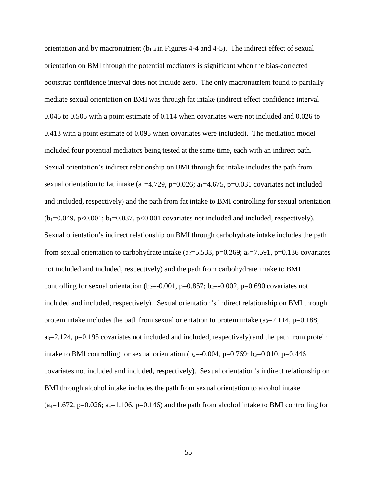orientation and by macronutrient  $(b_{1-4}$  in Figures 4-4 and 4-5). The indirect effect of sexual orientation on BMI through the potential mediators is significant when the bias-corrected bootstrap confidence interval does not include zero. The only macronutrient found to partially mediate sexual orientation on BMI was through fat intake (indirect effect confidence interval 0.046 to 0.505 with a point estimate of 0.114 when covariates were not included and 0.026 to 0.413 with a point estimate of 0.095 when covariates were included). The mediation model included four potential mediators being tested at the same time, each with an indirect path. Sexual orientation's indirect relationship on BMI through fat intake includes the path from sexual orientation to fat intake (a<sub>1</sub>=4.729, p=0.026; a<sub>1</sub>=4.675, p=0.031 covariates not included and included, respectively) and the path from fat intake to BMI controlling for sexual orientation  $(b_1=0.049, p<0.001; b_1=0.037, p<0.001$  covariates not included and included, respectively). Sexual orientation's indirect relationship on BMI through carbohydrate intake includes the path from sexual orientation to carbohydrate intake ( $a_2=5.533$ ,  $p=0.269$ ;  $a_2=7.591$ ,  $p=0.136$  covariates not included and included, respectively) and the path from carbohydrate intake to BMI controlling for sexual orientation ( $b_2$ =-0.001, p=0.857;  $b_2$ =-0.002, p=0.690 covariates not included and included, respectively). Sexual orientation's indirect relationship on BMI through protein intake includes the path from sexual orientation to protein intake  $(a<sub>3</sub>=2.114, p=0.188;$  $a_3=2.124$ , p=0.195 covariates not included and included, respectively) and the path from protein intake to BMI controlling for sexual orientation (b<sub>3</sub>=-0.004, p=0.769; b<sub>3</sub>=0.010, p=0.446 covariates not included and included, respectively). Sexual orientation's indirect relationship on BMI through alcohol intake includes the path from sexual orientation to alcohol intake  $(a_4=1.672, p=0.026; a_4=1.106, p=0.146)$  and the path from alcohol intake to BMI controlling for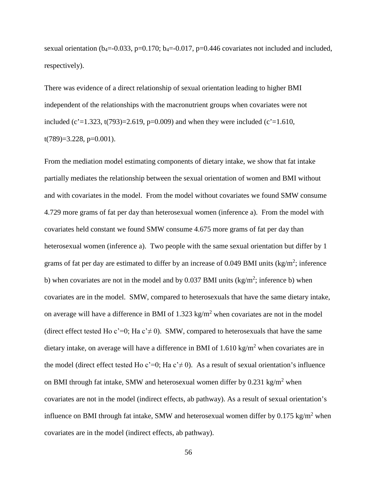sexual orientation ( $b_4 = -0.033$ ,  $p = 0.170$ ;  $b_4 = -0.017$ ,  $p = 0.446$  covariates not included and included, respectively).

There was evidence of a direct relationship of sexual orientation leading to higher BMI independent of the relationships with the macronutrient groups when covariates were not included (c'=1.323, t(793)=2.619, p=0.009) and when they were included (c'=1.610,  $t(789)=3.228$ , p=0.001).

From the mediation model estimating components of dietary intake, we show that fat intake partially mediates the relationship between the sexual orientation of women and BMI without and with covariates in the model. From the model without covariates we found SMW consume 4.729 more grams of fat per day than heterosexual women (inference a). From the model with covariates held constant we found SMW consume 4.675 more grams of fat per day than heterosexual women (inference a). Two people with the same sexual orientation but differ by 1 grams of fat per day are estimated to differ by an increase of 0.049 BMI units  $(kg/m^2)$ ; inference b) when covariates are not in the model and by 0.037 BMI units  $(kg/m^2)$ ; inference b) when covariates are in the model. SMW, compared to heterosexuals that have the same dietary intake, on average will have a difference in BMI of  $1.323 \text{ kg/m}^2$  when covariates are not in the model (direct effect tested Ho c'=0; Ha c' $\neq$  0). SMW, compared to heterosexuals that have the same dietary intake, on average will have a difference in BMI of  $1.610 \text{ kg/m}^2$  when covariates are in the model (direct effect tested Ho c'=0; Ha c' $\neq$  0). As a result of sexual orientation's influence on BMI through fat intake, SMW and heterosexual women differ by  $0.231 \text{ kg/m}^2$  when covariates are not in the model (indirect effects, ab pathway). As a result of sexual orientation's influence on BMI through fat intake, SMW and heterosexual women differ by  $0.175 \text{ kg/m}^2$  when covariates are in the model (indirect effects, ab pathway).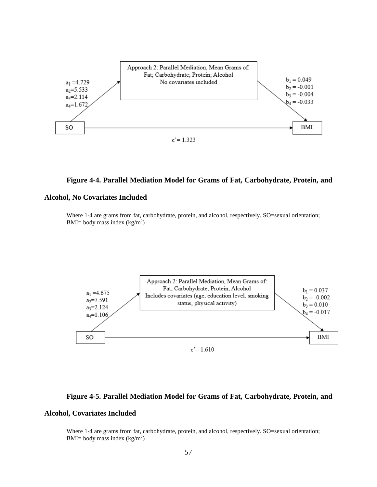

#### **Figure 4-4. Parallel Mediation Model for Grams of Fat, Carbohydrate, Protein, and**

#### **Alcohol, No Covariates Included**

Where 1-4 are grams from fat, carbohydrate, protein, and alcohol, respectively. SO=sexual orientation; BMI= body mass index  $(kg/m^2)$ 



#### **Figure 4-5. Parallel Mediation Model for Grams of Fat, Carbohydrate, Protein, and**

#### **Alcohol, Covariates Included**

Where 1-4 are grams from fat, carbohydrate, protein, and alcohol, respectively. SO=sexual orientation; BMI= body mass index  $(kg/m^2)$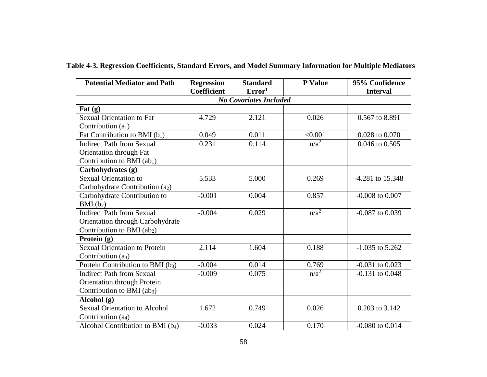| <b>Potential Mediator and Path</b>            | <b>Regression</b>  | <b>Standard</b>               | <b>P</b> Value | 95% Confidence      |
|-----------------------------------------------|--------------------|-------------------------------|----------------|---------------------|
|                                               | <b>Coefficient</b> | Error <sup>1</sup>            |                | <b>Interval</b>     |
|                                               |                    | <b>No Covariates Included</b> |                |                     |
| $\mathbf{Fat}(\mathbf{g})$                    |                    |                               |                |                     |
| <b>Sexual Orientation to Fat</b>              | 4.729              | 2.121                         | 0.026          | 0.567 to 8.891      |
| Contribution $(a1)$                           |                    |                               |                |                     |
| Fat Contribution to BMI $(b_1)$               | 0.049              | 0.011                         | < 0.001        | 0.028 to 0.070      |
| <b>Indirect Path from Sexual</b>              | 0.231              | 0.114                         | $n/a^2$        | 0.046 to 0.505      |
| Orientation through Fat                       |                    |                               |                |                     |
| Contribution to BMI $(ab1)$                   |                    |                               |                |                     |
| Carbohydrates (g)                             |                    |                               |                |                     |
| <b>Sexual Orientation to</b>                  | 5.533              | 5.000                         | 0.269          | -4.281 to 15.348    |
| Carbohydrate Contribution (a2)                |                    |                               |                |                     |
| Carbohydrate Contribution to                  | $-0.001$           | 0.004                         | 0.857          | $-0.008$ to $0.007$ |
| $BMI(b_2)$                                    |                    |                               |                |                     |
| <b>Indirect Path from Sexual</b>              | $-0.004$           | 0.029                         | $n/a^2$        | $-0.087$ to $0.039$ |
| Orientation through Carbohydrate              |                    |                               |                |                     |
| Contribution to BMI (ab <sub>2</sub> )        |                    |                               |                |                     |
| Protein (g)                                   |                    |                               |                |                     |
| Sexual Orientation to Protein                 | 2.114              | 1.604                         | 0.188          | $-1.035$ to 5.262   |
| Contribution $(a_3)$                          |                    |                               |                |                     |
| Protein Contribution to BMI $(b_3)$           | $-0.004$           | 0.014                         | 0.769          | $-0.031$ to $0.023$ |
| <b>Indirect Path from Sexual</b>              | $-0.009$           | 0.075                         | $n/a^2$        | $-0.131$ to $0.048$ |
| Orientation through Protein                   |                    |                               |                |                     |
| Contribution to BMI (ab <sub>3</sub> )        |                    |                               |                |                     |
| Alcohol (g)                                   |                    |                               |                |                     |
| <b>Sexual Orientation to Alcohol</b>          | 1.672              | 0.749                         | 0.026          | 0.203 to 3.142      |
| Contribution (a <sub>4</sub> )                |                    |                               |                |                     |
| Alcohol Contribution to BMI (b <sub>4</sub> ) | $-0.033$           | 0.024                         | 0.170          | $-0.080$ to $0.014$ |

**Table 4-3. Regression Coefficients, Standard Errors, and Model Summary Information for Multiple Mediators**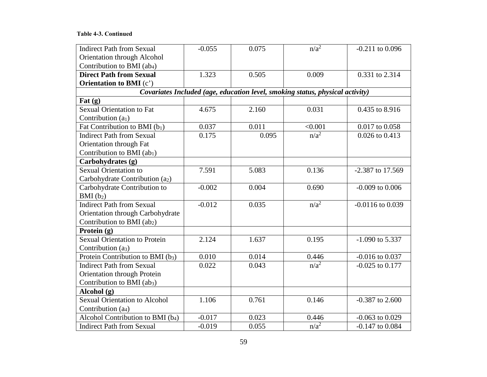## **Table 4-3. Continued**

| <b>Indirect Path from Sexual</b>              | $-0.055$                                                                      | 0.075 | $n/a^2$ | $-0.211$ to 0.096    |  |  |  |  |
|-----------------------------------------------|-------------------------------------------------------------------------------|-------|---------|----------------------|--|--|--|--|
| Orientation through Alcohol                   |                                                                               |       |         |                      |  |  |  |  |
| Contribution to BMI (ab <sub>4</sub> )        |                                                                               |       |         |                      |  |  |  |  |
| <b>Direct Path from Sexual</b>                | 1.323                                                                         | 0.505 | 0.009   | 0.331 to 2.314       |  |  |  |  |
| <b>Orientation to BMI</b> (c')                |                                                                               |       |         |                      |  |  |  |  |
|                                               | Covariates Included (age, education level, smoking status, physical activity) |       |         |                      |  |  |  |  |
| Fat $(g)$                                     |                                                                               |       |         |                      |  |  |  |  |
| <b>Sexual Orientation to Fat</b>              | 4.675                                                                         | 2.160 | 0.031   | 0.435 to 8.916       |  |  |  |  |
| Contribution $(a1)$                           |                                                                               |       |         |                      |  |  |  |  |
| Fat Contribution to BMI $(b_1)$               | 0.037                                                                         | 0.011 | < 0.001 | 0.017 to 0.058       |  |  |  |  |
| <b>Indirect Path from Sexual</b>              | 0.175                                                                         | 0.095 | $n/a^2$ | 0.026 to 0.413       |  |  |  |  |
| Orientation through Fat                       |                                                                               |       |         |                      |  |  |  |  |
| Contribution to BMI (ab1)                     |                                                                               |       |         |                      |  |  |  |  |
| Carbohydrates (g)                             |                                                                               |       |         |                      |  |  |  |  |
| <b>Sexual Orientation to</b>                  | 7.591                                                                         | 5.083 | 0.136   | -2.387 to 17.569     |  |  |  |  |
| Carbohydrate Contribution (a2)                |                                                                               |       |         |                      |  |  |  |  |
| Carbohydrate Contribution to                  | $-0.002$                                                                      | 0.004 | 0.690   | $-0.009$ to $0.006$  |  |  |  |  |
| $BMI(b_2)$                                    |                                                                               |       |         |                      |  |  |  |  |
| <b>Indirect Path from Sexual</b>              | $-0.012$                                                                      | 0.035 | $n/a^2$ | $-0.0116$ to $0.039$ |  |  |  |  |
| Orientation through Carbohydrate              |                                                                               |       |         |                      |  |  |  |  |
| Contribution to BMI (ab2)                     |                                                                               |       |         |                      |  |  |  |  |
| Protein $(g)$                                 |                                                                               |       |         |                      |  |  |  |  |
| <b>Sexual Orientation to Protein</b>          | 2.124                                                                         | 1.637 | 0.195   | $-1.090$ to 5.337    |  |  |  |  |
| Contribution (a <sub>3</sub> )                |                                                                               |       |         |                      |  |  |  |  |
| Protein Contribution to BMI (b <sub>3</sub> ) | 0.010                                                                         | 0.014 | 0.446   | $-0.016$ to $0.037$  |  |  |  |  |
| <b>Indirect Path from Sexual</b>              | 0.022                                                                         | 0.043 | $n/a^2$ | $-0.025$ to $0.177$  |  |  |  |  |
| Orientation through Protein                   |                                                                               |       |         |                      |  |  |  |  |
| Contribution to BMI $(ab_3)$                  |                                                                               |       |         |                      |  |  |  |  |
| Alcohol $(g)$                                 |                                                                               |       |         |                      |  |  |  |  |
| <b>Sexual Orientation to Alcohol</b>          | 1.106                                                                         | 0.761 | 0.146   | $-0.387$ to 2.600    |  |  |  |  |
| Contribution (a <sub>4</sub> )                |                                                                               |       |         |                      |  |  |  |  |
| Alcohol Contribution to BMI (b <sub>4</sub> ) | $-0.017$                                                                      | 0.023 | 0.446   | $-0.063$ to $0.029$  |  |  |  |  |
| <b>Indirect Path from Sexual</b>              | $-0.019$                                                                      | 0.055 | $n/a^2$ | $-0.147$ to $0.084$  |  |  |  |  |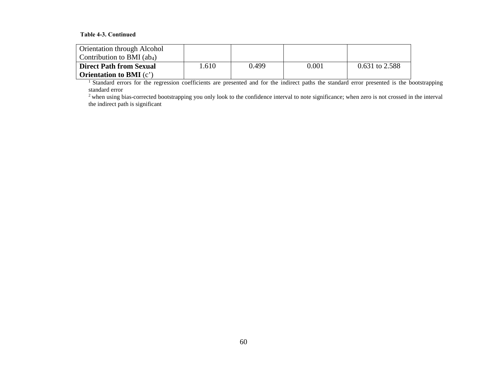#### **Table 4-3. Continued**

| Orientation through Alcohol      |      |       |       |                  |
|----------------------------------|------|-------|-------|------------------|
| Contribution to BMI $(ab_4)$     |      |       |       |                  |
| <b>Direct Path from Sexual</b>   | .610 | 0.499 | 0.001 | $0.631$ to 2.588 |
| <b>Orientation to BMI</b> $(c')$ |      |       |       |                  |

<sup>1</sup> Standard errors for the regression coefficients are presented and for the indirect paths the standard error presented is the bootstrapping standard error<br><sup>2</sup> when using bias-corrected bootstrapping you only look to the confidence interval to note significance; when zero is not crossed in the interval

the indirect path is significant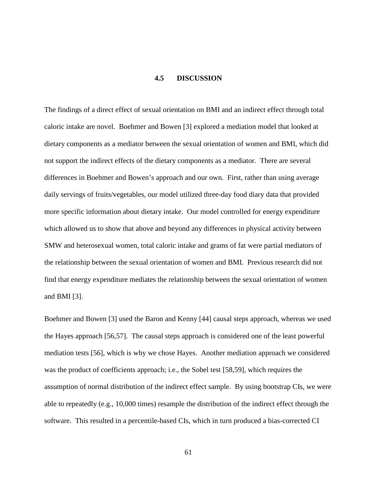# **4.5 DISCUSSION**

The findings of a direct effect of sexual orientation on BMI and an indirect effect through total caloric intake are novel. Boehmer and Bowen [3] explored a mediation model that looked at dietary components as a mediator between the sexual orientation of women and BMI, which did not support the indirect effects of the dietary components as a mediator. There are several differences in Boehmer and Bowen's approach and our own. First, rather than using average daily servings of fruits/vegetables, our model utilized three-day food diary data that provided more specific information about dietary intake. Our model controlled for energy expenditure which allowed us to show that above and beyond any differences in physical activity between SMW and heterosexual women, total caloric intake and grams of fat were partial mediators of the relationship between the sexual orientation of women and BMI. Previous research did not find that energy expenditure mediates the relationship between the sexual orientation of women and BMI [3].

Boehmer and Bowen [3] used the Baron and Kenny [44] causal steps approach, whereas we used the Hayes approach [56,57]. The causal steps approach is considered one of the least powerful mediation tests [56], which is why we chose Hayes. Another mediation approach we considered was the product of coefficients approach; i.e., the Sobel test [58,59], which requires the assumption of normal distribution of the indirect effect sample. By using bootstrap CIs, we were able to repeatedly (e.g., 10,000 times) resample the distribution of the indirect effect through the software. This resulted in a percentile-based CIs, which in turn produced a bias-corrected CI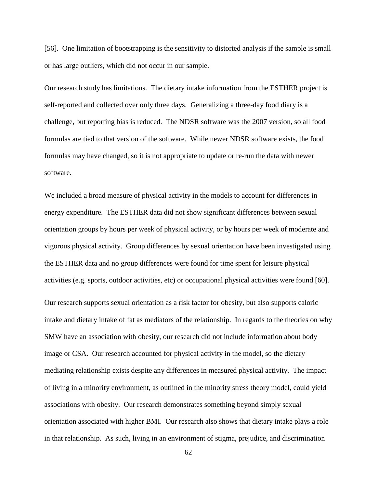[56]. One limitation of bootstrapping is the sensitivity to distorted analysis if the sample is small or has large outliers, which did not occur in our sample.

Our research study has limitations. The dietary intake information from the ESTHER project is self-reported and collected over only three days. Generalizing a three-day food diary is a challenge, but reporting bias is reduced. The NDSR software was the 2007 version, so all food formulas are tied to that version of the software. While newer NDSR software exists, the food formulas may have changed, so it is not appropriate to update or re-run the data with newer software.

We included a broad measure of physical activity in the models to account for differences in energy expenditure. The ESTHER data did not show significant differences between sexual orientation groups by hours per week of physical activity, or by hours per week of moderate and vigorous physical activity. Group differences by sexual orientation have been investigated using the ESTHER data and no group differences were found for time spent for leisure physical activities (e.g. sports, outdoor activities, etc) or occupational physical activities were found [60].

Our research supports sexual orientation as a risk factor for obesity, but also supports caloric intake and dietary intake of fat as mediators of the relationship. In regards to the theories on why SMW have an association with obesity, our research did not include information about body image or CSA. Our research accounted for physical activity in the model, so the dietary mediating relationship exists despite any differences in measured physical activity. The impact of living in a minority environment, as outlined in the minority stress theory model, could yield associations with obesity. Our research demonstrates something beyond simply sexual orientation associated with higher BMI. Our research also shows that dietary intake plays a role in that relationship. As such, living in an environment of stigma, prejudice, and discrimination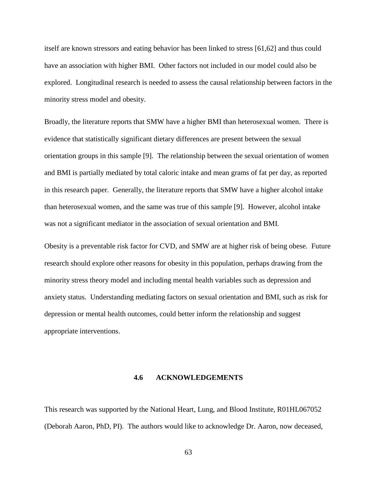itself are known stressors and eating behavior has been linked to stress [61,62] and thus could have an association with higher BMI. Other factors not included in our model could also be explored. Longitudinal research is needed to assess the causal relationship between factors in the minority stress model and obesity.

Broadly, the literature reports that SMW have a higher BMI than heterosexual women. There is evidence that statistically significant dietary differences are present between the sexual orientation groups in this sample [9]. The relationship between the sexual orientation of women and BMI is partially mediated by total caloric intake and mean grams of fat per day, as reported in this research paper. Generally, the literature reports that SMW have a higher alcohol intake than heterosexual women, and the same was true of this sample [9]. However, alcohol intake was not a significant mediator in the association of sexual orientation and BMI.

Obesity is a preventable risk factor for CVD, and SMW are at higher risk of being obese. Future research should explore other reasons for obesity in this population, perhaps drawing from the minority stress theory model and including mental health variables such as depression and anxiety status. Understanding mediating factors on sexual orientation and BMI, such as risk for depression or mental health outcomes, could better inform the relationship and suggest appropriate interventions.

#### **4.6 ACKNOWLEDGEMENTS**

This research was supported by the National Heart, Lung, and Blood Institute, R01HL067052 (Deborah Aaron, PhD, PI). The authors would like to acknowledge Dr. Aaron, now deceased,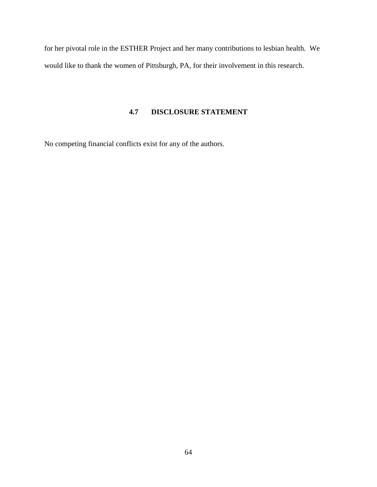for her pivotal role in the ESTHER Project and her many contributions to lesbian health. We would like to thank the women of Pittsburgh, PA, for their involvement in this research.

# **4.7 DISCLOSURE STATEMENT**

No competing financial conflicts exist for any of the authors.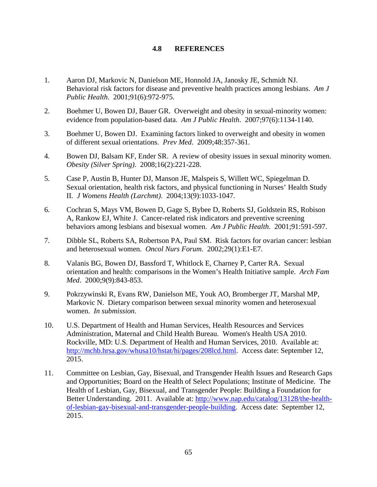# **4.8 REFERENCES**

- 1. Aaron DJ, Markovic N, Danielson ME, Honnold JA, Janosky JE, Schmidt NJ. Behavioral risk factors for disease and preventive health practices among lesbians. *Am J Public Health*. 2001;91(6):972-975.
- 2. Boehmer U, Bowen DJ, Bauer GR. Overweight and obesity in sexual-minority women: evidence from population-based data. *Am J Public Health*. 2007;97(6):1134-1140.
- 3. Boehmer U, Bowen DJ. Examining factors linked to overweight and obesity in women of different sexual orientations. *Prev Med*. 2009;48:357-361.
- 4. Bowen DJ, Balsam KF, Ender SR. A review of obesity issues in sexual minority women. *Obesity (Silver Spring)*. 2008;16(2):221-228.
- 5. Case P, Austin B, Hunter DJ, Manson JE, Malspeis S, Willett WC, Spiegelman D. Sexual orientation, health risk factors, and physical functioning in Nurses' Health Study II. *J Womens Health (Larchmt)*. 2004;13(9):1033-1047.
- 6. Cochran S, Mays VM, Bowen D, Gage S, Bybee D, Roberts SJ, Goldstein RS, Robison A, Rankow EJ, White J. Cancer-related risk indicators and preventive screening behaviors among lesbians and bisexual women. *Am J Public Health*. 2001;91:591-597.
- 7. Dibble SL, Roberts SA, Robertson PA, Paul SM. Risk factors for ovarian cancer: lesbian and heterosexual women. *Oncol Nurs Forum*. 2002;29(1):E1-E7.
- 8. Valanis BG, Bowen DJ, Bassford T, Whitlock E, Charney P, Carter RA. Sexual orientation and health: comparisons in the Women's Health Initiative sample. *Arch Fam Med*. 2000;9(9):843-853.
- 9. Pokrzywinski R, Evans RW, Danielson ME, Youk AO, Bromberger JT, Marshal MP, Markovic N. Dietary comparison between sexual minority women and heterosexual women. *In submission.*
- 10. U.S. Department of Health and Human Services, Health Resources and Services Administration, Maternal and Child Health Bureau. Women's Health USA 2010. Rockville, MD: U.S. Department of Health and Human Services, 2010. Available at: [http://mchb.hrsa.gov/whusa10/hstat/hi/pages/208lcd.html.](http://mchb.hrsa.gov/whusa10/hstat/hi/pages/208lcd.html) Access date: September 12, 2015.
- 11. Committee on Lesbian, Gay, Bisexual, and Transgender Health Issues and Research Gaps and Opportunities; Board on the Health of Select Populations; Institute of Medicine. The Health of Lesbian, Gay, Bisexual, and Transgender People: Building a Foundation for Better Understanding. 2011. Available at: [http://www.nap.edu/catalog/13128/the-health](http://www.nap.edu/catalog/13128/the-health-of-lesbian-gay-bisexual-and-transgender-people-building)[of-lesbian-gay-bisexual-and-transgender-people-building.](http://www.nap.edu/catalog/13128/the-health-of-lesbian-gay-bisexual-and-transgender-people-building) Access date: September 12, 2015.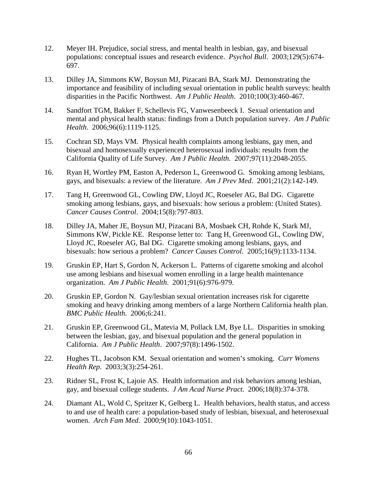- 12. Meyer IH. Prejudice, social stress, and mental health in lesbian, gay, and bisexual populations: conceptual issues and research evidence. *Psychol Bull*. 2003;129(5):674- 697.
- 13. Dilley JA, Simmons KW, Boysun MJ, Pizacani BA, Stark MJ. Demonstrating the importance and feasibility of including sexual orientation in public health surveys: health disparities in the Pacific Northwest. *Am J Public Health*. 2010;100(3):460-467.
- 14. Sandfort TGM, Bakker F, Schellevis FG, Vanwesenbeeck I. Sexual orientation and mental and physical health status: findings from a Dutch population survey. *Am J Public Health*. 2006;96(6):1119-1125.
- 15. Cochran SD, Mays VM. Physical health complaints among lesbians, gay men, and bisexual and homosexually experienced heterosexual individuals: results from the California Quality of Life Survey. *Am J Public Health*. 2007;97(11):2048-2055.
- 16. Ryan H, Wortley PM, Easton A, Pederson L, Greenwood G. Smoking among lesbians, gays, and bisexuals: a review of the literature. *Am J Prev Med*. 2001;21(2):142-149.
- 17. Tang H, Greenwood GL, Cowling DW, Lloyd JC, Roeseler AG, Bal DG. Cigarette smoking among lesbians, gays, and bisexuals: how serious a problem: (United States). *Cancer Causes Control*. 2004;15(8):797-803.
- 18. Dilley JA, Maher JE, Boysun MJ, Pizacani BA, Mosbaek CH, Rohde K, Stark MJ, Simmons KW, Pickle KE. Response letter to: Tang H, Greenwood GL, Cowling DW, Lloyd JC, Roeseler AG, Bal DG. Cigarette smoking among lesbians, gays, and bisexuals: how serious a problem? *Cancer Causes Control*. 2005;16(9):1133-1134.
- 19. Gruskin EP, Hart S, Gordon N, Ackerson L. Patterns of cigarette smoking and alcohol use among lesbians and bisexual women enrolling in a large health maintenance organization. *Am J Public Health*. 2001;91(6):976-979.
- 20. Gruskin EP, Gordon N. Gay/lesbian sexual orientation increases risk for cigarette smoking and heavy drinking among members of a large Northern California health plan. *BMC Public Health*. 2006;6:241.
- 21. Gruskin EP, Greenwood GL, Matevia M, Pollack LM, Bye LL. Disparities in smoking between the lesbian, gay, and bisexual population and the general population in California. *Am J Public Health*. 2007;97(8):1496-1502.
- 22. Hughes TL, Jacobson KM. Sexual orientation and women's smoking. *Curr Womens Health Rep*. 2003;3(3):254-261.
- 23. Ridner SL, Frost K, Lajoie AS. Health information and risk behaviors among lesbian, gay, and bisexual college students. *J Am Acad Nurse Pract*. 2006;18(8):374-378.
- 24. Diamant AL, Wold C, Spritzer K, Gelberg L. Health behaviors, health status, and access to and use of health care: a population-based study of lesbian, bisexual, and heterosexual women. *Arch Fam Med*. 2000;9(10):1043-1051.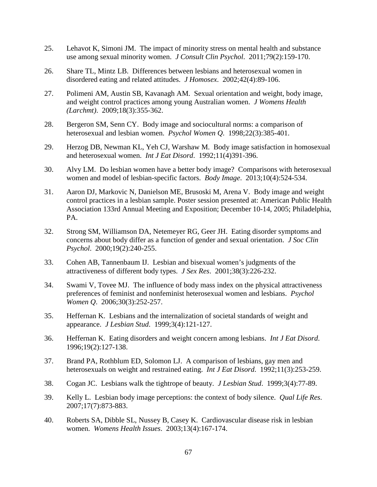- 25. Lehavot K, Simoni JM. The impact of minority stress on mental health and substance use among sexual minority women. *J Consult Clin Psychol*. 2011;79(2):159-170.
- 26. Share TL, Mintz LB. Differences between lesbians and heterosexual women in disordered eating and related attitudes. *J Homosex*. 2002;42(4):89-106.
- 27. Polimeni AM, Austin SB, Kavanagh AM. Sexual orientation and weight, body image, and weight control practices among young Australian women. *J Womens Health (Larchmt)*. 2009;18(3):355-362.
- 28. Bergeron SM, Senn CY. Body image and sociocultural norms: a comparison of heterosexual and lesbian women. *Psychol Women Q*. 1998;22(3):385-401.
- 29. Herzog DB, Newman KL, Yeh CJ, Warshaw M. Body image satisfaction in homosexual and heterosexual women. *Int J Eat Disord*. 1992;11(4)391-396.
- 30. Alvy LM. Do lesbian women have a better body image? Comparisons with heterosexual women and model of lesbian-specific factors. *Body Image*. 2013;10(4):524-534.
- 31. Aaron DJ, Markovic N, Danielson ME, Brusoski M, Arena V. Body image and weight control practices in a lesbian sample. Poster session presented at: American Public Health Association 133rd Annual Meeting and Exposition; December 10-14, 2005; Philadelphia, PA.
- 32. Strong SM, Williamson DA, Netemeyer RG, Geer JH. Eating disorder symptoms and concerns about body differ as a function of gender and sexual orientation. *J Soc Clin Psychol*. 2000;19(2):240-255.
- 33. Cohen AB, Tannenbaum IJ. Lesbian and bisexual women's judgments of the attractiveness of different body types. *J Sex Res*. 2001;38(3):226-232.
- 34. Swami V, Tovee MJ. The influence of body mass index on the physical attractiveness preferences of feminist and nonfeminist heterosexual women and lesbians. *Psychol Women Q*. 2006;30(3):252-257.
- 35. Heffernan K. Lesbians and the internalization of societal standards of weight and appearance. *J Lesbian Stud*. 1999;3(4):121-127.
- 36. Heffernan K. Eating disorders and weight concern among lesbians. *Int J Eat Disord*. 1996;19(2):127-138.
- 37. Brand PA, Rothblum ED, Solomon LJ. A comparison of lesbians, gay men and heterosexuals on weight and restrained eating. *Int J Eat Disord*. 1992;11(3):253-259.
- 38. Cogan JC. Lesbians walk the tightrope of beauty. *J Lesbian Stud*. 1999;3(4):77-89.
- 39. Kelly L. Lesbian body image perceptions: the context of body silence. *Qual Life Res*. 2007;17(7):873-883.
- 40. Roberts SA, Dibble SL, Nussey B, Casey K. Cardiovascular disease risk in lesbian women. *Womens Health Issues*. 2003;13(4):167-174.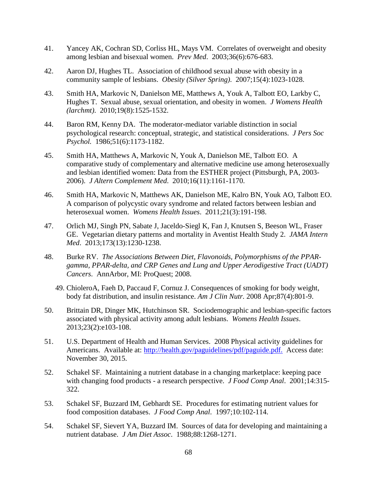- 41. Yancey AK, Cochran SD, Corliss HL, Mays VM. Correlates of overweight and obesity among lesbian and bisexual women. *Prev Med*. 2003;36(6):676-683.
- 42. Aaron DJ, Hughes TL. Association of childhood sexual abuse with obesity in a community sample of lesbians. *Obesity (Silver Spring)*. 2007;15(4):1023-1028.
- 43. Smith HA, Markovic N, Danielson ME, Matthews A, Youk A, Talbott EO, Larkby C, Hughes T. Sexual abuse, sexual orientation, and obesity in women. *J Womens Health (larchmt)*. 2010;19(8):1525-1532.
- 44. Baron RM, Kenny DA. The moderator-mediator variable distinction in social psychological research: conceptual, strategic, and statistical considerations. *J Pers Soc Psychol.* 1986;51(6):1173-1182.
- 45. Smith HA, Matthews A, Markovic N, Youk A, Danielson ME, Talbott EO. A comparative study of complementary and alternative medicine use among heterosexually and lesbian identified women: Data from the ESTHER project (Pittsburgh, PA, 2003- 2006). *J Altern Complement Med*. 2010;16(11):1161-1170.
- 46. Smith HA, Markovic N, Matthews AK, Danielson ME, Kalro BN, Youk AO, Talbott EO. A comparison of polycystic ovary syndrome and related factors between lesbian and heterosexual women. *Womens Health Issues*. 2011;21(3):191-198.
- 47. Orlich MJ, Singh PN, Sabate J, Jaceldo-Siegl K, Fan J, Knutsen S, Beeson WL, Fraser GE. Vegetarian dietary patterns and mortality in Aventist Health Study 2. *JAMA Intern Med*. 2013;173(13):1230-1238.
- 48. Burke RV. *The Associations Between Diet, Flavonoids, Polymorphisms of the PPARgamma, PPAR-delta, and CRP Genes and Lung and Upper Aerodigestive Tract (UADT) Cancers*. AnnArbor, MI: ProQuest; 2008.
	- 49. ChioleroA, Faeh D, Paccaud F, Cornuz J. Consequences of smoking for body weight, body fat distribution, and insulin resistance. *Am J Clin Nutr.* 2008 Apr;87(4):801-9.
- 50. Brittain DR, Dinger MK, Hutchinson SR. Sociodemographic and lesbian-specific factors associated with physical activity among adult lesbians. *Womens Health Issues*. 2013;23(2):e103-108.
- 51. U.S. Department of Health and Human Services. 2008 Physical activity guidelines for Americans. Available at: [http://health.gov/paguidelines/pdf/paguide.pdf.](http://health.gov/paguidelines/pdf/paguide.pdf) Access date: November 30, 2015.
- 52. Schakel SF. Maintaining a nutrient database in a changing marketplace: keeping pace with changing food products - a research perspective. *J Food Comp Anal*. 2001;14:315- 322.
- 53. Schakel SF, Buzzard IM, Gebhardt SE. Procedures for estimating nutrient values for food composition databases. *J Food Comp Anal*. 1997;10:102-114.
- 54. Schakel SF, Sievert YA, Buzzard IM. Sources of data for developing and maintaining a nutrient database. *J Am Diet Assoc*. 1988;88:1268-1271.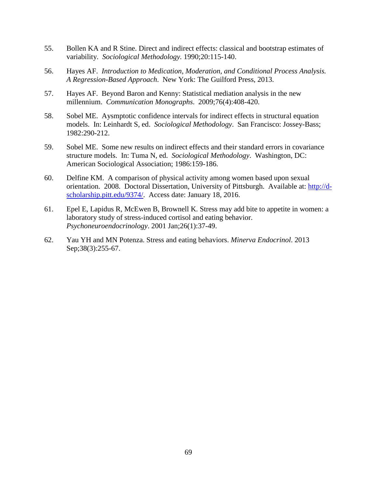- 55. Bollen KA and R Stine. Direct and indirect effects: classical and bootstrap estimates of variability. *Sociological Methodology.* 1990;20:115-140.
- 56. Hayes AF. *Introduction to Medication, Moderation, and Conditional Process Analysis. A Regression-Based Approach*. New York: The Guilford Press, 2013.
- 57. Hayes AF. Beyond Baron and Kenny: Statistical mediation analysis in the new millennium. *Communication Monographs*. 2009;76(4):408-420.
- 58. Sobel ME. Aysmptotic confidence intervals for indirect effects in structural equation models. In: Leinhardt S, ed. *Sociological Methodology*. San Francisco: Jossey-Bass; 1982:290-212.
- 59. Sobel ME. Some new results on indirect effects and their standard errors in covariance structure models. In: Tuma N, ed. *Sociological Methodology*. Washington, DC: American Sociological Association; 1986:159-186.
- 60. Delfine KM. A comparison of physical activity among women based upon sexual orientation. 2008. Doctoral Dissertation, University of Pittsburgh. Available at: [http://d](http://d-scholarship.pitt.edu/9374/)[scholarship.pitt.edu/9374/.](http://d-scholarship.pitt.edu/9374/) Access date: January 18, 2016.
- 61. Epel E, Lapidus R, McEwen B, Brownell K. Stress may add bite to appetite in women: a laboratory study of stress-induced cortisol and eating behavior. *Psychoneuroendocrinology*. 2001 Jan;26(1):37-49.
- 62. Yau YH and MN Potenza. Stress and eating behaviors. *Minerva Endocrinol*. 2013 Sep;38(3):255-67.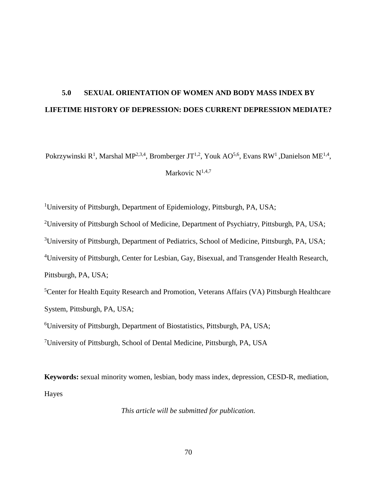# **5.0 SEXUAL ORIENTATION OF WOMEN AND BODY MASS INDEX BY LIFETIME HISTORY OF DEPRESSION: DOES CURRENT DEPRESSION MEDIATE?**

Pokrzywinski R<sup>1</sup>, Marshal MP<sup>2,3,4</sup>, Bromberger JT<sup>1,2</sup>, Youk AO<sup>5,6</sup>, Evans RW<sup>1</sup>, Danielson ME<sup>1,4</sup>,

Markovic  $N^{1,4,7}$ 

<sup>1</sup>University of Pittsburgh, Department of Epidemiology, Pittsburgh, PA, USA;

<sup>2</sup>University of Pittsburgh School of Medicine, Department of Psychiatry, Pittsburgh, PA, USA;

<sup>3</sup>University of Pittsburgh, Department of Pediatrics, School of Medicine, Pittsburgh, PA, USA;

<sup>4</sup>University of Pittsburgh, Center for Lesbian, Gay, Bisexual, and Transgender Health Research,

Pittsburgh, PA, USA;

<sup>5</sup>Center for Health Equity Research and Promotion, Veterans Affairs (VA) Pittsburgh Healthcare System, Pittsburgh, PA, USA;

6 University of Pittsburgh, Department of Biostatistics, Pittsburgh, PA, USA;

<sup>7</sup>University of Pittsburgh, School of Dental Medicine, Pittsburgh, PA, USA

**Keywords:** sexual minority women, lesbian, body mass index, depression, CESD-R, mediation, Hayes

*This article will be submitted for publication.*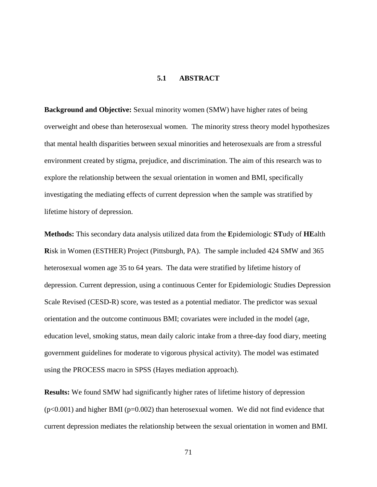# **5.1 ABSTRACT**

**Background and Objective:** Sexual minority women (SMW) have higher rates of being overweight and obese than heterosexual women. The minority stress theory model hypothesizes that mental health disparities between sexual minorities and heterosexuals are from a stressful environment created by stigma, prejudice, and discrimination. The aim of this research was to explore the relationship between the sexual orientation in women and BMI, specifically investigating the mediating effects of current depression when the sample was stratified by lifetime history of depression.

**Methods:** This secondary data analysis utilized data from the **E**pidemiologic **ST**udy of **HE**alth **R**isk in Women (ESTHER) Project (Pittsburgh, PA). The sample included 424 SMW and 365 heterosexual women age 35 to 64 years. The data were stratified by lifetime history of depression. Current depression, using a continuous Center for Epidemiologic Studies Depression Scale Revised (CESD-R) score, was tested as a potential mediator. The predictor was sexual orientation and the outcome continuous BMI; covariates were included in the model (age, education level, smoking status, mean daily caloric intake from a three-day food diary, meeting government guidelines for moderate to vigorous physical activity). The model was estimated using the PROCESS macro in SPSS (Hayes mediation approach).

**Results:** We found SMW had significantly higher rates of lifetime history of depression  $(p<0.001)$  and higher BMI ( $p=0.002$ ) than heterosexual women. We did not find evidence that current depression mediates the relationship between the sexual orientation in women and BMI.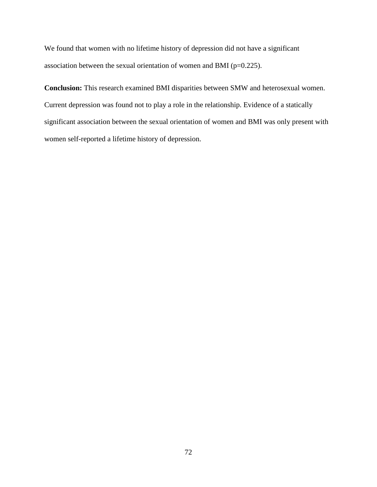We found that women with no lifetime history of depression did not have a significant association between the sexual orientation of women and BMI (p=0.225).

**Conclusion:** This research examined BMI disparities between SMW and heterosexual women. Current depression was found not to play a role in the relationship. Evidence of a statically significant association between the sexual orientation of women and BMI was only present with women self-reported a lifetime history of depression.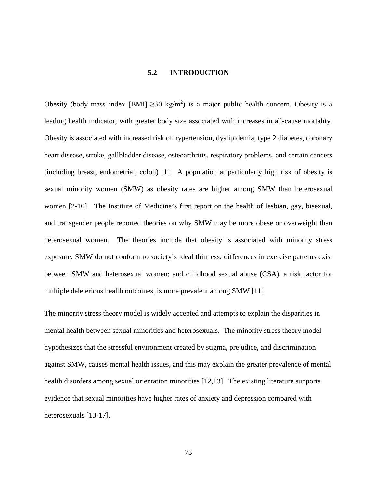# **5.2 INTRODUCTION**

Obesity (body mass index [BMI]  $\geq$ 30 kg/m<sup>2</sup>) is a major public health concern. Obesity is a leading health indicator, with greater body size associated with increases in all-cause mortality. Obesity is associated with increased risk of hypertension, dyslipidemia, type 2 diabetes, coronary heart disease, stroke, gallbladder disease, osteoarthritis, respiratory problems, and certain cancers (including breast, endometrial, colon) [1]. A population at particularly high risk of obesity is sexual minority women (SMW) as obesity rates are higher among SMW than heterosexual women [2-10]. The Institute of Medicine's first report on the health of lesbian, gay, bisexual, and transgender people reported theories on why SMW may be more obese or overweight than heterosexual women. The theories include that obesity is associated with minority stress exposure; SMW do not conform to society's ideal thinness; differences in exercise patterns exist between SMW and heterosexual women; and childhood sexual abuse (CSA), a risk factor for multiple deleterious health outcomes, is more prevalent among SMW [11].

The minority stress theory model is widely accepted and attempts to explain the disparities in mental health between sexual minorities and heterosexuals. The minority stress theory model hypothesizes that the stressful environment created by stigma, prejudice, and discrimination against SMW, causes mental health issues, and this may explain the greater prevalence of mental health disorders among sexual orientation minorities [12,13]. The existing literature supports evidence that sexual minorities have higher rates of anxiety and depression compared with heterosexuals [13-17].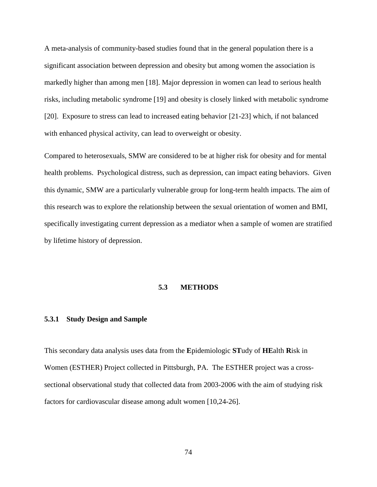A meta-analysis of community-based studies found that in the general population there is a significant association between depression and obesity but among women the association is markedly higher than among men [18]. Major depression in women can lead to serious health risks, including metabolic syndrome [19] and obesity is closely linked with metabolic syndrome [20]. Exposure to stress can lead to increased eating behavior [21-23] which, if not balanced with enhanced physical activity, can lead to overweight or obesity.

Compared to heterosexuals, SMW are considered to be at higher risk for obesity and for mental health problems. Psychological distress, such as depression, can impact eating behaviors. Given this dynamic, SMW are a particularly vulnerable group for long-term health impacts. The aim of this research was to explore the relationship between the sexual orientation of women and BMI, specifically investigating current depression as a mediator when a sample of women are stratified by lifetime history of depression.

#### **5.3 METHODS**

# **5.3.1 Study Design and Sample**

This secondary data analysis uses data from the **E**pidemiologic **ST**udy of **HE**alth **R**isk in Women (ESTHER) Project collected in Pittsburgh, PA. The ESTHER project was a crosssectional observational study that collected data from 2003-2006 with the aim of studying risk factors for cardiovascular disease among adult women [10,24-26].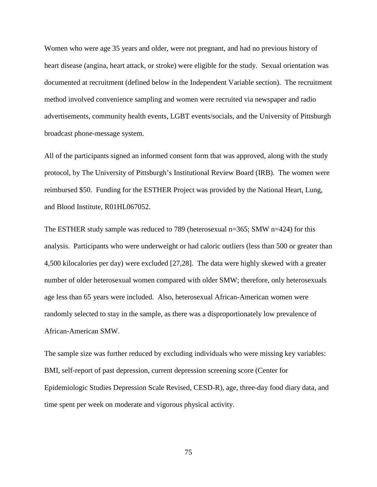Women who were age 35 years and older, were not pregnant, and had no previous history of heart disease (angina, heart attack, or stroke) were eligible for the study. Sexual orientation was documented at recruitment (defined below in the Independent Variable section). The recruitment method involved convenience sampling and women were recruited via newspaper and radio advertisements, community health events, LGBT events/socials, and the University of Pittsburgh broadcast phone-message system.

All of the participants signed an informed consent form that was approved, along with the study protocol, by The University of Pittsburgh's Institutional Review Board (IRB). The women were reimbursed \$50. Funding for the ESTHER Project was provided by the National Heart, Lung, and Blood Institute, R01HL067052.

The ESTHER study sample was reduced to 789 (heterosexual n=365; SMW n=424) for this analysis. Participants who were underweight or had caloric outliers (less than 500 or greater than 4,500 kilocalories per day) were excluded [27,28]. The data were highly skewed with a greater number of older heterosexual women compared with older SMW; therefore, only heterosexuals age less than 65 years were included. Also, heterosexual African-American women were randomly selected to stay in the sample, as there was a disproportionately low prevalence of African-American SMW.

The sample size was further reduced by excluding individuals who were missing key variables: BMI, self-report of past depression, current depression screening score (Center for Epidemiologic Studies Depression Scale Revised, CESD-R), age, three-day food diary data, and time spent per week on moderate and vigorous physical activity.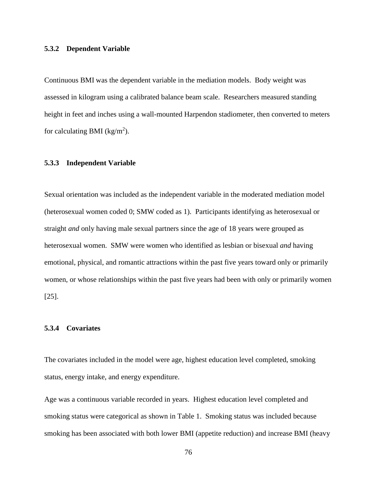#### **5.3.2 Dependent Variable**

Continuous BMI was the dependent variable in the mediation models. Body weight was assessed in kilogram using a calibrated balance beam scale. Researchers measured standing height in feet and inches using a wall-mounted Harpendon stadiometer, then converted to meters for calculating BMI ( $\text{kg/m}^2$ ).

#### **5.3.3 Independent Variable**

Sexual orientation was included as the independent variable in the moderated mediation model (heterosexual women coded 0; SMW coded as 1). Participants identifying as heterosexual or straight *and* only having male sexual partners since the age of 18 years were grouped as heterosexual women. SMW were women who identified as lesbian or bisexual *and* having emotional, physical, and romantic attractions within the past five years toward only or primarily women, or whose relationships within the past five years had been with only or primarily women [25].

# **5.3.4 Covariates**

The covariates included in the model were age, highest education level completed, smoking status, energy intake, and energy expenditure.

Age was a continuous variable recorded in years. Highest education level completed and smoking status were categorical as shown in Table 1. Smoking status was included because smoking has been associated with both lower BMI (appetite reduction) and increase BMI (heavy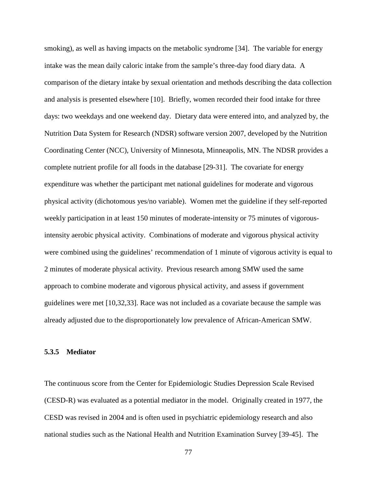smoking), as well as having impacts on the metabolic syndrome [34]. The variable for energy intake was the mean daily caloric intake from the sample's three-day food diary data. A comparison of the dietary intake by sexual orientation and methods describing the data collection and analysis is presented elsewhere [10]. Briefly, women recorded their food intake for three days: two weekdays and one weekend day. Dietary data were entered into, and analyzed by, the Nutrition Data System for Research (NDSR) software version 2007, developed by the Nutrition Coordinating Center (NCC), University of Minnesota, Minneapolis, MN. The NDSR provides a complete nutrient profile for all foods in the database [29-31]. The covariate for energy expenditure was whether the participant met national guidelines for moderate and vigorous physical activity (dichotomous yes/no variable). Women met the guideline if they self-reported weekly participation in at least 150 minutes of moderate-intensity or 75 minutes of vigorousintensity aerobic physical activity. Combinations of moderate and vigorous physical activity were combined using the guidelines' recommendation of 1 minute of vigorous activity is equal to 2 minutes of moderate physical activity. Previous research among SMW used the same approach to combine moderate and vigorous physical activity, and assess if government guidelines were met [10,32,33]. Race was not included as a covariate because the sample was already adjusted due to the disproportionately low prevalence of African-American SMW.

#### **5.3.5 Mediator**

The continuous score from the Center for Epidemiologic Studies Depression Scale Revised (CESD-R) was evaluated as a potential mediator in the model. Originally created in 1977, the CESD was revised in 2004 and is often used in psychiatric epidemiology research and also national studies such as the National Health and Nutrition Examination Survey [39-45]. The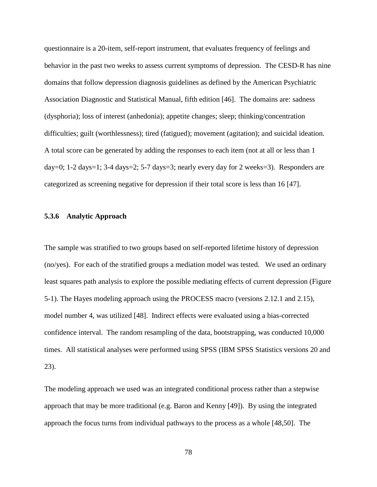questionnaire is a 20-item, self-report instrument, that evaluates frequency of feelings and behavior in the past two weeks to assess current symptoms of depression. The CESD-R has nine domains that follow depression diagnosis guidelines as defined by the American Psychiatric Association Diagnostic and Statistical Manual, fifth edition [46]. The domains are: sadness (dysphoria); loss of interest (anhedonia); appetite changes; sleep; thinking/concentration difficulties; guilt (worthlessness); tired (fatigued); movement (agitation); and suicidal ideation. A total score can be generated by adding the responses to each item (not at all or less than 1 day=0; 1-2 days=1; 3-4 days=2; 5-7 days=3; nearly every day for 2 weeks=3). Responders are categorized as screening negative for depression if their total score is less than 16 [47].

#### **5.3.6 Analytic Approach**

The sample was stratified to two groups based on self-reported lifetime history of depression (no/yes). For each of the stratified groups a mediation model was tested. We used an ordinary least squares path analysis to explore the possible mediating effects of current depression (Figure 5-1). The Hayes modeling approach using the PROCESS macro (versions 2.12.1 and 2.15), model number 4, was utilized [48]. Indirect effects were evaluated using a bias-corrected confidence interval. The random resampling of the data, bootstrapping, was conducted 10,000 times. All statistical analyses were performed using SPSS (IBM SPSS Statistics versions 20 and 23).

The modeling approach we used was an integrated conditional process rather than a stepwise approach that may be more traditional (e.g. Baron and Kenny [49]). By using the integrated approach the focus turns from individual pathways to the process as a whole [48,50]. The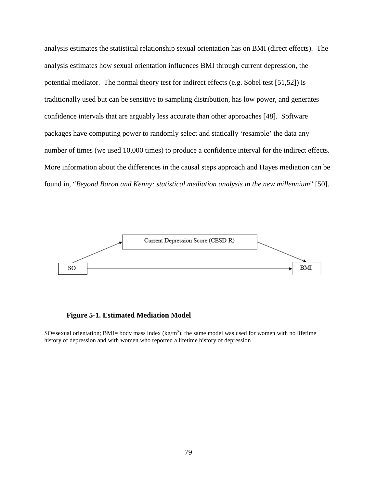analysis estimates the statistical relationship sexual orientation has on BMI (direct effects). The analysis estimates how sexual orientation influences BMI through current depression, the potential mediator. The normal theory test for indirect effects (e.g. Sobel test [51,52]) is traditionally used but can be sensitive to sampling distribution, has low power, and generates confidence intervals that are arguably less accurate than other approaches [48]. Software packages have computing power to randomly select and statically 'resample' the data any number of times (we used 10,000 times) to produce a confidence interval for the indirect effects. More information about the differences in the causal steps approach and Hayes mediation can be found in, "*Beyond Baron and Kenny: statistical mediation analysis in the new millennium*" [50].



**Figure 5-1. Estimated Mediation Model**

SO=sexual orientation; BMI= body mass index  $(kg/m^2)$ ; the same model was used for women with no lifetime history of depression and with women who reported a lifetime history of depression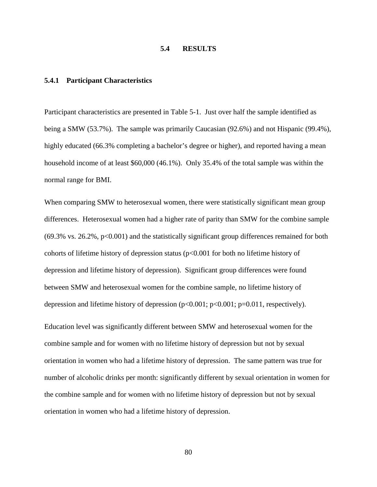# **5.4 RESULTS**

#### **5.4.1 Participant Characteristics**

Participant characteristics are presented in Table 5-1. Just over half the sample identified as being a SMW (53.7%). The sample was primarily Caucasian (92.6%) and not Hispanic (99.4%), highly educated (66.3% completing a bachelor's degree or higher), and reported having a mean household income of at least \$60,000 (46.1%). Only 35.4% of the total sample was within the normal range for BMI.

When comparing SMW to heterosexual women, there were statistically significant mean group differences. Heterosexual women had a higher rate of parity than SMW for the combine sample  $(69.3\% \text{ vs. } 26.2\%, \text{ p} < 0.001)$  and the statistically significant group differences remained for both cohorts of lifetime history of depression status (p<0.001 for both no lifetime history of depression and lifetime history of depression). Significant group differences were found between SMW and heterosexual women for the combine sample, no lifetime history of depression and lifetime history of depression  $(p<0.001; p<0.001; p=0.011$ , respectively).

Education level was significantly different between SMW and heterosexual women for the combine sample and for women with no lifetime history of depression but not by sexual orientation in women who had a lifetime history of depression. The same pattern was true for number of alcoholic drinks per month: significantly different by sexual orientation in women for the combine sample and for women with no lifetime history of depression but not by sexual orientation in women who had a lifetime history of depression.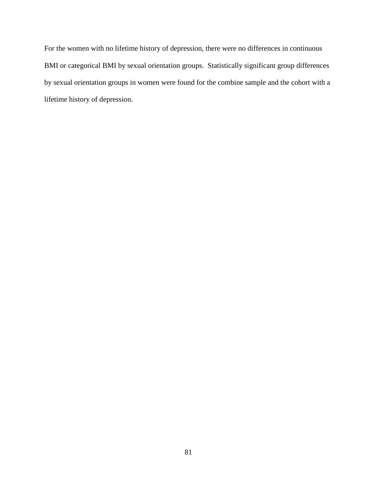For the women with no lifetime history of depression, there were no differences in continuous BMI or categorical BMI by sexual orientation groups. Statistically significant group differences by sexual orientation groups in women were found for the combine sample and the cohort with a lifetime history of depression.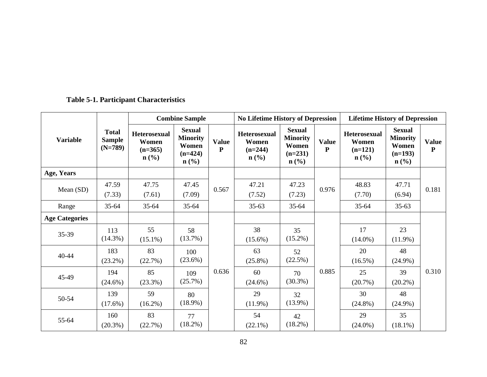| <b>Table 5-1. Participant Characteristics</b> |  |
|-----------------------------------------------|--|
|-----------------------------------------------|--|

|                       |                                            | <b>Combine Sample</b>                                                    |                                                                            |                              | <b>No Lifetime History of Depression</b>               |                                                                            |                              | <b>Lifetime History of Depression</b>                  |                                                                            |                           |
|-----------------------|--------------------------------------------|--------------------------------------------------------------------------|----------------------------------------------------------------------------|------------------------------|--------------------------------------------------------|----------------------------------------------------------------------------|------------------------------|--------------------------------------------------------|----------------------------------------------------------------------------|---------------------------|
| <b>Variable</b>       | <b>Total</b><br><b>Sample</b><br>$(N=789)$ | <b>Heterosexual</b><br>Women<br>$(n=365)$<br>$n\left(\frac{0}{0}\right)$ | <b>Sexual</b><br><b>Minority</b><br>Women<br>$(n=424)$<br>$\mathbf{n}(\%)$ | <b>Value</b><br>$\mathbf{P}$ | Heterosexual<br>Women<br>$(n=244)$<br>$\mathbf{n}(\%)$ | <b>Sexual</b><br><b>Minority</b><br>Women<br>$(n=231)$<br>$\mathbf{n}(\%)$ | <b>Value</b><br>$\mathbf{P}$ | Heterosexual<br>Women<br>$(n=121)$<br>$\mathbf{n}(\%)$ | <b>Sexual</b><br><b>Minority</b><br>Women<br>$(n=193)$<br>$\mathbf{n}(\%)$ | <b>Value</b><br>${\bf P}$ |
| Age, Years            |                                            |                                                                          |                                                                            |                              |                                                        |                                                                            |                              |                                                        |                                                                            |                           |
| Mean (SD)             | 47.59<br>(7.33)                            | 47.75<br>(7.61)                                                          | 47.45<br>(7.09)                                                            | 0.567                        | 47.21<br>(7.52)                                        | 47.23<br>(7.23)                                                            | 0.976                        | 48.83<br>(7.70)                                        | 47.71<br>(6.94)                                                            | 0.181                     |
| Range                 | $35 - 64$                                  | $35 - 64$                                                                | $35 - 64$                                                                  |                              | $35-63$                                                | $35 - 64$                                                                  |                              | $35 - 64$                                              | $35-63$                                                                    |                           |
| <b>Age Categories</b> |                                            |                                                                          |                                                                            |                              |                                                        |                                                                            |                              |                                                        |                                                                            |                           |
| 35-39                 | 113<br>$(14.3\%)$                          | 55<br>$(15.1\%)$                                                         | 58<br>(13.7%)                                                              |                              | 38<br>$(15.6\%)$                                       | 35<br>$(15.2\%)$                                                           |                              | 17<br>$(14.0\%)$                                       | 23<br>$(11.9\%)$                                                           |                           |
| $40 - 44$             | 183<br>$(23.2\%)$                          | 83<br>(22.7%)                                                            | 100<br>(23.6%)                                                             |                              | 63<br>$(25.8\%)$                                       | 52<br>(22.5%)                                                              |                              | 20<br>$(16.5\%)$                                       | 48<br>$(24.9\%)$                                                           |                           |
| 45-49                 | 194<br>$(24.6\%)$                          | 85<br>$(23.3\%)$                                                         | 109<br>$(25.7\%)$                                                          | 0.636                        | 60<br>$(24.6\%)$                                       | 70<br>$(30.3\%)$                                                           | 0.885                        | 25<br>(20.7%)                                          | 39<br>$(20.2\%)$                                                           | 0.310                     |
| 50-54                 | 139<br>$(17.6\%)$                          | 59<br>$(16.2\%)$                                                         | 80<br>$(18.9\%)$                                                           |                              | 29<br>$(11.9\%)$                                       | 32<br>$(13.9\%)$                                                           |                              | 30<br>$(24.8\%)$                                       | 48<br>$(24.9\%)$                                                           |                           |
| 55-64                 | 160<br>$(20.3\%)$                          | 83<br>(22.7%)                                                            | 77<br>$(18.2\%)$                                                           |                              | 54<br>$(22.1\%)$                                       | 42<br>$(18.2\%)$                                                           |                              | 29<br>$(24.0\%)$                                       | 35<br>$(18.1\%)$                                                           |                           |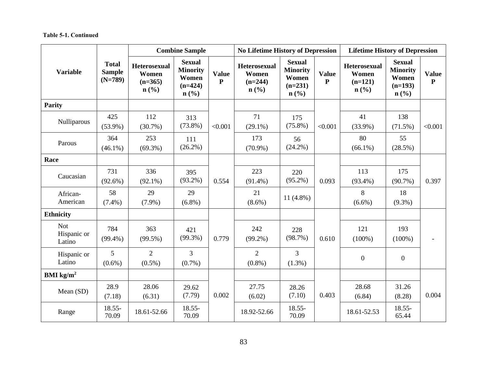|                                     |                                            |                                                      | <b>Combine Sample</b>                                                                 |                              |                                                      | <b>No Lifetime History of Depression</b>                                              |                              |                                                                   | <b>Lifetime History of Depression</b>                                                 |                           |  |
|-------------------------------------|--------------------------------------------|------------------------------------------------------|---------------------------------------------------------------------------------------|------------------------------|------------------------------------------------------|---------------------------------------------------------------------------------------|------------------------------|-------------------------------------------------------------------|---------------------------------------------------------------------------------------|---------------------------|--|
| <b>Variable</b>                     | <b>Total</b><br><b>Sample</b><br>$(N=789)$ | <b>Heterosexual</b><br>Women<br>$(n=365)$<br>$n$ (%) | <b>Sexual</b><br><b>Minority</b><br>Women<br>$(n=424)$<br>$n\left(\frac{0}{0}\right)$ | <b>Value</b><br>$\mathbf{P}$ | <b>Heterosexual</b><br>Women<br>$(n=244)$<br>$n$ (%) | <b>Sexual</b><br><b>Minority</b><br>Women<br>$(n=231)$<br>$n\left(\frac{0}{0}\right)$ | <b>Value</b><br>$\mathbf{P}$ | Heterosexual<br>Women<br>$(n=121)$<br>$n\left(\frac{0}{0}\right)$ | <b>Sexual</b><br><b>Minority</b><br>Women<br>$(n=193)$<br>$n\left(\frac{0}{0}\right)$ | <b>Value</b><br>${\bf P}$ |  |
| <b>Parity</b>                       |                                            |                                                      |                                                                                       |                              |                                                      |                                                                                       |                              |                                                                   |                                                                                       |                           |  |
| Nulliparous                         | 425<br>$(53.9\%)$                          | 112<br>$(30.7\%)$                                    | 313<br>$(73.8\%)$                                                                     | < 0.001                      | 71<br>$(29.1\%)$                                     | 175<br>$(75.8\%)$                                                                     | < 0.001                      | 41<br>$(33.9\%)$                                                  | 138<br>$(71.5\%)$                                                                     | < 0.001                   |  |
| Parous                              | 364<br>$(46.1\%)$                          | 253<br>$(69.3\%)$                                    | 111<br>$(26.2\%)$                                                                     |                              | 173<br>$(70.9\%)$                                    | 56<br>$(24.2\%)$                                                                      |                              | 80<br>$(66.1\%)$                                                  | 55<br>$(28.5\%)$                                                                      |                           |  |
| Race                                |                                            |                                                      |                                                                                       |                              |                                                      |                                                                                       |                              |                                                                   |                                                                                       |                           |  |
| Caucasian                           | 731<br>$(92.6\%)$                          | 336<br>$(92.1\%)$                                    | 395<br>$(93.2\%)$                                                                     | 0.554                        | 223<br>$(91.4\%)$                                    | 220<br>$(95.2\%)$                                                                     | 0.093                        | 113<br>$(93.4\%)$                                                 | 175<br>$(90.7\%)$                                                                     | 0.397                     |  |
| African-<br>American                | 58<br>$(7.4\%)$                            | 29<br>$(7.9\%)$                                      | 29<br>$(6.8\%)$                                                                       |                              | 21<br>$(8.6\%)$                                      | $11(4.8\%)$                                                                           |                              | 8<br>$(6.6\%)$                                                    | 18<br>$(9.3\%)$                                                                       |                           |  |
| <b>Ethnicity</b>                    |                                            |                                                      |                                                                                       |                              |                                                      |                                                                                       |                              |                                                                   |                                                                                       |                           |  |
| <b>Not</b><br>Hispanic or<br>Latino | 784<br>$(99.4\%)$                          | 363<br>$(99.5\%)$                                    | 421<br>$(99.3\%)$                                                                     | 0.779                        | 242<br>$(99.2\%)$                                    | 228<br>(98.7%)                                                                        | 0.610                        | 121<br>$(100\%)$                                                  | 193<br>$(100\%)$                                                                      |                           |  |
| Hispanic or<br>Latino               | 5<br>$(0.6\%)$                             | $\overline{2}$<br>$(0.5\%)$                          | $\overline{3}$<br>$(0.7\%)$                                                           |                              | $\overline{2}$<br>$(0.8\%)$                          | $\overline{3}$<br>$(1.3\%)$                                                           |                              | $\boldsymbol{0}$                                                  | $\overline{0}$                                                                        |                           |  |
| BMI $\text{kg/m}^2$                 |                                            |                                                      |                                                                                       |                              |                                                      |                                                                                       |                              |                                                                   |                                                                                       |                           |  |
| Mean (SD)                           | 28.9<br>(7.18)                             | 28.06<br>(6.31)                                      | 29.62<br>(7.79)                                                                       | 0.002                        | 27.75<br>(6.02)                                      | 28.26<br>(7.10)                                                                       | 0.403                        | 28.68<br>(6.84)                                                   | 31.26<br>(8.28)                                                                       | 0.004                     |  |
| Range                               | 18.55-<br>70.09                            | 18.61-52.66                                          | $18.55 -$<br>70.09                                                                    |                              | 18.92-52.66                                          | 18.55-<br>70.09                                                                       |                              | 18.61-52.53                                                       | 18.55-<br>65.44                                                                       |                           |  |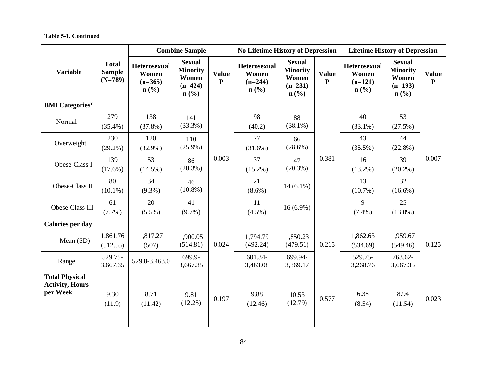|                                                             |                                            | <b>Combine Sample</b>                                                    |                                                                                       |                              | <b>No Lifetime History of Depression</b>             |                                                                                       |                              | <b>Lifetime History of Depression</b>                |                                                                   |                           |
|-------------------------------------------------------------|--------------------------------------------|--------------------------------------------------------------------------|---------------------------------------------------------------------------------------|------------------------------|------------------------------------------------------|---------------------------------------------------------------------------------------|------------------------------|------------------------------------------------------|-------------------------------------------------------------------|---------------------------|
| <b>Variable</b>                                             | <b>Total</b><br><b>Sample</b><br>$(N=789)$ | <b>Heterosexual</b><br>Women<br>$(n=365)$<br>$n\left(\frac{0}{0}\right)$ | <b>Sexual</b><br><b>Minority</b><br>Women<br>$(n=424)$<br>$n\left(\frac{0}{0}\right)$ | <b>Value</b><br>$\mathbf{P}$ | <b>Heterosexual</b><br>Women<br>$(n=244)$<br>$n$ (%) | <b>Sexual</b><br><b>Minority</b><br>Women<br>$(n=231)$<br>$n\left(\frac{6}{6}\right)$ | <b>Value</b><br>$\mathbf{P}$ | <b>Heterosexual</b><br>Women<br>$(n=121)$<br>$n$ (%) | <b>Sexual</b><br><b>Minority</b><br>Women<br>$(n=193)$<br>$n$ (%) | <b>Value</b><br>${\bf P}$ |
| <b>BMI</b> Categories <sup>¥</sup>                          |                                            |                                                                          |                                                                                       |                              |                                                      |                                                                                       |                              |                                                      |                                                                   |                           |
| Normal                                                      | 279<br>$(35.4\%)$                          | 138<br>$(37.8\%)$                                                        | 141<br>(33.3%)                                                                        |                              | 98<br>(40.2)                                         | 88<br>$(38.1\%)$                                                                      |                              | 40<br>$(33.1\%)$                                     | 53<br>(27.5%)                                                     |                           |
| Overweight                                                  | 230<br>$(29.2\%)$                          | 120<br>$(32.9\%)$                                                        | 110<br>$(25.9\%)$                                                                     | 0.003                        | 77<br>$(31.6\%)$                                     | 66<br>$(28.6\%)$                                                                      | 0.381                        | 43<br>$(35.5\%)$                                     | 44<br>$(22.8\%)$                                                  | 0.007                     |
| Obese-Class I                                               | 139<br>$(17.6\%)$                          | 53<br>$(14.5\%)$                                                         | 86<br>$(20.3\%)$                                                                      |                              | 37<br>$(15.2\%)$                                     | 47<br>$(20.3\%)$                                                                      |                              | 16<br>$(13.2\%)$                                     | 39<br>$(20.2\%)$                                                  |                           |
| Obese-Class II                                              | 80<br>$(10.1\%)$                           | 34<br>$(9.3\%)$                                                          | 46<br>$(10.8\%)$                                                                      |                              | 21<br>$(8.6\%)$                                      | $14(6.1\%)$                                                                           |                              | 13<br>$(10.7\%)$                                     | 32<br>$(16.6\%)$                                                  |                           |
| Obese-Class III                                             | 61<br>$(7.7\%)$                            | 20<br>$(5.5\%)$                                                          | 41<br>$(9.7\%)$                                                                       |                              | 11<br>$(4.5\%)$                                      | $16(6.9\%)$                                                                           |                              | 9<br>$(7.4\%)$                                       | 25<br>$(13.0\%)$                                                  |                           |
| Calories per day                                            |                                            |                                                                          |                                                                                       |                              |                                                      |                                                                                       |                              |                                                      |                                                                   |                           |
| Mean (SD)                                                   | 1,861.76<br>(512.55)                       | 1,817.27<br>(507)                                                        | 1,900.05<br>(514.81)                                                                  | 0.024                        | 1,794.79<br>(492.24)                                 | 1,850.23<br>(479.51)                                                                  | 0.215                        | 1,862.63<br>(534.69)                                 | 1,959.67<br>(549.46)                                              | 0.125                     |
| Range                                                       | 529.75-<br>3,667.35                        | 529.8-3,463.0                                                            | 699.9-<br>3,667.35                                                                    |                              | 601.34-<br>3,463.08                                  | 699.94-<br>3,369.17                                                                   |                              | 529.75-<br>3,268.76                                  | 763.62-<br>3,667.35                                               |                           |
| <b>Total Physical</b><br><b>Activity, Hours</b><br>per Week | 9.30<br>(11.9)                             | 8.71<br>(11.42)                                                          | 9.81<br>(12.25)                                                                       | 0.197                        | 9.88<br>(12.46)                                      | 10.53<br>(12.79)                                                                      | 0.577                        | 6.35<br>(8.54)                                       | 8.94<br>(11.54)                                                   | 0.023                     |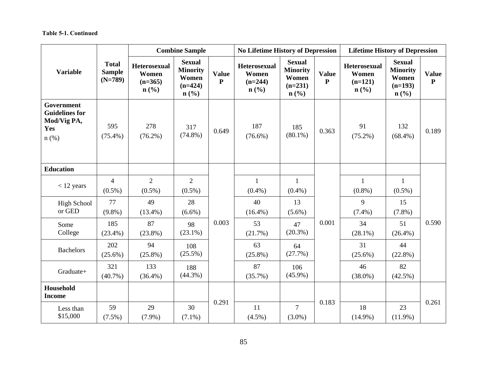|                                                                      |                                            | <b>Combine Sample</b>                                |                                                                                       |                           | <b>No Lifetime History of Depression</b>                                 |                                                                                       |                              | <b>Lifetime History of Depression</b>                |                                                                                       |                           |
|----------------------------------------------------------------------|--------------------------------------------|------------------------------------------------------|---------------------------------------------------------------------------------------|---------------------------|--------------------------------------------------------------------------|---------------------------------------------------------------------------------------|------------------------------|------------------------------------------------------|---------------------------------------------------------------------------------------|---------------------------|
| <b>Variable</b>                                                      | <b>Total</b><br><b>Sample</b><br>$(N=789)$ | <b>Heterosexual</b><br>Women<br>$(n=365)$<br>$n$ (%) | <b>Sexual</b><br><b>Minority</b><br>Women<br>$(n=424)$<br>$n\left(\frac{0}{0}\right)$ | <b>Value</b><br>${\bf P}$ | <b>Heterosexual</b><br>Women<br>$(n=244)$<br>$n\left(\frac{0}{0}\right)$ | <b>Sexual</b><br><b>Minority</b><br>Women<br>$(n=231)$<br>$n\left(\frac{6}{6}\right)$ | <b>Value</b><br>$\mathbf{P}$ | <b>Heterosexual</b><br>Women<br>$(n=121)$<br>$n$ (%) | <b>Sexual</b><br><b>Minority</b><br>Women<br>$(n=193)$<br>$n\left(\frac{6}{6}\right)$ | <b>Value</b><br>${\bf P}$ |
| Government<br><b>Guidelines for</b><br>Mod/Vig PA,<br>Yes<br>$n$ (%) | 595<br>$(75.4\%)$                          | 278<br>$(76.2\%)$                                    | 317<br>$(74.8\%)$                                                                     | 0.649                     | 187<br>$(76.6\%)$                                                        | 185<br>$(80.1\%)$                                                                     | 0.363                        | 91<br>$(75.2\%)$                                     | 132<br>$(68.4\%)$                                                                     | 0.189                     |
| <b>Education</b>                                                     |                                            |                                                      |                                                                                       |                           |                                                                          |                                                                                       |                              |                                                      |                                                                                       |                           |
| $<$ 12 years                                                         | $\overline{4}$<br>$(0.5\%)$                | $\overline{2}$<br>$(0.5\%)$                          | $\overline{2}$<br>$(0.5\%)$                                                           |                           | $\mathbf{1}$<br>$(0.4\%)$                                                | 1<br>$(0.4\%)$                                                                        | 0.001                        | $\mathbf{1}$<br>$(0.8\%)$                            | $\mathbf{1}$<br>$(0.5\%)$                                                             | 0.590                     |
| <b>High School</b><br>or GED                                         | 77<br>$(9.8\%)$                            | 49<br>$(13.4\%)$                                     | 28<br>$(6.6\%)$                                                                       |                           | 40<br>$(16.4\%)$                                                         | 13<br>$(5.6\%)$                                                                       |                              | 9<br>$(7.4\%)$                                       | 15<br>$(7.8\%)$                                                                       |                           |
| Some<br>College                                                      | 185<br>$(23.4\%)$                          | 87<br>$(23.8\%)$                                     | 98<br>$(23.1\%)$                                                                      | 0.003                     | 53<br>(21.7%)                                                            | 47<br>$(20.3\%)$                                                                      |                              | 34<br>$(28.1\%)$                                     | 51<br>$(26.4\%)$                                                                      |                           |
| <b>Bachelors</b>                                                     | 202<br>$(25.6\%)$                          | 94<br>$(25.8\%)$                                     | 108<br>$(25.5\%)$                                                                     |                           | 63<br>$(25.8\%)$                                                         | 64<br>(27.7%)                                                                         |                              | 31<br>$(25.6\%)$                                     | 44<br>$(22.8\%)$                                                                      |                           |
| Graduate+                                                            | 321<br>$(40.7\%)$                          | 133<br>$(36.4\%)$                                    | 188<br>$(44.3\%)$                                                                     |                           | 87<br>$(35.7\%)$                                                         | 106<br>$(45.9\%)$                                                                     |                              | 46<br>$(38.0\%)$                                     | 82<br>$(42.5\%)$                                                                      |                           |
| Household<br><b>Income</b>                                           |                                            |                                                      |                                                                                       |                           |                                                                          |                                                                                       |                              |                                                      |                                                                                       |                           |
| Less than<br>\$15,000                                                | 59<br>$(7.5\%)$                            | 29<br>$(7.9\%)$                                      | 30<br>$(7.1\%)$                                                                       | 0.291                     | 11<br>$(4.5\%)$                                                          | $\overline{7}$<br>$(3.0\%)$                                                           | 0.183                        | 18<br>$(14.9\%)$                                     | 23<br>$(11.9\%)$                                                                      | 0.261                     |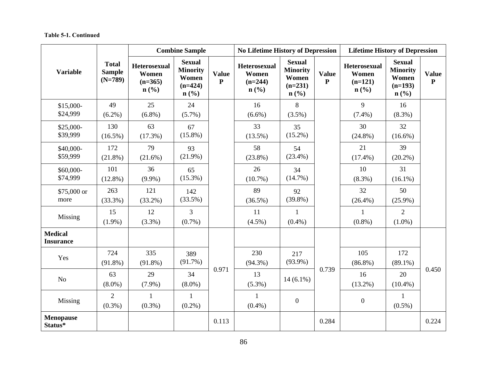|                                    |                                            | <b>Combine Sample</b>                                                    |                                                                                       |                              | <b>No Lifetime History of Depression</b>             |                                                                                       |                              | <b>Lifetime History of Depression</b>                |                                                                                       |                              |
|------------------------------------|--------------------------------------------|--------------------------------------------------------------------------|---------------------------------------------------------------------------------------|------------------------------|------------------------------------------------------|---------------------------------------------------------------------------------------|------------------------------|------------------------------------------------------|---------------------------------------------------------------------------------------|------------------------------|
| <b>Variable</b>                    | <b>Total</b><br><b>Sample</b><br>$(N=789)$ | <b>Heterosexual</b><br>Women<br>$(n=365)$<br>$n\left(\frac{0}{0}\right)$ | <b>Sexual</b><br><b>Minority</b><br>Women<br>$(n=424)$<br>$n\left(\frac{0}{0}\right)$ | <b>Value</b><br>$\mathbf{P}$ | <b>Heterosexual</b><br>Women<br>$(n=244)$<br>$n$ (%) | <b>Sexual</b><br><b>Minority</b><br>Women<br>$(n=231)$<br>$n\left(\frac{0}{0}\right)$ | <b>Value</b><br>$\mathbf{P}$ | <b>Heterosexual</b><br>Women<br>$(n=121)$<br>$n$ (%) | <b>Sexual</b><br><b>Minority</b><br>Women<br>$(n=193)$<br>$n\left(\frac{0}{0}\right)$ | <b>Value</b><br>$\mathbf{P}$ |
| $$15,000-$<br>\$24,999             | 49<br>$(6.2\%)$                            | 25<br>$(6.8\%)$                                                          | 24<br>$(5.7\%)$                                                                       |                              | 16<br>$(6.6\%)$                                      | $8\,$<br>$(3.5\%)$                                                                    |                              | 9<br>$(7.4\%)$                                       | 16<br>$(8.3\%)$                                                                       |                              |
| \$25,000-<br>\$39,999              | 130<br>$(16.5\%)$                          | 63<br>(17.3%)                                                            | 67<br>$(15.8\%)$                                                                      |                              | 33<br>$(13.5\%)$                                     | 35<br>$(15.2\%)$                                                                      |                              | 30<br>$(24.8\%)$                                     | 32<br>$(16.6\%)$                                                                      |                              |
| \$40,000-<br>\$59,999              | 172<br>$(21.8\%)$                          | 79<br>$(21.6\%)$                                                         | 93<br>$(21.9\%)$                                                                      |                              | 58<br>$(23.8\%)$                                     | 54<br>$(23.4\%)$                                                                      |                              | 21<br>$(17.4\%)$                                     | 39<br>$(20.2\%)$                                                                      |                              |
| \$60,000-<br>\$74,999              | 101<br>$(12.8\%)$                          | 36<br>$(9.9\%)$                                                          | 65<br>$(15.3\%)$                                                                      |                              | 26<br>$(10.7\%)$                                     | 34<br>$(14.7\%)$                                                                      |                              | 10<br>$(8.3\%)$                                      | 31<br>$(16.1\%)$                                                                      |                              |
| \$75,000 or<br>more                | 263<br>$(33.3\%)$                          | 121<br>$(33.2\%)$                                                        | 142<br>(33.5%)                                                                        |                              | 89<br>$(36.5\%)$                                     | 92<br>$(39.8\%)$                                                                      |                              | 32<br>$(26.4\%)$                                     | 50<br>$(25.9\%)$                                                                      |                              |
| Missing                            | 15<br>$(1.9\%)$                            | 12<br>$(3.3\%)$                                                          | 3<br>$(0.7\%)$                                                                        |                              | 11<br>$(4.5\%)$                                      | $\mathbf{1}$<br>$(0.4\%)$                                                             |                              | $\mathbf{1}$<br>$(0.8\%)$                            | $\overline{2}$<br>$(1.0\%)$                                                           |                              |
| <b>Medical</b><br><b>Insurance</b> |                                            |                                                                          |                                                                                       |                              |                                                      |                                                                                       |                              |                                                      |                                                                                       |                              |
| Yes                                | 724<br>$(91.8\%)$                          | 335<br>$(91.8\%)$                                                        | 389<br>$(91.7\%)$                                                                     |                              | 230<br>$(94.3\%)$                                    | 217<br>$(93.9\%)$                                                                     |                              | 105<br>$(86.8\%)$                                    | 172<br>$(89.1\%)$                                                                     | 0.450                        |
| No                                 | 63<br>$(8.0\%)$                            | 29<br>$(7.9\%)$                                                          | 34<br>$(8.0\%)$                                                                       | 0.971                        | 13<br>$(5.3\%)$                                      | $14(6.1\%)$                                                                           | 0.739                        | 16<br>$(13.2\%)$                                     | 20<br>$(10.4\%)$                                                                      |                              |
| Missing                            | $\overline{2}$<br>$(0.3\%)$                | $\mathbf{1}$<br>$(0.3\%)$                                                | $\mathbf{1}$<br>$(0.2\%)$                                                             |                              | $\mathbf{1}$<br>$(0.4\%)$                            | $\boldsymbol{0}$                                                                      |                              | $\boldsymbol{0}$                                     | $\mathbf{1}$<br>$(0.5\%)$                                                             |                              |
| <b>Menopause</b><br>Status*        |                                            |                                                                          |                                                                                       | 0.113                        |                                                      |                                                                                       | 0.284                        |                                                      |                                                                                       | 0.224                        |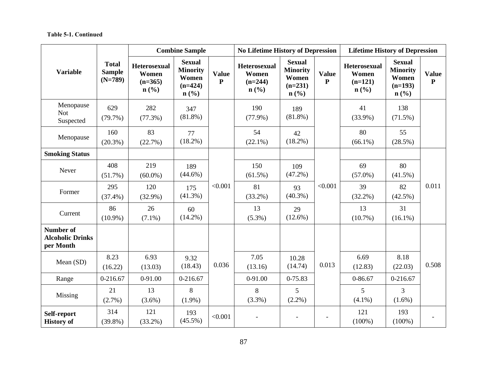|                                                          |                                            | <b>Combine Sample</b>                                |                                                                   |                           | <b>No Lifetime History of Depression</b>                                 |                                                                                       |                              | <b>Lifetime History of Depression</b>                |                                                                   |                           |
|----------------------------------------------------------|--------------------------------------------|------------------------------------------------------|-------------------------------------------------------------------|---------------------------|--------------------------------------------------------------------------|---------------------------------------------------------------------------------------|------------------------------|------------------------------------------------------|-------------------------------------------------------------------|---------------------------|
| <b>Variable</b>                                          | <b>Total</b><br><b>Sample</b><br>$(N=789)$ | <b>Heterosexual</b><br>Women<br>$(n=365)$<br>$n$ (%) | <b>Sexual</b><br><b>Minority</b><br>Women<br>$(n=424)$<br>$n$ (%) | <b>Value</b><br>${\bf P}$ | <b>Heterosexual</b><br>Women<br>$(n=244)$<br>$n\left(\frac{0}{0}\right)$ | <b>Sexual</b><br><b>Minority</b><br>Women<br>$(n=231)$<br>$n\left(\frac{0}{0}\right)$ | <b>Value</b><br>$\mathbf{P}$ | <b>Heterosexual</b><br>Women<br>$(n=121)$<br>$n$ (%) | <b>Sexual</b><br><b>Minority</b><br>Women<br>$(n=193)$<br>$n$ (%) | <b>Value</b><br>${\bf P}$ |
| Menopause<br><b>Not</b><br>Suspected                     | 629<br>(79.7%)                             | 282<br>$(77.3\%)$                                    | 347<br>$(81.8\%)$                                                 |                           | 190<br>$(77.9\%)$                                                        | 189<br>$(81.8\%)$                                                                     |                              | 41<br>$(33.9\%)$                                     | 138<br>$(71.5\%)$                                                 |                           |
| Menopause                                                | 160<br>$(20.3\%)$                          | 83<br>(22.7%)                                        | 77<br>$(18.2\%)$                                                  |                           | 54<br>$(22.1\%)$                                                         | 42<br>$(18.2\%)$                                                                      |                              | 80<br>$(66.1\%)$                                     | 55<br>$(28.5\%)$                                                  |                           |
| <b>Smoking Status</b>                                    |                                            |                                                      |                                                                   |                           |                                                                          |                                                                                       |                              |                                                      |                                                                   |                           |
| Never                                                    | 408<br>$(51.7\%)$                          | 219<br>$(60.0\%)$                                    | 189<br>$(44.6\%)$                                                 |                           | 150<br>$(61.5\%)$                                                        | 109<br>$(47.2\%)$                                                                     |                              | 69<br>$(57.0\%)$                                     | 80<br>$(41.5\%)$                                                  |                           |
| Former                                                   | 295<br>$(37.4\%)$                          | 120<br>$(32.9\%)$                                    | 175<br>$(41.3\%)$                                                 | < 0.001                   | 81<br>$(33.2\%)$                                                         | 93<br>$(40.3\%)$                                                                      | < 0.001                      | 39<br>$(32.2\%)$                                     | 82<br>$(42.5\%)$                                                  | 0.011                     |
| Current                                                  | 86<br>$(10.9\%)$                           | 26<br>$(7.1\%)$                                      | 60<br>$(14.2\%)$                                                  |                           | 13<br>$(5.3\%)$                                                          | 29<br>$(12.6\%)$                                                                      |                              | 13<br>$(10.7\%)$                                     | 31<br>$(16.1\%)$                                                  |                           |
| <b>Number of</b><br><b>Alcoholic Drinks</b><br>per Month |                                            |                                                      |                                                                   |                           |                                                                          |                                                                                       |                              |                                                      |                                                                   |                           |
| Mean (SD)                                                | 8.23<br>(16.22)                            | 6.93<br>(13.03)                                      | 9.32<br>(18.43)                                                   | 0.036                     | 7.05<br>(13.16)                                                          | 10.28<br>(14.74)                                                                      | 0.013                        | 6.69<br>(12.83)                                      | 8.18<br>(22.03)                                                   | 0.508                     |
| Range                                                    | 0-216.67                                   | 0-91.00                                              | 0-216.67                                                          |                           | 0-91.00                                                                  | 0-75.83                                                                               |                              | $0 - 86.67$                                          | 0-216.67                                                          |                           |
| Missing                                                  | 21<br>$(2.7\%)$                            | 13<br>$(3.6\%)$                                      | 8<br>$(1.9\%)$                                                    |                           | 8<br>$(3.3\%)$                                                           | 5<br>$(2.2\%)$                                                                        |                              | 5<br>$(4.1\%)$                                       | $\overline{3}$<br>$(1.6\%)$                                       |                           |
| Self-report<br><b>History of</b>                         | 314<br>$(39.8\%)$                          | 121<br>$(33.2\%)$                                    | 193<br>$(45.5\%)$                                                 | < 0.001                   |                                                                          | $\overline{\phantom{a}}$                                                              |                              | 121<br>$(100\%)$                                     | 193<br>$(100\%)$                                                  |                           |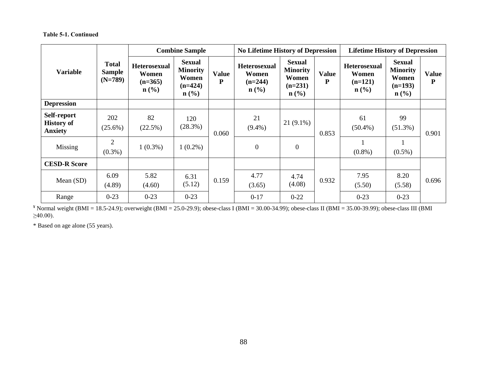|                                                    |                                            | <b>Combine Sample</b>                                         |                                                                            |                           | <b>No Lifetime History of Depression</b>                                 |                                                                            |                   | <b>Lifetime History of Depression</b>                         |                                                                            |                           |
|----------------------------------------------------|--------------------------------------------|---------------------------------------------------------------|----------------------------------------------------------------------------|---------------------------|--------------------------------------------------------------------------|----------------------------------------------------------------------------|-------------------|---------------------------------------------------------------|----------------------------------------------------------------------------|---------------------------|
| <b>Variable</b>                                    | <b>Total</b><br><b>Sample</b><br>$(N=789)$ | <b>Heterosexual</b><br>Women<br>$(n=365)$<br>$\mathbf{n}(\%)$ | <b>Sexual</b><br><b>Minority</b><br>Women<br>$(n=424)$<br>$\mathbf{n}(\%)$ | <b>Value</b><br>${\bf P}$ | <b>Heterosexual</b><br>Women<br>$(n=244)$<br>$n\left(\frac{0}{0}\right)$ | <b>Sexual</b><br><b>Minority</b><br>Women<br>$(n=231)$<br>$\mathbf{n}(\%)$ | <b>Value</b><br>P | <b>Heterosexual</b><br>Women<br>$(n=121)$<br>$\mathbf{n}(\%)$ | <b>Sexual</b><br><b>Minority</b><br>Women<br>$(n=193)$<br>$\mathbf{n}(\%)$ | <b>Value</b><br>${\bf P}$ |
| <b>Depression</b>                                  |                                            |                                                               |                                                                            |                           |                                                                          |                                                                            |                   |                                                               |                                                                            |                           |
| Self-report<br><b>History of</b><br><b>Anxiety</b> | 202<br>$(25.6\%)$                          | 82<br>$(22.5\%)$                                              | 120<br>(28.3%)                                                             | 0.060                     | 21<br>$(9.4\%)$                                                          | $21(9.1\%)$                                                                | 0.853             | 61<br>$(50.4\%)$                                              | 99<br>$(51.3\%)$                                                           | 0.901                     |
| Missing                                            | $\overline{2}$<br>$(0.3\%)$                | $1(0.3\%)$                                                    | $1(0.2\%)$                                                                 |                           | $\mathbf{0}$                                                             | $\overline{0}$                                                             |                   | $(0.8\%)$                                                     | $(0.5\%)$                                                                  |                           |
| <b>CESD-R Score</b>                                |                                            |                                                               |                                                                            |                           |                                                                          |                                                                            |                   |                                                               |                                                                            |                           |
| Mean $(SD)$                                        | 6.09<br>(4.89)                             | 5.82<br>(4.60)                                                | 6.31<br>(5.12)                                                             | 0.159                     | 4.77<br>(3.65)                                                           | 4.74<br>(4.08)                                                             | 0.932             | 7.95<br>(5.50)                                                | 8.20<br>(5.58)                                                             | 0.696                     |
| Range                                              | $0 - 23$                                   | $0 - 23$                                                      | $0 - 23$                                                                   |                           | $0 - 17$                                                                 | $0 - 22$                                                                   |                   | $0 - 23$                                                      | $0 - 23$                                                                   |                           |

 $*$  Normal weight (BMI = 18.5-24.9); overweight (BMI = 25.0-29.9); obese-class I (BMI = 30.00-34.99); obese-class II (BMI = 35.00-39.99); obese-class III (BMI  $≥40.00$ ).

\* Based on age alone (55 years).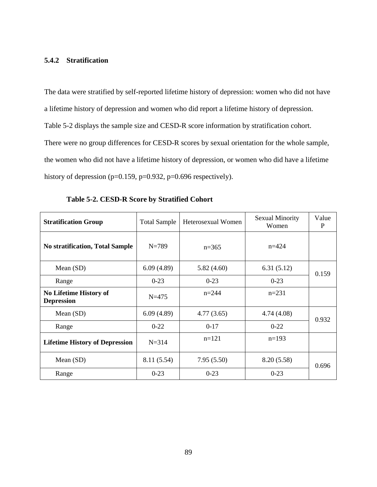# **5.4.2 Stratification**

The data were stratified by self-reported lifetime history of depression: women who did not have a lifetime history of depression and women who did report a lifetime history of depression. Table 5-2 displays the sample size and CESD-R score information by stratification cohort. There were no group differences for CESD-R scores by sexual orientation for the whole sample, the women who did not have a lifetime history of depression, or women who did have a lifetime history of depression ( $p=0.159$ ,  $p=0.932$ ,  $p=0.696$  respectively).

| <b>Stratification Group</b>                        | <b>Total Sample</b> | Heterosexual Women | <b>Sexual Minority</b><br>Women | Value<br>P |  |
|----------------------------------------------------|---------------------|--------------------|---------------------------------|------------|--|
| <b>No stratification, Total Sample</b>             | $N=789$             | $n=365$            | $n = 424$                       |            |  |
| Mean $(SD)$                                        | 6.09(4.89)          | 5.82(4.60)         | 6.31(5.12)                      | 0.159      |  |
| Range                                              | $0-23$              | $0-23$             | $0-23$                          |            |  |
| <b>No Lifetime History of</b><br><b>Depression</b> | $N = 475$           | $n = 244$          | $n=231$                         |            |  |
| Mean $(SD)$                                        | 6.09(4.89)          | 4.77(3.65)         | 4.74 (4.08)                     | 0.932      |  |
| Range                                              | $0 - 22$            | $0-17$             | $0-22$                          |            |  |
| <b>Lifetime History of Depression</b>              | $N = 314$           | $n=121$            | $n=193$                         |            |  |
| Mean (SD)                                          | 8.11 (5.54)         | 7.95(5.50)         | 8.20 (5.58)                     | 0.696      |  |
| Range                                              | $0-23$              | $0-23$             | $0 - 23$                        |            |  |

**Table 5-2. CESD-R Score by Stratified Cohort**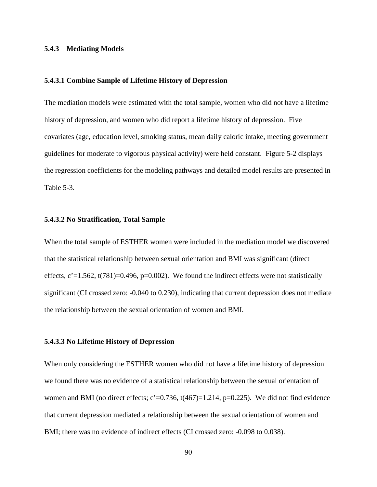#### **5.4.3 Mediating Models**

#### **5.4.3.1 Combine Sample of Lifetime History of Depression**

The mediation models were estimated with the total sample, women who did not have a lifetime history of depression, and women who did report a lifetime history of depression. Five covariates (age, education level, smoking status, mean daily caloric intake, meeting government guidelines for moderate to vigorous physical activity) were held constant. Figure 5-2 displays the regression coefficients for the modeling pathways and detailed model results are presented in Table 5-3.

#### **5.4.3.2 No Stratification, Total Sample**

When the total sample of ESTHER women were included in the mediation model we discovered that the statistical relationship between sexual orientation and BMI was significant (direct effects,  $c' = 1.562$ ,  $t(781)=0.496$ ,  $p=0.002$ . We found the indirect effects were not statistically significant (CI crossed zero: -0.040 to 0.230), indicating that current depression does not mediate the relationship between the sexual orientation of women and BMI.

#### **5.4.3.3 No Lifetime History of Depression**

When only considering the ESTHER women who did not have a lifetime history of depression we found there was no evidence of a statistical relationship between the sexual orientation of women and BMI (no direct effects;  $c' = 0.736$ ,  $t(467) = 1.214$ ,  $p = 0.225$ ). We did not find evidence that current depression mediated a relationship between the sexual orientation of women and BMI; there was no evidence of indirect effects (CI crossed zero: -0.098 to 0.038).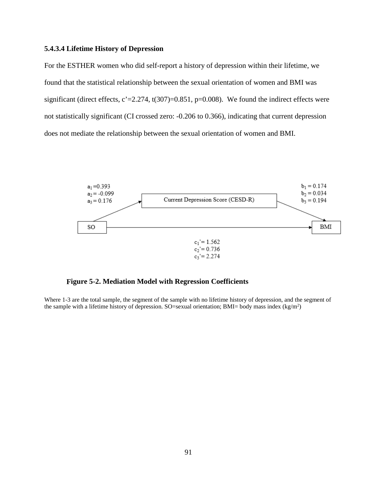#### **5.4.3.4 Lifetime History of Depression**

For the ESTHER women who did self-report a history of depression within their lifetime, we found that the statistical relationship between the sexual orientation of women and BMI was significant (direct effects,  $c' = 2.274$ ,  $t(307)=0.851$ ,  $p=0.008$ ). We found the indirect effects were not statistically significant (CI crossed zero: -0.206 to 0.366), indicating that current depression does not mediate the relationship between the sexual orientation of women and BMI.



**Figure 5-2. Mediation Model with Regression Coefficients**

Where 1-3 are the total sample, the segment of the sample with no lifetime history of depression, and the segment of the sample with a lifetime history of depression. SO=sexual orientation; BMI= body mass index  $(kg/m<sup>2</sup>)$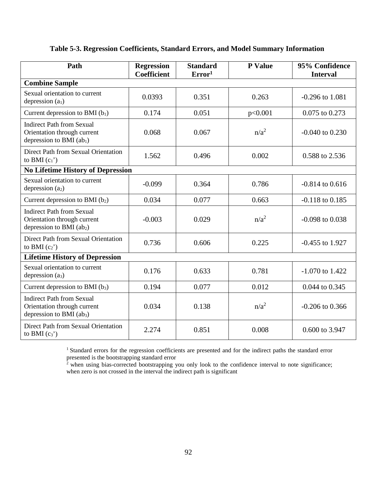# **Table 5-3. Regression Coefficients, Standard Errors, and Model Summary Information**

| Path                                                                                          | <b>Regression</b><br><b>Coefficient</b> | <b>Standard</b><br>Error <sup>1</sup> | P Value | 95% Confidence<br><b>Interval</b> |  |
|-----------------------------------------------------------------------------------------------|-----------------------------------------|---------------------------------------|---------|-----------------------------------|--|
| <b>Combine Sample</b>                                                                         |                                         |                                       |         |                                   |  |
| Sexual orientation to current<br>depression $(a_1)$                                           | 0.0393                                  | 0.351                                 | 0.263   | $-0.296$ to $1.081$               |  |
| Current depression to BMI $(b_1)$                                                             | 0.174                                   | 0.051                                 | p<0.001 | 0.075 to 0.273                    |  |
| <b>Indirect Path from Sexual</b><br>Orientation through current<br>depression to BMI $(ab1)$  | 0.068                                   | 0.067                                 | $n/a^2$ | $-0.040$ to $0.230$               |  |
| Direct Path from Sexual Orientation<br>to BMI $(c_1)$                                         | 1.562                                   | 0.496                                 | 0.002   | 0.588 to 2.536                    |  |
| <b>No Lifetime History of Depression</b>                                                      |                                         |                                       |         |                                   |  |
| Sexual orientation to current<br>depression $(a2)$                                            | $-0.099$                                | 0.364                                 | 0.786   | $-0.814$ to $0.616$               |  |
| Current depression to BMI $(b_2)$                                                             | 0.034                                   | 0.077                                 | 0.663   | $-0.118$ to $0.185$               |  |
| <b>Indirect Path from Sexual</b><br>Orientation through current<br>depression to BMI $(ab_2)$ | $-0.003$                                | 0.029                                 | $n/a^2$ | $-0.098$ to $0.038$               |  |
| Direct Path from Sexual Orientation<br>to BMI $(c_2)$                                         | 0.736                                   | 0.606                                 | 0.225   | $-0.455$ to 1.927                 |  |
| <b>Lifetime History of Depression</b>                                                         |                                         |                                       |         |                                   |  |
| Sexual orientation to current<br>depression (a3)                                              | 0.176                                   | 0.633                                 | 0.781   | $-1.070$ to 1.422                 |  |
| Current depression to BMI $(b_3)$                                                             | 0.194                                   | 0.077                                 | 0.012   | 0.044 to 0.345                    |  |
| <b>Indirect Path from Sexual</b><br>Orientation through current<br>depression to BMI $(ab_3)$ | 0.034                                   | 0.138                                 | $n/a^2$ | $-0.206$ to 0.366                 |  |
| Direct Path from Sexual Orientation<br>to BMI $(c_3)$                                         | 2.274                                   | 0.851                                 | 0.008   | 0.600 to 3.947                    |  |

<sup>1</sup> Standard errors for the regression coefficients are presented and for the indirect paths the standard error presented is the bootstrapping standard error

 $2$ <sup>2</sup> when using bias-corrected bootstrapping you only look to the confidence interval to note significance; when zero is not crossed in the interval the indirect path is significant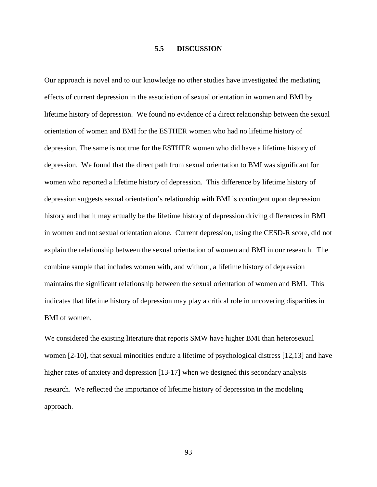# **5.5 DISCUSSION**

Our approach is novel and to our knowledge no other studies have investigated the mediating effects of current depression in the association of sexual orientation in women and BMI by lifetime history of depression. We found no evidence of a direct relationship between the sexual orientation of women and BMI for the ESTHER women who had no lifetime history of depression. The same is not true for the ESTHER women who did have a lifetime history of depression. We found that the direct path from sexual orientation to BMI was significant for women who reported a lifetime history of depression. This difference by lifetime history of depression suggests sexual orientation's relationship with BMI is contingent upon depression history and that it may actually be the lifetime history of depression driving differences in BMI in women and not sexual orientation alone. Current depression, using the CESD-R score, did not explain the relationship between the sexual orientation of women and BMI in our research. The combine sample that includes women with, and without, a lifetime history of depression maintains the significant relationship between the sexual orientation of women and BMI. This indicates that lifetime history of depression may play a critical role in uncovering disparities in BMI of women.

We considered the existing literature that reports SMW have higher BMI than heterosexual women [2-10], that sexual minorities endure a lifetime of psychological distress [12,13] and have higher rates of anxiety and depression [13-17] when we designed this secondary analysis research. We reflected the importance of lifetime history of depression in the modeling approach.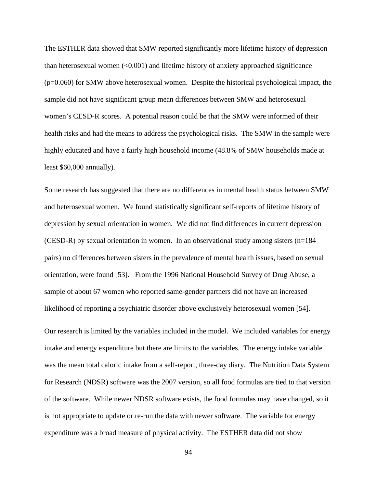The ESTHER data showed that SMW reported significantly more lifetime history of depression than heterosexual women  $\langle 0.001 \rangle$  and lifetime history of anxiety approached significance  $(p=0.060)$  for SMW above heterosexual women. Despite the historical psychological impact, the sample did not have significant group mean differences between SMW and heterosexual women's CESD-R scores. A potential reason could be that the SMW were informed of their health risks and had the means to address the psychological risks. The SMW in the sample were highly educated and have a fairly high household income (48.8% of SMW households made at least \$60,000 annually).

Some research has suggested that there are no differences in mental health status between SMW and heterosexual women. We found statistically significant self-reports of lifetime history of depression by sexual orientation in women. We did not find differences in current depression (CESD-R) by sexual orientation in women. In an observational study among sisters (n=184 pairs) no differences between sisters in the prevalence of mental health issues, based on sexual orientation, were found [53]. From the 1996 National Household Survey of Drug Abuse, a sample of about 67 women who reported same-gender partners did not have an increased likelihood of reporting a psychiatric disorder above exclusively heterosexual women [54].

Our research is limited by the variables included in the model. We included variables for energy intake and energy expenditure but there are limits to the variables. The energy intake variable was the mean total caloric intake from a self-report, three-day diary. The Nutrition Data System for Research (NDSR) software was the 2007 version, so all food formulas are tied to that version of the software. While newer NDSR software exists, the food formulas may have changed, so it is not appropriate to update or re-run the data with newer software. The variable for energy expenditure was a broad measure of physical activity. The ESTHER data did not show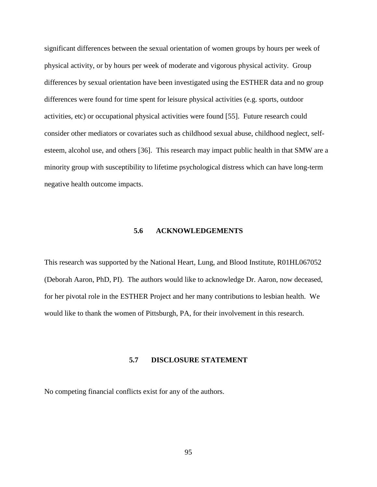significant differences between the sexual orientation of women groups by hours per week of physical activity, or by hours per week of moderate and vigorous physical activity. Group differences by sexual orientation have been investigated using the ESTHER data and no group differences were found for time spent for leisure physical activities (e.g. sports, outdoor activities, etc) or occupational physical activities were found [55]. Future research could consider other mediators or covariates such as childhood sexual abuse, childhood neglect, selfesteem, alcohol use, and others [36]. This research may impact public health in that SMW are a minority group with susceptibility to lifetime psychological distress which can have long-term negative health outcome impacts.

#### **5.6 ACKNOWLEDGEMENTS**

This research was supported by the National Heart, Lung, and Blood Institute, R01HL067052 (Deborah Aaron, PhD, PI). The authors would like to acknowledge Dr. Aaron, now deceased, for her pivotal role in the ESTHER Project and her many contributions to lesbian health. We would like to thank the women of Pittsburgh, PA, for their involvement in this research.

#### **5.7 DISCLOSURE STATEMENT**

No competing financial conflicts exist for any of the authors.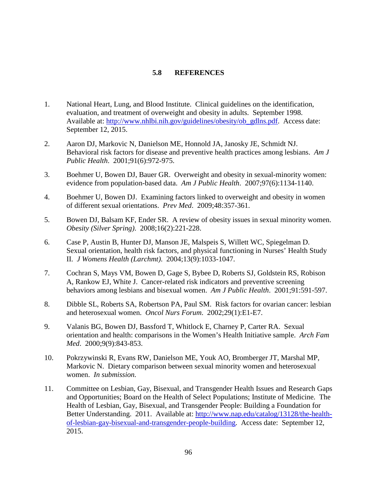# **5.8 REFERENCES**

- 1. National Heart, Lung, and Blood Institute. Clinical guidelines on the identification, evaluation, and treatment of overweight and obesity in adults. September 1998. Available at: [http://www.nhlbi.nih.gov/guidelines/obesity/ob\\_gdlns.pdf.](http://www.nhlbi.nih.gov/guidelines/obesity/ob_gdlns.pdf) Access date: September 12, 2015.
- 2. Aaron DJ, Markovic N, Danielson ME, Honnold JA, Janosky JE, Schmidt NJ. Behavioral risk factors for disease and preventive health practices among lesbians. *Am J Public Health*. 2001;91(6):972-975.
- 3. Boehmer U, Bowen DJ, Bauer GR. Overweight and obesity in sexual-minority women: evidence from population-based data. *Am J Public Health*. 2007;97(6):1134-1140.
- 4. Boehmer U, Bowen DJ. Examining factors linked to overweight and obesity in women of different sexual orientations. *Prev Med*. 2009;48:357-361.
- 5. Bowen DJ, Balsam KF, Ender SR. A review of obesity issues in sexual minority women. *Obesity (Silver Spring)*. 2008;16(2):221-228.
- 6. Case P, Austin B, Hunter DJ, Manson JE, Malspeis S, Willett WC, Spiegelman D. Sexual orientation, health risk factors, and physical functioning in Nurses' Health Study II. *J Womens Health (Larchmt)*. 2004;13(9):1033-1047.
- 7. Cochran S, Mays VM, Bowen D, Gage S, Bybee D, Roberts SJ, Goldstein RS, Robison A, Rankow EJ, White J. Cancer-related risk indicators and preventive screening behaviors among lesbians and bisexual women. *Am J Public Health*. 2001;91:591-597.
- 8. Dibble SL, Roberts SA, Robertson PA, Paul SM. Risk factors for ovarian cancer: lesbian and heterosexual women. *Oncol Nurs Forum*. 2002;29(1):E1-E7.
- 9. Valanis BG, Bowen DJ, Bassford T, Whitlock E, Charney P, Carter RA. Sexual orientation and health: comparisons in the Women's Health Initiative sample. *Arch Fam Med*. 2000;9(9):843-853.
- 10. Pokrzywinski R, Evans RW, Danielson ME, Youk AO, Bromberger JT, Marshal MP, Markovic N. Dietary comparison between sexual minority women and heterosexual women. *In submission.*
- 11. Committee on Lesbian, Gay, Bisexual, and Transgender Health Issues and Research Gaps and Opportunities; Board on the Health of Select Populations; Institute of Medicine. The Health of Lesbian, Gay, Bisexual, and Transgender People: Building a Foundation for Better Understanding. 2011. Available at: [http://www.nap.edu/catalog/13128/the-health](http://www.nap.edu/catalog/13128/the-health-of-lesbian-gay-bisexual-and-transgender-people-building)[of-lesbian-gay-bisexual-and-transgender-people-building.](http://www.nap.edu/catalog/13128/the-health-of-lesbian-gay-bisexual-and-transgender-people-building) Access date: September 12, 2015.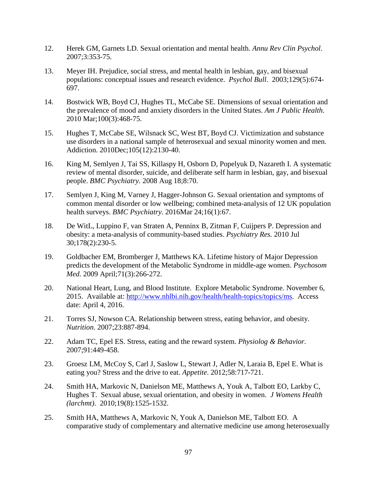- 12. Herek GM, Garnets LD. Sexual orientation and mental health. *Annu Rev Clin Psychol*. 2007;3:353-75.
- 13. Meyer IH. Prejudice, social stress, and mental health in lesbian, gay, and bisexual populations: conceptual issues and research evidence. *Psychol Bull*. 2003;129(5):674- 697.
- 14. Bostwick WB, Boyd CJ, Hughes TL, McCabe SE. Dimensions of sexual orientation and the prevalence of mood and anxiety disorders in the United States. *Am J Public Health*. 2010 Mar;100(3):468-75.
- 15. Hughes T, McCabe SE, Wilsnack SC, West BT, Boyd CJ. Victimization and substance use disorders in a national sample of heterosexual and sexual minority women and men. Addiction. 2010Dec;105(12):2130-40.
- 16. King M, Semlyen J, Tai SS, Killaspy H, Osborn D, Popelyuk D, Nazareth I. A systematic review of mental disorder, suicide, and deliberate self harm in lesbian, gay, and bisexual people. *BMC Psychiatry.* 2008 Aug 18;8:70.
- 17. Semlyen J, King M, Varney J, Hagger-Johnson G. Sexual orientation and symptoms of common mental disorder or low wellbeing; combined meta-analysis of 12 UK population health surveys. *BMC Psychiatry*. 2016Mar 24;16(1):67.
- 18. De WitL, Luppino F, van Straten A, Penninx B, Zitman F, Cuijpers P. Depression and obesity: a meta-analysis of community-based studies. *Psychiatry Res.* 2010 Jul 30;178(2):230-5.
- 19. Goldbacher EM, Bromberger J, Matthews KA. Lifetime history of Major Depression predicts the development of the Metabolic Syndrome in middle-age women. *Psychosom Med.* 2009 April;71(3):266-272.
- 20. National Heart, Lung, and Blood Institute. Explore Metabolic Syndrome. November 6, 2015. Available at: [http://www.nhlbi.nih.gov/health/health-topics/topics/ms.](http://www.nhlbi.nih.gov/health/health-topics/topics/ms) Access date: April 4, 2016.
- 21. Torres SJ, Nowson CA. Relationship between stress, eating behavior, and obesity. *Nutrition*. 2007;23:887-894.
- 22. Adam TC, Epel ES. Stress, eating and the reward system. *Physiolog & Behavior.* 2007;91:449-458.
- 23. Groesz LM, McCoy S, Carl J, Saslow L, Stewart J, Adler N, Laraia B, Epel E. What is eating you? Stress and the drive to eat. *Appetite*. 2012;58:717-721.
- 24. Smith HA, Markovic N, Danielson ME, Matthews A, Youk A, Talbott EO, Larkby C, Hughes T. Sexual abuse, sexual orientation, and obesity in women. *J Womens Health (larchmt)*. 2010;19(8):1525-1532.
- 25. Smith HA, Matthews A, Markovic N, Youk A, Danielson ME, Talbott EO. A comparative study of complementary and alternative medicine use among heterosexually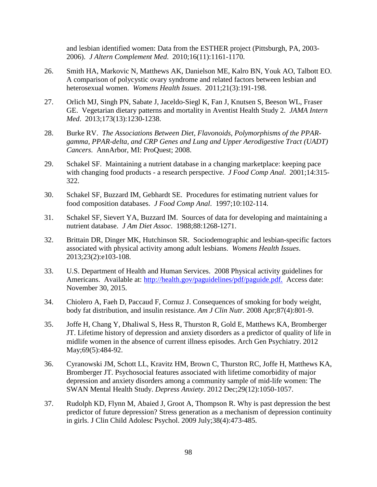and lesbian identified women: Data from the ESTHER project (Pittsburgh, PA, 2003- 2006). *J Altern Complement Med*. 2010;16(11):1161-1170.

- 26. Smith HA, Markovic N, Matthews AK, Danielson ME, Kalro BN, Youk AO, Talbott EO. A comparison of polycystic ovary syndrome and related factors between lesbian and heterosexual women. *Womens Health Issues*. 2011;21(3):191-198.
- 27. Orlich MJ, Singh PN, Sabate J, Jaceldo-Siegl K, Fan J, Knutsen S, Beeson WL, Fraser GE. Vegetarian dietary patterns and mortality in Aventist Health Study 2. *JAMA Intern Med*. 2013;173(13):1230-1238.
- 28. Burke RV. *The Associations Between Diet, Flavonoids, Polymorphisms of the PPARgamma, PPAR-delta, and CRP Genes and Lung and Upper Aerodigestive Tract (UADT) Cancers*. AnnArbor, MI: ProQuest; 2008.
- 29. Schakel SF. Maintaining a nutrient database in a changing marketplace: keeping pace with changing food products - a research perspective. *J Food Comp Anal*. 2001;14:315- 322.
- 30. Schakel SF, Buzzard IM, Gebhardt SE. Procedures for estimating nutrient values for food composition databases. *J Food Comp Anal*. 1997;10:102-114.
- 31. Schakel SF, Sievert YA, Buzzard IM. Sources of data for developing and maintaining a nutrient database. *J Am Diet Assoc*. 1988;88:1268-1271.
- 32. Brittain DR, Dinger MK, Hutchinson SR. Sociodemographic and lesbian-specific factors associated with physical activity among adult lesbians. *Womens Health Issues*. 2013;23(2):e103-108.
- 33. U.S. Department of Health and Human Services. 2008 Physical activity guidelines for Americans. Available at: [http://health.gov/paguidelines/pdf/paguide.pdf.](http://health.gov/paguidelines/pdf/paguide.pdf) Access date: November 30, 2015.
- 34. Chiolero A, Faeh D, Paccaud F, Cornuz J. Consequences of smoking for body weight, body fat distribution, and insulin resistance. *Am J Clin Nutr.* 2008 Apr;87(4):801-9.
- 35. Joffe H, Chang Y, Dhaliwal S, Hess R, Thurston R, Gold E, Matthews KA, Bromberger JT. Lifetime history of depression and anxiety disorders as a predictor of quality of life in midlife women in the absence of current illness episodes. Arch Gen Psychiatry. 2012 May;69(5):484-92.
- 36. Cyranowski JM, Schott LL, Kravitz HM, Brown C, Thurston RC, Joffe H, Matthews KA, Bromberger JT. Psychosocial features associated with lifetime comorbidity of major depression and anxiety disorders among a community sample of mid-life women: The SWAN Mental Health Study. *Depress Anxiety*. 2012 Dec;29(12):1050-1057.
- 37. Rudolph KD, Flynn M, Abaied J, Groot A, Thompson R. Why is past depression the best predictor of future depression? Stress generation as a mechanism of depression continuity in girls. J Clin Child Adolesc Psychol. 2009 July;38(4):473-485.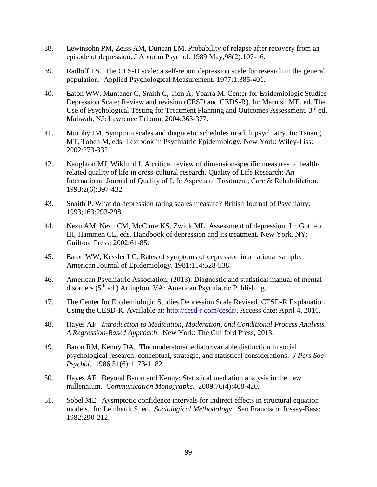- 38. Lewinsohn PM, Zeiss AM, Duncan EM. Probability of relapse after recovery from an episode of depression. J Abnorm Psychol. 1989 May;98(2):107-16.
- 39. Radloff LS. The CES-D scale: a self-report depression scale for research in the general population. Applied Psychological Measurement. 1977;1:385-401.
- 40. Eaton WW, Muntaner C, Smith C, Tien A, Ybarra M. Center for Epidemiologic Studies Depression Scale: Review and revision (CESD and CEDS-R). In: Maruish ME, ed. The Use of Psychological Testing for Treatment Planning and Outcomes Assessment. 3<sup>rd</sup> ed. Mahwah, NJ: Lawrence Erlbum; 2004:363-377.
- 41. Murphy JM. Symptom scales and diagnostic schedules in adult psychiatry. In: Tsuang MT, Tohen M, eds. Textbook in Psychiatric Epidemiology. New York: Wiley-Liss; 2002:273-332.
- 42. Naughton MJ, Wiklund I. A critical review of dimension-specific measures of healthrelated quality of life in cross-cultural research. Quality of Life Research: An International Journal of Quality of Life Aspects of Treatment, Care & Rehabilitation. 1993;2(6):397-432.
- 43. Snaith P. What do depression rating scales measure? British Journal of Psychiatry. 1993;163:293-298.
- 44. Nezu AM, Nezu CM, McClure KS, Zwick ML. Assessment of depression. In: Gotlieb IH, Hammen CL, eds. Handbook of depression and its treatment. New York, NY: Guilford Press; 2002:61-85.
- 45. Eaton WW, Kessler LG. Rates of symptoms of depression in a national sample. American Journal of Epidemiology. 1981;114:528-538.
- 46. American Psychiatric Association. (2013). Diagnostic and statistical manual of mental disorders (5<sup>th</sup> ed.) Arlington, VA: American Psychiatric Publishing.
- 47. The Center for Epidemiologic Studies Depression Scale Revised. CESD-R Explanation. Using the CESD-R. Available at: [http://cesd-r.com/cesdr/.](http://cesd-r.com/cesdr/) Access date: April 4, 2016.
- 48. Hayes AF. *Introduction to Medication, Moderation, and Conditional Process Analysis. A Regression-Based Approach*. New York: The Guilford Press, 2013.
- 49. Baron RM, Kenny DA. The moderator-mediator variable distinction in social psychological research: conceptual, strategic, and statistical considerations. *J Pers Soc Psychol.* 1986;51(6):1173-1182.
- 50. Hayes AF. Beyond Baron and Kenny: Statistical mediation analysis in the new millennium. *Communication Monographs*. 2009;76(4):408-420.
- 51. Sobel ME. Aysmptotic confidence intervals for indirect effects in structural equation models. In: Leinhardt S, ed. *Sociological Methodology*. San Francisco: Jossey-Bass; 1982:290-212.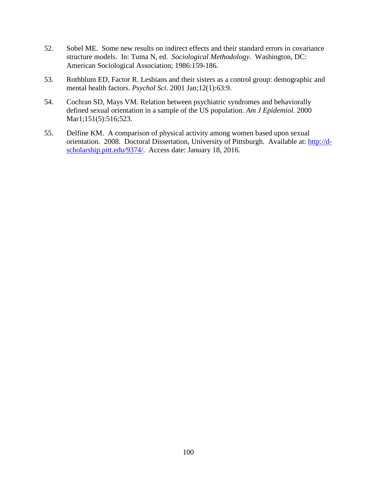- 52. Sobel ME. Some new results on indirect effects and their standard errors in covariance structure models. In: Tuma N, ed. *Sociological Methodology*. Washington, DC: American Sociological Association; 1986:159-186.
- 53. Rothblum ED, Factor R. Lesbians and their sisters as a control group: demographic and mental health factors. *Psychol Sci*. 2001 Jan;12(1):63:9.
- 54. Cochran SD, Mays VM. Relation between psychiatric syndromes and behaviorally defined sexual orientation in a sample of the US population. *Am J Epidemiol*. 2000 Mar1;151(5):516;523.
- 55. Delfine KM. A comparison of physical activity among women based upon sexual orientation. 2008. Doctoral Dissertation, University of Pittsburgh. Available at: [http://d](http://d-scholarship.pitt.edu/9374/)[scholarship.pitt.edu/9374/.](http://d-scholarship.pitt.edu/9374/) Access date: January 18, 2016.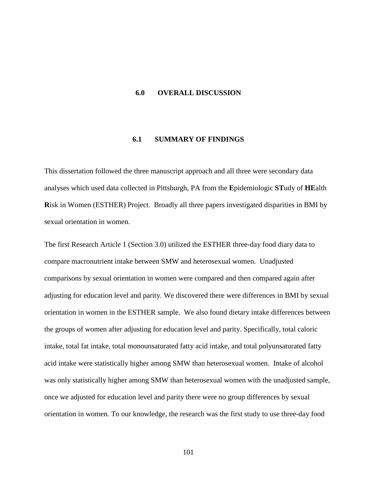#### **6.0 OVERALL DISCUSSION**

### **6.1 SUMMARY OF FINDINGS**

This dissertation followed the three manuscript approach and all three were secondary data analyses which used data collected in Pittsburgh, PA from the **E**pidemiologic **ST**udy of **HE**alth **R**isk in Women (ESTHER) Project. Broadly all three papers investigated disparities in BMI by sexual orientation in women.

The first Research Article 1 (Section 3.0) utilized the ESTHER three-day food diary data to compare macronutrient intake between SMW and heterosexual women. Unadjusted comparisons by sexual orientation in women were compared and then compared again after adjusting for education level and parity. We discovered there were differences in BMI by sexual orientation in women in the ESTHER sample. We also found dietary intake differences between the groups of women after adjusting for education level and parity. Specifically, total caloric intake, total fat intake, total monounsaturated fatty acid intake, and total polyunsaturated fatty acid intake were statistically higher among SMW than heterosexual women. Intake of alcohol was only statistically higher among SMW than heterosexual women with the unadjusted sample, once we adjusted for education level and parity there were no group differences by sexual orientation in women. To our knowledge, the research was the first study to use three-day food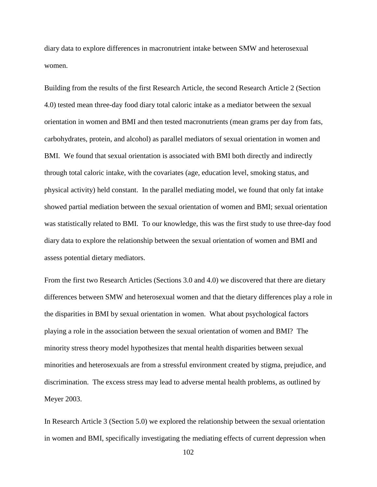diary data to explore differences in macronutrient intake between SMW and heterosexual women.

Building from the results of the first Research Article, the second Research Article 2 (Section 4.0) tested mean three-day food diary total caloric intake as a mediator between the sexual orientation in women and BMI and then tested macronutrients (mean grams per day from fats, carbohydrates, protein, and alcohol) as parallel mediators of sexual orientation in women and BMI. We found that sexual orientation is associated with BMI both directly and indirectly through total caloric intake, with the covariates (age, education level, smoking status, and physical activity) held constant. In the parallel mediating model, we found that only fat intake showed partial mediation between the sexual orientation of women and BMI; sexual orientation was statistically related to BMI. To our knowledge, this was the first study to use three-day food diary data to explore the relationship between the sexual orientation of women and BMI and assess potential dietary mediators.

From the first two Research Articles (Sections 3.0 and 4.0) we discovered that there are dietary differences between SMW and heterosexual women and that the dietary differences play a role in the disparities in BMI by sexual orientation in women. What about psychological factors playing a role in the association between the sexual orientation of women and BMI? The minority stress theory model hypothesizes that mental health disparities between sexual minorities and heterosexuals are from a stressful environment created by stigma, prejudice, and discrimination. The excess stress may lead to adverse mental health problems, as outlined by Meyer 2003.

In Research Article 3 (Section 5.0) we explored the relationship between the sexual orientation in women and BMI, specifically investigating the mediating effects of current depression when

102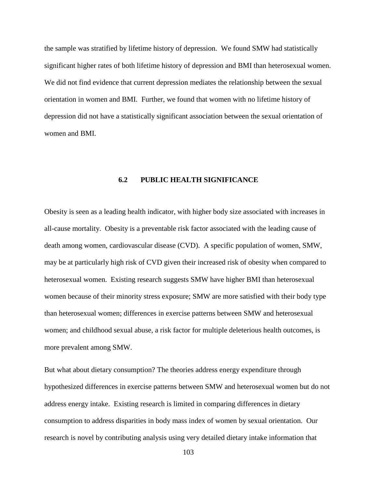the sample was stratified by lifetime history of depression. We found SMW had statistically significant higher rates of both lifetime history of depression and BMI than heterosexual women. We did not find evidence that current depression mediates the relationship between the sexual orientation in women and BMI. Further, we found that women with no lifetime history of depression did not have a statistically significant association between the sexual orientation of women and BMI.

### **6.2 PUBLIC HEALTH SIGNIFICANCE**

Obesity is seen as a leading health indicator, with higher body size associated with increases in all-cause mortality. Obesity is a preventable risk factor associated with the leading cause of death among women, cardiovascular disease (CVD). A specific population of women, SMW, may be at particularly high risk of CVD given their increased risk of obesity when compared to heterosexual women. Existing research suggests SMW have higher BMI than heterosexual women because of their minority stress exposure; SMW are more satisfied with their body type than heterosexual women; differences in exercise patterns between SMW and heterosexual women; and childhood sexual abuse, a risk factor for multiple deleterious health outcomes, is more prevalent among SMW.

But what about dietary consumption? The theories address energy expenditure through hypothesized differences in exercise patterns between SMW and heterosexual women but do not address energy intake. Existing research is limited in comparing differences in dietary consumption to address disparities in body mass index of women by sexual orientation. Our research is novel by contributing analysis using very detailed dietary intake information that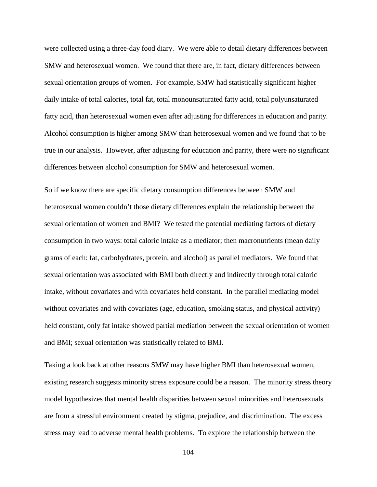were collected using a three-day food diary. We were able to detail dietary differences between SMW and heterosexual women. We found that there are, in fact, dietary differences between sexual orientation groups of women. For example, SMW had statistically significant higher daily intake of total calories, total fat, total monounsaturated fatty acid, total polyunsaturated fatty acid, than heterosexual women even after adjusting for differences in education and parity. Alcohol consumption is higher among SMW than heterosexual women and we found that to be true in our analysis. However, after adjusting for education and parity, there were no significant differences between alcohol consumption for SMW and heterosexual women.

So if we know there are specific dietary consumption differences between SMW and heterosexual women couldn't those dietary differences explain the relationship between the sexual orientation of women and BMI? We tested the potential mediating factors of dietary consumption in two ways: total caloric intake as a mediator; then macronutrients (mean daily grams of each: fat, carbohydrates, protein, and alcohol) as parallel mediators. We found that sexual orientation was associated with BMI both directly and indirectly through total caloric intake, without covariates and with covariates held constant. In the parallel mediating model without covariates and with covariates (age, education, smoking status, and physical activity) held constant, only fat intake showed partial mediation between the sexual orientation of women and BMI; sexual orientation was statistically related to BMI.

Taking a look back at other reasons SMW may have higher BMI than heterosexual women, existing research suggests minority stress exposure could be a reason. The minority stress theory model hypothesizes that mental health disparities between sexual minorities and heterosexuals are from a stressful environment created by stigma, prejudice, and discrimination. The excess stress may lead to adverse mental health problems. To explore the relationship between the

104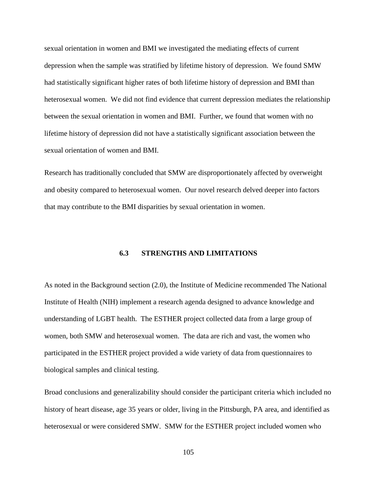sexual orientation in women and BMI we investigated the mediating effects of current depression when the sample was stratified by lifetime history of depression. We found SMW had statistically significant higher rates of both lifetime history of depression and BMI than heterosexual women. We did not find evidence that current depression mediates the relationship between the sexual orientation in women and BMI. Further, we found that women with no lifetime history of depression did not have a statistically significant association between the sexual orientation of women and BMI.

Research has traditionally concluded that SMW are disproportionately affected by overweight and obesity compared to heterosexual women. Our novel research delved deeper into factors that may contribute to the BMI disparities by sexual orientation in women.

## **6.3 STRENGTHS AND LIMITATIONS**

As noted in the Background section (2.0), the Institute of Medicine recommended The National Institute of Health (NIH) implement a research agenda designed to advance knowledge and understanding of LGBT health. The ESTHER project collected data from a large group of women, both SMW and heterosexual women. The data are rich and vast, the women who participated in the ESTHER project provided a wide variety of data from questionnaires to biological samples and clinical testing.

Broad conclusions and generalizability should consider the participant criteria which included no history of heart disease, age 35 years or older, living in the Pittsburgh, PA area, and identified as heterosexual or were considered SMW. SMW for the ESTHER project included women who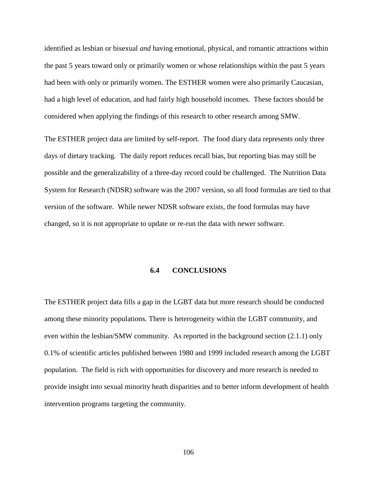identified as lesbian or bisexual *and* having emotional, physical, and romantic attractions within the past 5 years toward only or primarily women or whose relationships within the past 5 years had been with only or primarily women. The ESTHER women were also primarily Caucasian, had a high level of education, and had fairly high household incomes. These factors should be considered when applying the findings of this research to other research among SMW.

The ESTHER project data are limited by self-report. The food diary data represents only three days of dietary tracking. The daily report reduces recall bias, but reporting bias may still be possible and the generalizability of a three-day record could be challenged. The Nutrition Data System for Research (NDSR) software was the 2007 version, so all food formulas are tied to that version of the software. While newer NDSR software exists, the food formulas may have changed, so it is not appropriate to update or re-run the data with newer software.

### **6.4 CONCLUSIONS**

The ESTHER project data fills a gap in the LGBT data but more research should be conducted among these minority populations. There is heterogeneity within the LGBT community, and even within the lesbian/SMW community. As reported in the background section (2.1.1) only 0.1% of scientific articles published between 1980 and 1999 included research among the LGBT population. The field is rich with opportunities for discovery and more research is needed to provide insight into sexual minority heath disparities and to better inform development of health intervention programs targeting the community.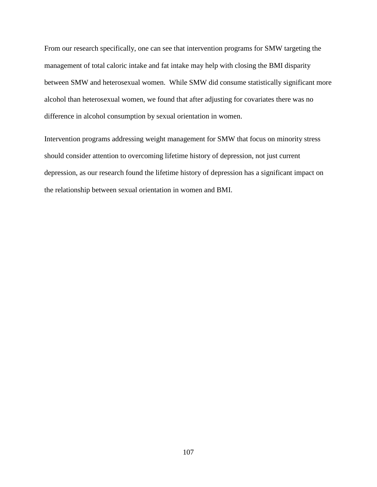From our research specifically, one can see that intervention programs for SMW targeting the management of total caloric intake and fat intake may help with closing the BMI disparity between SMW and heterosexual women. While SMW did consume statistically significant more alcohol than heterosexual women, we found that after adjusting for covariates there was no difference in alcohol consumption by sexual orientation in women.

Intervention programs addressing weight management for SMW that focus on minority stress should consider attention to overcoming lifetime history of depression, not just current depression, as our research found the lifetime history of depression has a significant impact on the relationship between sexual orientation in women and BMI.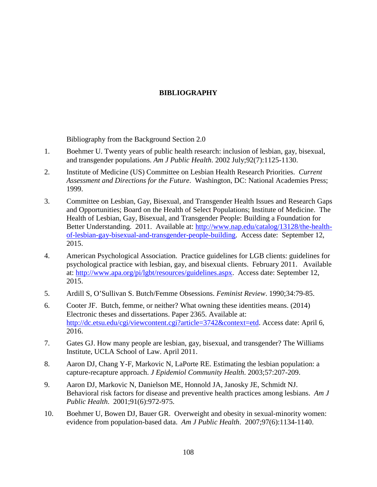# **BIBLIOGRAPHY**

Bibliography from the Background Section 2.0

- 1. Boehmer U. Twenty years of public health research: inclusion of lesbian, gay, bisexual, and transgender populations. *Am J Public Health*. 2002 July;92(7):1125-1130.
- 2. Institute of Medicine (US) Committee on Lesbian Health Research Priorities. *Current Assessment and Directions for the Future*. Washington, DC: National Academies Press; 1999.
- 3. Committee on Lesbian, Gay, Bisexual, and Transgender Health Issues and Research Gaps and Opportunities; Board on the Health of Select Populations; Institute of Medicine. The Health of Lesbian, Gay, Bisexual, and Transgender People: Building a Foundation for Better Understanding. 2011. Available at: [http://www.nap.edu/catalog/13128/the-health](http://www.nap.edu/catalog/13128/the-health-of-lesbian-gay-bisexual-and-transgender-people-building)[of-lesbian-gay-bisexual-and-transgender-people-building.](http://www.nap.edu/catalog/13128/the-health-of-lesbian-gay-bisexual-and-transgender-people-building) Access date: September 12, 2015.
- 4. American Psychological Association. Practice guidelines for LGB clients: guidelines for psychological practice with lesbian, gay, and bisexual clients. February 2011. Available at: [http://www.apa.org/pi/lgbt/resources/guidelines.aspx.](http://www.apa.org/pi/lgbt/resources/guidelines.aspx) Access date: September 12, 2015.
- 5. Ardill S, O'Sullivan S. Butch/Femme Obsessions. *Feminist Review*. 1990;34:79-85.
- 6. Cooter JF. Butch, femme, or neither? What owning these identities means. (2014) Electronic theses and dissertations. Paper 2365. Available at: [http://dc.etsu.edu/cgi/viewcontent.cgi?article=3742&context=etd.](http://dc.etsu.edu/cgi/viewcontent.cgi?article=3742&context=etd) Access date: April 6, 2016.
- 7. Gates GJ. How many people are lesbian, gay, bisexual, and transgender? The Williams Institute, UCLA School of Law. April 2011.
- 8. Aaron DJ, Chang Y-F, Markovic N, LaPorte RE. Estimating the lesbian population: a capture-recapture approach. *J Epidemiol Community Health*. 2003;57:207-209.
- 9. Aaron DJ, Markovic N, Danielson ME, Honnold JA, Janosky JE, Schmidt NJ. Behavioral risk factors for disease and preventive health practices among lesbians. *Am J Public Health*. 2001;91(6):972-975.
- 10. Boehmer U, Bowen DJ, Bauer GR. Overweight and obesity in sexual-minority women: evidence from population-based data. *Am J Public Health*. 2007;97(6):1134-1140.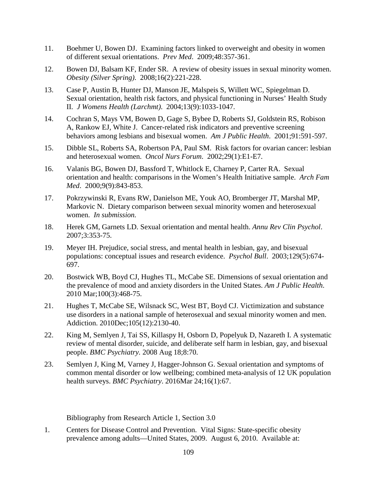- 11. Boehmer U, Bowen DJ. Examining factors linked to overweight and obesity in women of different sexual orientations. *Prev Med*. 2009;48:357-361.
- 12. Bowen DJ, Balsam KF, Ender SR. A review of obesity issues in sexual minority women. *Obesity (Silver Spring)*. 2008;16(2):221-228.
- 13. Case P, Austin B, Hunter DJ, Manson JE, Malspeis S, Willett WC, Spiegelman D. Sexual orientation, health risk factors, and physical functioning in Nurses' Health Study II. *J Womens Health (Larchmt)*. 2004;13(9):1033-1047.
- 14. Cochran S, Mays VM, Bowen D, Gage S, Bybee D, Roberts SJ, Goldstein RS, Robison A, Rankow EJ, White J. Cancer-related risk indicators and preventive screening behaviors among lesbians and bisexual women. *Am J Public Health*. 2001;91:591-597.
- 15. Dibble SL, Roberts SA, Robertson PA, Paul SM. Risk factors for ovarian cancer: lesbian and heterosexual women. *Oncol Nurs Forum*. 2002;29(1):E1-E7.
- 16. Valanis BG, Bowen DJ, Bassford T, Whitlock E, Charney P, Carter RA. Sexual orientation and health: comparisons in the Women's Health Initiative sample. *Arch Fam Med*. 2000;9(9):843-853.
- 17. Pokrzywinski R, Evans RW, Danielson ME, Youk AO, Bromberger JT, Marshal MP, Markovic N. Dietary comparison between sexual minority women and heterosexual women. *In submission.*
- 18. Herek GM, Garnets LD. Sexual orientation and mental health. *Annu Rev Clin Psychol*. 2007;3:353-75.
- 19. Meyer IH. Prejudice, social stress, and mental health in lesbian, gay, and bisexual populations: conceptual issues and research evidence. *Psychol Bull*. 2003;129(5):674- 697.
- 20. Bostwick WB, Boyd CJ, Hughes TL, McCabe SE. Dimensions of sexual orientation and the prevalence of mood and anxiety disorders in the United States. *Am J Public Health*. 2010 Mar;100(3):468-75.
- 21. Hughes T, McCabe SE, Wilsnack SC, West BT, Boyd CJ. Victimization and substance use disorders in a national sample of heterosexual and sexual minority women and men. Addiction. 2010Dec;105(12):2130-40.
- 22. King M, Semlyen J, Tai SS, Killaspy H, Osborn D, Popelyuk D, Nazareth I. A systematic review of mental disorder, suicide, and deliberate self harm in lesbian, gay, and bisexual people. *BMC Psychiatry.* 2008 Aug 18;8:70.
- 23. Semlyen J, King M, Varney J, Hagger-Johnson G. Sexual orientation and symptoms of common mental disorder or low wellbeing; combined meta-analysis of 12 UK population health surveys. *BMC Psychiatry*. 2016Mar 24;16(1):67.

Bibliography from Research Article 1, Section 3.0

1. Centers for Disease Control and Prevention. Vital Signs: State-specific obesity prevalence among adults—United States, 2009. August 6, 2010. Available at: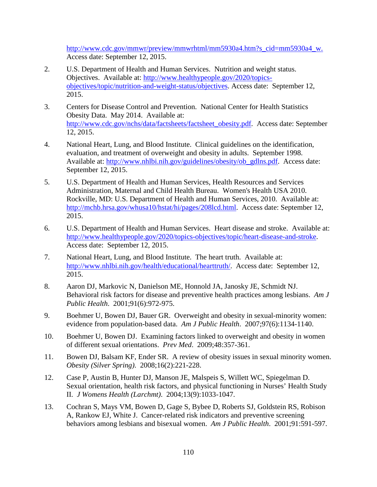[http://www.cdc.gov/mmwr/preview/mmwrhtml/mm5930a4.htm?s\\_cid=mm5930a4\\_w.](http://www.cdc.gov/mmwr/preview/mmwrhtml/mm5930a4.htm?s_cid=mm5930a4_w) Access date: September 12, 2015.

- 2. U.S. Department of Health and Human Services. Nutrition and weight status. Objectives. Available at: [http://www.healthypeople.gov/2020/topics](http://www.healthypeople.gov/2020/topics-objectives/topic/nutrition-and-weight-status/objectives)[objectives/topic/nutrition-and-weight-status/objectives.](http://www.healthypeople.gov/2020/topics-objectives/topic/nutrition-and-weight-status/objectives) Access date: September 12, 2015.
- 3. Centers for Disease Control and Prevention. National Center for Health Statistics Obesity Data. May 2014. Available at: [http://www.cdc.gov/nchs/data/factsheets/factsheet\\_obesity.pdf.](http://www.cdc.gov/nchs/data/factsheets/factsheet_obesity.pdf) Access date: September 12, 2015.
- 4. National Heart, Lung, and Blood Institute. Clinical guidelines on the identification, evaluation, and treatment of overweight and obesity in adults. September 1998. Available at: [http://www.nhlbi.nih.gov/guidelines/obesity/ob\\_gdlns.pdf.](http://www.nhlbi.nih.gov/guidelines/obesity/ob_gdlns.pdf) Access date: September 12, 2015.
- 5. U.S. Department of Health and Human Services, Health Resources and Services Administration, Maternal and Child Health Bureau. Women's Health USA 2010. Rockville, MD: U.S. Department of Health and Human Services, 2010. Available at: [http://mchb.hrsa.gov/whusa10/hstat/hi/pages/208lcd.html.](http://mchb.hrsa.gov/whusa10/hstat/hi/pages/208lcd.html) Access date: September 12, 2015.
- 6. U.S. Department of Health and Human Services. Heart disease and stroke. Available at: [http://www.healthypeople.gov/2020/topics-objectives/topic/heart-disease-and-stroke.](http://www.healthypeople.gov/2020/topics-objectives/topic/heart-disease-and-stroke) Access date: September 12, 2015.
- 7. National Heart, Lung, and Blood Institute. The heart truth. Available at: [http://www.nhlbi.nih.gov/health/educational/hearttruth/.](http://www.nhlbi.nih.gov/health/educational/hearttruth/) Access date: September 12, 2015.
- 8. Aaron DJ, Markovic N, Danielson ME, Honnold JA, Janosky JE, Schmidt NJ. Behavioral risk factors for disease and preventive health practices among lesbians. *Am J Public Health*. 2001;91(6):972-975.
- 9. Boehmer U, Bowen DJ, Bauer GR. Overweight and obesity in sexual-minority women: evidence from population-based data. *Am J Public Health*. 2007;97(6):1134-1140.
- 10. Boehmer U, Bowen DJ. Examining factors linked to overweight and obesity in women of different sexual orientations. *Prev Med*. 2009;48:357-361.
- 11. Bowen DJ, Balsam KF, Ender SR. A review of obesity issues in sexual minority women. *Obesity (Silver Spring)*. 2008;16(2):221-228.
- 12. Case P, Austin B, Hunter DJ, Manson JE, Malspeis S, Willett WC, Spiegelman D. Sexual orientation, health risk factors, and physical functioning in Nurses' Health Study II. *J Womens Health (Larchmt)*. 2004;13(9):1033-1047.
- 13. Cochran S, Mays VM, Bowen D, Gage S, Bybee D, Roberts SJ, Goldstein RS, Robison A, Rankow EJ, White J. Cancer-related risk indicators and preventive screening behaviors among lesbians and bisexual women. *Am J Public Health*. 2001;91:591-597.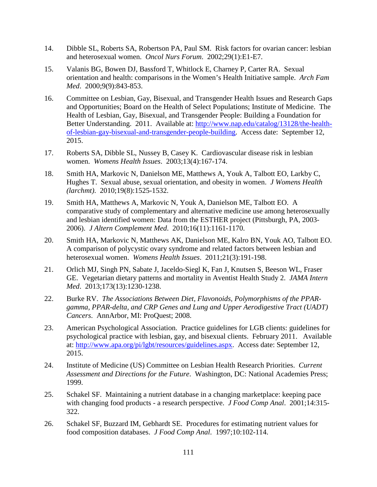- 14. Dibble SL, Roberts SA, Robertson PA, Paul SM. Risk factors for ovarian cancer: lesbian and heterosexual women. *Oncol Nurs Forum*. 2002;29(1):E1-E7.
- 15. Valanis BG, Bowen DJ, Bassford T, Whitlock E, Charney P, Carter RA. Sexual orientation and health: comparisons in the Women's Health Initiative sample. *Arch Fam Med*. 2000;9(9):843-853.
- 16. Committee on Lesbian, Gay, Bisexual, and Transgender Health Issues and Research Gaps and Opportunities; Board on the Health of Select Populations; Institute of Medicine. The Health of Lesbian, Gay, Bisexual, and Transgender People: Building a Foundation for Better Understanding. 2011. Available at: [http://www.nap.edu/catalog/13128/the-health](http://www.nap.edu/catalog/13128/the-health-of-lesbian-gay-bisexual-and-transgender-people-building)[of-lesbian-gay-bisexual-and-transgender-people-building.](http://www.nap.edu/catalog/13128/the-health-of-lesbian-gay-bisexual-and-transgender-people-building) Access date: September 12, 2015.
- 17. Roberts SA, Dibble SL, Nussey B, Casey K. Cardiovascular disease risk in lesbian women. *Womens Health Issues*. 2003;13(4):167-174.
- 18. Smith HA, Markovic N, Danielson ME, Matthews A, Youk A, Talbott EO, Larkby C, Hughes T. Sexual abuse, sexual orientation, and obesity in women. *J Womens Health (larchmt)*. 2010;19(8):1525-1532.
- 19. Smith HA, Matthews A, Markovic N, Youk A, Danielson ME, Talbott EO. A comparative study of complementary and alternative medicine use among heterosexually and lesbian identified women: Data from the ESTHER project (Pittsburgh, PA, 2003- 2006). *J Altern Complement Med*. 2010;16(11):1161-1170.
- 20. Smith HA, Markovic N, Matthews AK, Danielson ME, Kalro BN, Youk AO, Talbott EO. A comparison of polycystic ovary syndrome and related factors between lesbian and heterosexual women. *Womens Health Issues*. 2011;21(3):191-198.
- 21. Orlich MJ, Singh PN, Sabate J, Jaceldo-Siegl K, Fan J, Knutsen S, Beeson WL, Fraser GE. Vegetarian dietary patterns and mortality in Aventist Health Study 2. *JAMA Intern Med*. 2013;173(13):1230-1238.
- 22. Burke RV. *The Associations Between Diet, Flavonoids, Polymorphisms of the PPARgamma, PPAR-delta, and CRP Genes and Lung and Upper Aerodigestive Tract (UADT) Cancers*. AnnArbor, MI: ProQuest; 2008.
- 23. American Psychological Association. Practice guidelines for LGB clients: guidelines for psychological practice with lesbian, gay, and bisexual clients. February 2011. Available at: [http://www.apa.org/pi/lgbt/resources/guidelines.aspx.](http://www.apa.org/pi/lgbt/resources/guidelines.aspx) Access date: September 12, 2015.
- 24. Institute of Medicine (US) Committee on Lesbian Health Research Priorities. *Current Assessment and Directions for the Future*. Washington, DC: National Academies Press; 1999.
- 25. Schakel SF. Maintaining a nutrient database in a changing marketplace: keeping pace with changing food products - a research perspective. *J Food Comp Anal*. 2001;14:315- 322.
- 26. Schakel SF, Buzzard IM, Gebhardt SE. Procedures for estimating nutrient values for food composition databases. *J Food Comp Anal*. 1997;10:102-114.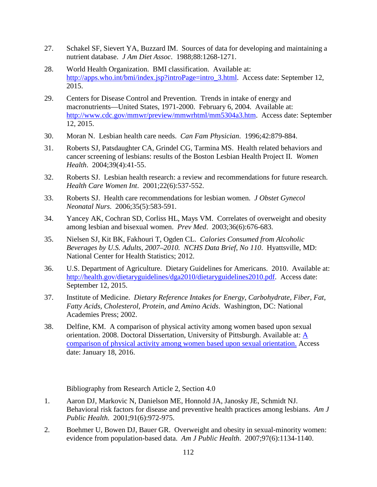- 27. Schakel SF, Sievert YA, Buzzard IM. Sources of data for developing and maintaining a nutrient database. *J Am Diet Assoc*. 1988;88:1268-1271.
- 28. World Health Organization. BMI classification. Available at: [http://apps.who.int/bmi/index.jsp?introPage=intro\\_3.html.](http://apps.who.int/bmi/index.jsp?introPage=intro_3.html) Access date: September 12, 2015.
- 29. Centers for Disease Control and Prevention. Trends in intake of energy and macronutrients—United States, 1971-2000. February 6, 2004. Available at: [http://www.cdc.gov/mmwr/preview/mmwrhtml/mm5304a3.htm.](http://www.cdc.gov/mmwr/preview/mmwrhtml/mm5304a3.htm) Access date: September 12, 2015.
- 30. Moran N. Lesbian health care needs. *Can Fam Physician*. 1996;42:879-884.
- 31. Roberts SJ, Patsdaughter CA, Grindel CG, Tarmina MS. Health related behaviors and cancer screening of lesbians: results of the Boston Lesbian Health Project II. *Women Health*. 2004;39(4):41-55.
- 32. Roberts SJ. Lesbian health research: a review and recommendations for future research. *Health Care Women Int*. 2001;22(6):537-552.
- 33. Roberts SJ. Health care recommendations for lesbian women. *J Obstet Gynecol Neonatal Nurs*. 2006;35(5):583-591.
- 34. Yancey AK, Cochran SD, Corliss HL, Mays VM. Correlates of overweight and obesity among lesbian and bisexual women. *Prev Med*. 2003;36(6):676-683.
- 35. Nielsen SJ, Kit BK, Fakhouri T, Ogden CL. *Calories Consumed from Alcoholic Beverages by U.S. Adults, 2007–2010. NCHS Data Brief, No 110*. Hyattsville, MD: National Center for Health Statistics; 2012.
- 36. U.S. Department of Agriculture. Dietary Guidelines for Americans. 2010. Available at: [http://health.gov/dietaryguidelines/dga2010/dietaryguidelines2010.pdf.](http://health.gov/dietaryguidelines/dga2010/dietaryguidelines2010.pdf) Access date: September 12, 2015.
- 37. Institute of Medicine. *Dietary Reference Intakes for Energy, Carbohydrate, Fiber, Fat, Fatty Acids, Cholesterol, Protein, and Amino Acids*. Washington, DC: National Academies Press; 2002.
- 38. Delfine, KM. A comparison of physical activity among women based upon sexual orientation. 2008. Doctoral Dissertation, University of Pittsburgh. Available at: [A](http://d-scholarship.pitt.edu/9374/)  [comparison of physical activity among women based upon sexual orientation.](http://d-scholarship.pitt.edu/9374/) Access date: January 18, 2016.

Bibliography from Research Article 2, Section 4.0

- 1. Aaron DJ, Markovic N, Danielson ME, Honnold JA, Janosky JE, Schmidt NJ. Behavioral risk factors for disease and preventive health practices among lesbians. *Am J Public Health*. 2001;91(6):972-975.
- 2. Boehmer U, Bowen DJ, Bauer GR. Overweight and obesity in sexual-minority women: evidence from population-based data. *Am J Public Health*. 2007;97(6):1134-1140.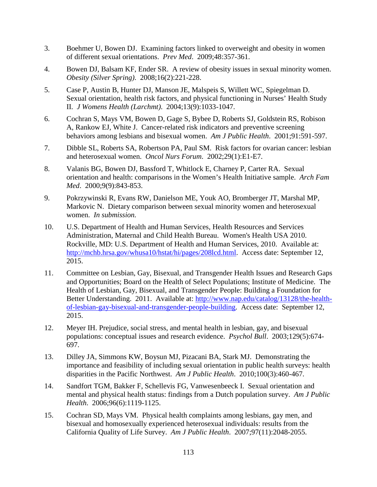- 3. Boehmer U, Bowen DJ. Examining factors linked to overweight and obesity in women of different sexual orientations. *Prev Med*. 2009;48:357-361.
- 4. Bowen DJ, Balsam KF, Ender SR. A review of obesity issues in sexual minority women. *Obesity (Silver Spring)*. 2008;16(2):221-228.
- 5. Case P, Austin B, Hunter DJ, Manson JE, Malspeis S, Willett WC, Spiegelman D. Sexual orientation, health risk factors, and physical functioning in Nurses' Health Study II. *J Womens Health (Larchmt)*. 2004;13(9):1033-1047.
- 6. Cochran S, Mays VM, Bowen D, Gage S, Bybee D, Roberts SJ, Goldstein RS, Robison A, Rankow EJ, White J. Cancer-related risk indicators and preventive screening behaviors among lesbians and bisexual women. *Am J Public Health*. 2001;91:591-597.
- 7. Dibble SL, Roberts SA, Robertson PA, Paul SM. Risk factors for ovarian cancer: lesbian and heterosexual women. *Oncol Nurs Forum*. 2002;29(1):E1-E7.
- 8. Valanis BG, Bowen DJ, Bassford T, Whitlock E, Charney P, Carter RA. Sexual orientation and health: comparisons in the Women's Health Initiative sample. *Arch Fam Med*. 2000;9(9):843-853.
- 9. Pokrzywinski R, Evans RW, Danielson ME, Youk AO, Bromberger JT, Marshal MP, Markovic N. Dietary comparison between sexual minority women and heterosexual women. *In submission.*
- 10. U.S. Department of Health and Human Services, Health Resources and Services Administration, Maternal and Child Health Bureau. Women's Health USA 2010. Rockville, MD: U.S. Department of Health and Human Services, 2010. Available at: [http://mchb.hrsa.gov/whusa10/hstat/hi/pages/208lcd.html.](http://mchb.hrsa.gov/whusa10/hstat/hi/pages/208lcd.html) Access date: September 12, 2015.
- 11. Committee on Lesbian, Gay, Bisexual, and Transgender Health Issues and Research Gaps and Opportunities; Board on the Health of Select Populations; Institute of Medicine. The Health of Lesbian, Gay, Bisexual, and Transgender People: Building a Foundation for Better Understanding. 2011. Available at: [http://www.nap.edu/catalog/13128/the-health](http://www.nap.edu/catalog/13128/the-health-of-lesbian-gay-bisexual-and-transgender-people-building)[of-lesbian-gay-bisexual-and-transgender-people-building.](http://www.nap.edu/catalog/13128/the-health-of-lesbian-gay-bisexual-and-transgender-people-building) Access date: September 12, 2015.
- 12. Meyer IH. Prejudice, social stress, and mental health in lesbian, gay, and bisexual populations: conceptual issues and research evidence. *Psychol Bull*. 2003;129(5):674- 697.
- 13. Dilley JA, Simmons KW, Boysun MJ, Pizacani BA, Stark MJ. Demonstrating the importance and feasibility of including sexual orientation in public health surveys: health disparities in the Pacific Northwest. *Am J Public Health*. 2010;100(3):460-467.
- 14. Sandfort TGM, Bakker F, Schellevis FG, Vanwesenbeeck I. Sexual orientation and mental and physical health status: findings from a Dutch population survey. *Am J Public Health*. 2006;96(6):1119-1125.
- 15. Cochran SD, Mays VM. Physical health complaints among lesbians, gay men, and bisexual and homosexually experienced heterosexual individuals: results from the California Quality of Life Survey. *Am J Public Health*. 2007;97(11):2048-2055.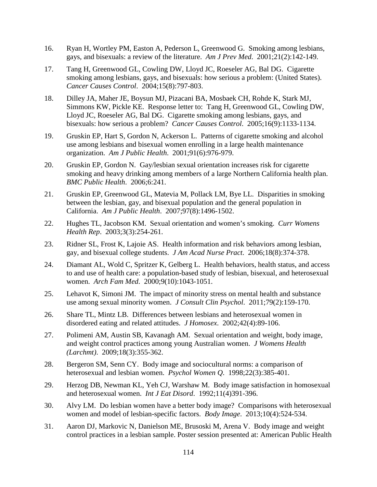- 16. Ryan H, Wortley PM, Easton A, Pederson L, Greenwood G. Smoking among lesbians, gays, and bisexuals: a review of the literature. *Am J Prev Med*. 2001;21(2):142-149.
- 17. Tang H, Greenwood GL, Cowling DW, Lloyd JC, Roeseler AG, Bal DG. Cigarette smoking among lesbians, gays, and bisexuals: how serious a problem: (United States). *Cancer Causes Control*. 2004;15(8):797-803.
- 18. Dilley JA, Maher JE, Boysun MJ, Pizacani BA, Mosbaek CH, Rohde K, Stark MJ, Simmons KW, Pickle KE. Response letter to: Tang H, Greenwood GL, Cowling DW, Lloyd JC, Roeseler AG, Bal DG. Cigarette smoking among lesbians, gays, and bisexuals: how serious a problem? *Cancer Causes Control*. 2005;16(9):1133-1134.
- 19. Gruskin EP, Hart S, Gordon N, Ackerson L. Patterns of cigarette smoking and alcohol use among lesbians and bisexual women enrolling in a large health maintenance organization. *Am J Public Health*. 2001;91(6):976-979.
- 20. Gruskin EP, Gordon N. Gay/lesbian sexual orientation increases risk for cigarette smoking and heavy drinking among members of a large Northern California health plan. *BMC Public Health*. 2006;6:241.
- 21. Gruskin EP, Greenwood GL, Matevia M, Pollack LM, Bye LL. Disparities in smoking between the lesbian, gay, and bisexual population and the general population in California. *Am J Public Health*. 2007;97(8):1496-1502.
- 22. Hughes TL, Jacobson KM. Sexual orientation and women's smoking. *Curr Womens Health Rep*. 2003;3(3):254-261.
- 23. Ridner SL, Frost K, Lajoie AS. Health information and risk behaviors among lesbian, gay, and bisexual college students. *J Am Acad Nurse Pract*. 2006;18(8):374-378.
- 24. Diamant AL, Wold C, Spritzer K, Gelberg L. Health behaviors, health status, and access to and use of health care: a population-based study of lesbian, bisexual, and heterosexual women. *Arch Fam Med*. 2000;9(10):1043-1051.
- 25. Lehavot K, Simoni JM. The impact of minority stress on mental health and substance use among sexual minority women. *J Consult Clin Psychol*. 2011;79(2):159-170.
- 26. Share TL, Mintz LB. Differences between lesbians and heterosexual women in disordered eating and related attitudes. *J Homosex*. 2002;42(4):89-106.
- 27. Polimeni AM, Austin SB, Kavanagh AM. Sexual orientation and weight, body image, and weight control practices among young Australian women. *J Womens Health (Larchmt)*. 2009;18(3):355-362.
- 28. Bergeron SM, Senn CY. Body image and sociocultural norms: a comparison of heterosexual and lesbian women. *Psychol Women Q*. 1998;22(3):385-401.
- 29. Herzog DB, Newman KL, Yeh CJ, Warshaw M. Body image satisfaction in homosexual and heterosexual women. *Int J Eat Disord*. 1992;11(4)391-396.
- 30. Alvy LM. Do lesbian women have a better body image? Comparisons with heterosexual women and model of lesbian-specific factors. *Body Image*. 2013;10(4):524-534.
- 31. Aaron DJ, Markovic N, Danielson ME, Brusoski M, Arena V. Body image and weight control practices in a lesbian sample. Poster session presented at: American Public Health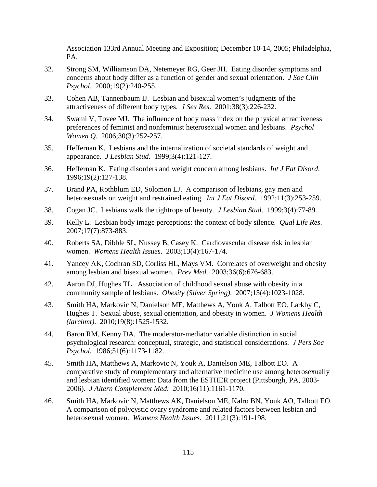Association 133rd Annual Meeting and Exposition; December 10-14, 2005; Philadelphia, PA.

- 32. Strong SM, Williamson DA, Netemeyer RG, Geer JH. Eating disorder symptoms and concerns about body differ as a function of gender and sexual orientation. *J Soc Clin Psychol*. 2000;19(2):240-255.
- 33. Cohen AB, Tannenbaum IJ. Lesbian and bisexual women's judgments of the attractiveness of different body types. *J Sex Res*. 2001;38(3):226-232.
- 34. Swami V, Tovee MJ. The influence of body mass index on the physical attractiveness preferences of feminist and nonfeminist heterosexual women and lesbians. *Psychol Women Q*. 2006;30(3):252-257.
- 35. Heffernan K. Lesbians and the internalization of societal standards of weight and appearance. *J Lesbian Stud*. 1999;3(4):121-127.
- 36. Heffernan K. Eating disorders and weight concern among lesbians. *Int J Eat Disord*. 1996;19(2):127-138.
- 37. Brand PA, Rothblum ED, Solomon LJ. A comparison of lesbians, gay men and heterosexuals on weight and restrained eating. *Int J Eat Disord*. 1992;11(3):253-259.
- 38. Cogan JC. Lesbians walk the tightrope of beauty. *J Lesbian Stud*. 1999;3(4):77-89.
- 39. Kelly L. Lesbian body image perceptions: the context of body silence. *Qual Life Res*. 2007;17(7):873-883.
- 40. Roberts SA, Dibble SL, Nussey B, Casey K. Cardiovascular disease risk in lesbian women. *Womens Health Issues*. 2003;13(4):167-174.
- 41. Yancey AK, Cochran SD, Corliss HL, Mays VM. Correlates of overweight and obesity among lesbian and bisexual women. *Prev Med*. 2003;36(6):676-683.
- 42. Aaron DJ, Hughes TL. Association of childhood sexual abuse with obesity in a community sample of lesbians. *Obesity (Silver Spring)*. 2007;15(4):1023-1028.
- 43. Smith HA, Markovic N, Danielson ME, Matthews A, Youk A, Talbott EO, Larkby C, Hughes T. Sexual abuse, sexual orientation, and obesity in women. *J Womens Health (larchmt)*. 2010;19(8):1525-1532.
- 44. Baron RM, Kenny DA. The moderator-mediator variable distinction in social psychological research: conceptual, strategic, and statistical considerations. *J Pers Soc Psychol.* 1986;51(6):1173-1182.
- 45. Smith HA, Matthews A, Markovic N, Youk A, Danielson ME, Talbott EO. A comparative study of complementary and alternative medicine use among heterosexually and lesbian identified women: Data from the ESTHER project (Pittsburgh, PA, 2003- 2006). *J Altern Complement Med*. 2010;16(11):1161-1170.
- 46. Smith HA, Markovic N, Matthews AK, Danielson ME, Kalro BN, Youk AO, Talbott EO. A comparison of polycystic ovary syndrome and related factors between lesbian and heterosexual women. *Womens Health Issues*. 2011;21(3):191-198.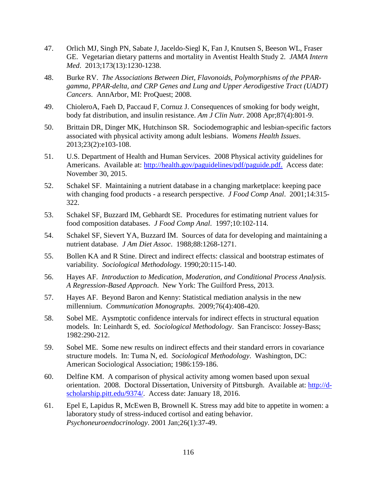- 47. Orlich MJ, Singh PN, Sabate J, Jaceldo-Siegl K, Fan J, Knutsen S, Beeson WL, Fraser GE. Vegetarian dietary patterns and mortality in Aventist Health Study 2. *JAMA Intern Med*. 2013;173(13):1230-1238.
- 48. Burke RV. *The Associations Between Diet, Flavonoids, Polymorphisms of the PPARgamma, PPAR-delta, and CRP Genes and Lung and Upper Aerodigestive Tract (UADT) Cancers*. AnnArbor, MI: ProQuest; 2008.
- 49. ChioleroA, Faeh D, Paccaud F, Cornuz J. Consequences of smoking for body weight, body fat distribution, and insulin resistance. *Am J Clin Nutr.* 2008 Apr;87(4):801-9.
- 50. Brittain DR, Dinger MK, Hutchinson SR. Sociodemographic and lesbian-specific factors associated with physical activity among adult lesbians. *Womens Health Issues*. 2013;23(2):e103-108.
- 51. U.S. Department of Health and Human Services. 2008 Physical activity guidelines for Americans. Available at: [http://health.gov/paguidelines/pdf/paguide.pdf.](http://health.gov/paguidelines/pdf/paguide.pdf) Access date: November 30, 2015.
- 52. Schakel SF. Maintaining a nutrient database in a changing marketplace: keeping pace with changing food products - a research perspective. *J Food Comp Anal*. 2001;14:315- 322.
- 53. Schakel SF, Buzzard IM, Gebhardt SE. Procedures for estimating nutrient values for food composition databases. *J Food Comp Anal*. 1997;10:102-114.
- 54. Schakel SF, Sievert YA, Buzzard IM. Sources of data for developing and maintaining a nutrient database. *J Am Diet Assoc*. 1988;88:1268-1271.
- 55. Bollen KA and R Stine. Direct and indirect effects: classical and bootstrap estimates of variability. *Sociological Methodology.* 1990;20:115-140.
- 56. Hayes AF. *Introduction to Medication, Moderation, and Conditional Process Analysis. A Regression-Based Approach*. New York: The Guilford Press, 2013.
- 57. Hayes AF. Beyond Baron and Kenny: Statistical mediation analysis in the new millennium. *Communication Monographs*. 2009;76(4):408-420.
- 58. Sobel ME. Aysmptotic confidence intervals for indirect effects in structural equation models. In: Leinhardt S, ed. *Sociological Methodology*. San Francisco: Jossey-Bass; 1982:290-212.
- 59. Sobel ME. Some new results on indirect effects and their standard errors in covariance structure models. In: Tuma N, ed. *Sociological Methodology*. Washington, DC: American Sociological Association; 1986:159-186.
- 60. Delfine KM. A comparison of physical activity among women based upon sexual orientation. 2008. Doctoral Dissertation, University of Pittsburgh. Available at: [http://d](http://d-scholarship.pitt.edu/9374/)[scholarship.pitt.edu/9374/.](http://d-scholarship.pitt.edu/9374/) Access date: January 18, 2016.
- 61. Epel E, Lapidus R, McEwen B, Brownell K. Stress may add bite to appetite in women: a laboratory study of stress-induced cortisol and eating behavior. *Psychoneuroendocrinology*. 2001 Jan;26(1):37-49.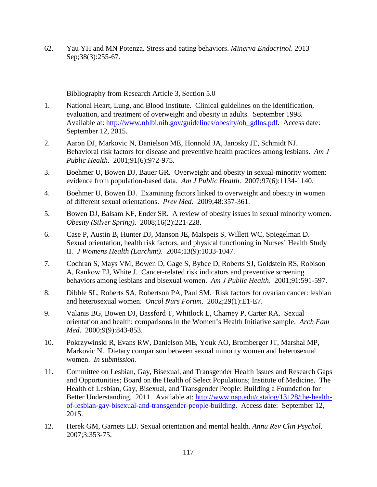62. Yau YH and MN Potenza. Stress and eating behaviors. *Minerva Endocrinol*. 2013 Sep;38(3):255-67.

Bibliography from Research Article 3, Section 5.0

- 1. National Heart, Lung, and Blood Institute. Clinical guidelines on the identification, evaluation, and treatment of overweight and obesity in adults. September 1998. Available at: [http://www.nhlbi.nih.gov/guidelines/obesity/ob\\_gdlns.pdf.](http://www.nhlbi.nih.gov/guidelines/obesity/ob_gdlns.pdf) Access date: September 12, 2015.
- 2. Aaron DJ, Markovic N, Danielson ME, Honnold JA, Janosky JE, Schmidt NJ. Behavioral risk factors for disease and preventive health practices among lesbians. *Am J Public Health*. 2001;91(6):972-975.
- 3. Boehmer U, Bowen DJ, Bauer GR. Overweight and obesity in sexual-minority women: evidence from population-based data. *Am J Public Health*. 2007;97(6):1134-1140.
- 4. Boehmer U, Bowen DJ. Examining factors linked to overweight and obesity in women of different sexual orientations. *Prev Med*. 2009;48:357-361.
- 5. Bowen DJ, Balsam KF, Ender SR. A review of obesity issues in sexual minority women. *Obesity (Silver Spring)*. 2008;16(2):221-228.
- 6. Case P, Austin B, Hunter DJ, Manson JE, Malspeis S, Willett WC, Spiegelman D. Sexual orientation, health risk factors, and physical functioning in Nurses' Health Study II. *J Womens Health (Larchmt)*. 2004;13(9):1033-1047.
- 7. Cochran S, Mays VM, Bowen D, Gage S, Bybee D, Roberts SJ, Goldstein RS, Robison A, Rankow EJ, White J. Cancer-related risk indicators and preventive screening behaviors among lesbians and bisexual women. *Am J Public Health*. 2001;91:591-597.
- 8. Dibble SL, Roberts SA, Robertson PA, Paul SM. Risk factors for ovarian cancer: lesbian and heterosexual women. *Oncol Nurs Forum*. 2002;29(1):E1-E7.
- 9. Valanis BG, Bowen DJ, Bassford T, Whitlock E, Charney P, Carter RA. Sexual orientation and health: comparisons in the Women's Health Initiative sample. *Arch Fam Med*. 2000;9(9):843-853.
- 10. Pokrzywinski R, Evans RW, Danielson ME, Youk AO, Bromberger JT, Marshal MP, Markovic N. Dietary comparison between sexual minority women and heterosexual women. *In submission.*
- 11. Committee on Lesbian, Gay, Bisexual, and Transgender Health Issues and Research Gaps and Opportunities; Board on the Health of Select Populations; Institute of Medicine. The Health of Lesbian, Gay, Bisexual, and Transgender People: Building a Foundation for Better Understanding. 2011. Available at: [http://www.nap.edu/catalog/13128/the-health](http://www.nap.edu/catalog/13128/the-health-of-lesbian-gay-bisexual-and-transgender-people-building)[of-lesbian-gay-bisexual-and-transgender-people-building.](http://www.nap.edu/catalog/13128/the-health-of-lesbian-gay-bisexual-and-transgender-people-building) Access date: September 12, 2015.
- 12. Herek GM, Garnets LD. Sexual orientation and mental health. *Annu Rev Clin Psychol*. 2007;3:353-75.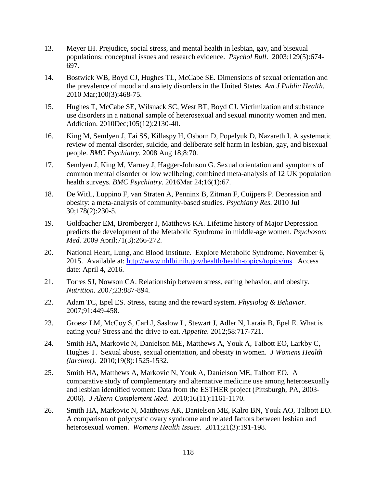- 13. Meyer IH. Prejudice, social stress, and mental health in lesbian, gay, and bisexual populations: conceptual issues and research evidence. *Psychol Bull*. 2003;129(5):674- 697.
- 14. Bostwick WB, Boyd CJ, Hughes TL, McCabe SE. Dimensions of sexual orientation and the prevalence of mood and anxiety disorders in the United States. *Am J Public Health*. 2010 Mar;100(3):468-75.
- 15. Hughes T, McCabe SE, Wilsnack SC, West BT, Boyd CJ. Victimization and substance use disorders in a national sample of heterosexual and sexual minority women and men. Addiction. 2010Dec;105(12):2130-40.
- 16. King M, Semlyen J, Tai SS, Killaspy H, Osborn D, Popelyuk D, Nazareth I. A systematic review of mental disorder, suicide, and deliberate self harm in lesbian, gay, and bisexual people. *BMC Psychiatry.* 2008 Aug 18;8:70.
- 17. Semlyen J, King M, Varney J, Hagger-Johnson G. Sexual orientation and symptoms of common mental disorder or low wellbeing; combined meta-analysis of 12 UK population health surveys. *BMC Psychiatry*. 2016Mar 24;16(1):67.
- 18. De WitL, Luppino F, van Straten A, Penninx B, Zitman F, Cuijpers P. Depression and obesity: a meta-analysis of community-based studies. *Psychiatry Res.* 2010 Jul 30;178(2):230-5.
- 19. Goldbacher EM, Bromberger J, Matthews KA. Lifetime history of Major Depression predicts the development of the Metabolic Syndrome in middle-age women. *Psychosom Med.* 2009 April;71(3):266-272.
- 20. National Heart, Lung, and Blood Institute. Explore Metabolic Syndrome. November 6, 2015. Available at: [http://www.nhlbi.nih.gov/health/health-topics/topics/ms.](http://www.nhlbi.nih.gov/health/health-topics/topics/ms) Access date: April 4, 2016.
- 21. Torres SJ, Nowson CA. Relationship between stress, eating behavior, and obesity. *Nutrition*. 2007;23:887-894.
- 22. Adam TC, Epel ES. Stress, eating and the reward system. *Physiolog & Behavior.* 2007;91:449-458.
- 23. Groesz LM, McCoy S, Carl J, Saslow L, Stewart J, Adler N, Laraia B, Epel E. What is eating you? Stress and the drive to eat. *Appetite*. 2012;58:717-721.
- 24. Smith HA, Markovic N, Danielson ME, Matthews A, Youk A, Talbott EO, Larkby C, Hughes T. Sexual abuse, sexual orientation, and obesity in women. *J Womens Health (larchmt)*. 2010;19(8):1525-1532.
- 25. Smith HA, Matthews A, Markovic N, Youk A, Danielson ME, Talbott EO. A comparative study of complementary and alternative medicine use among heterosexually and lesbian identified women: Data from the ESTHER project (Pittsburgh, PA, 2003- 2006). *J Altern Complement Med*. 2010;16(11):1161-1170.
- 26. Smith HA, Markovic N, Matthews AK, Danielson ME, Kalro BN, Youk AO, Talbott EO. A comparison of polycystic ovary syndrome and related factors between lesbian and heterosexual women. *Womens Health Issues*. 2011;21(3):191-198.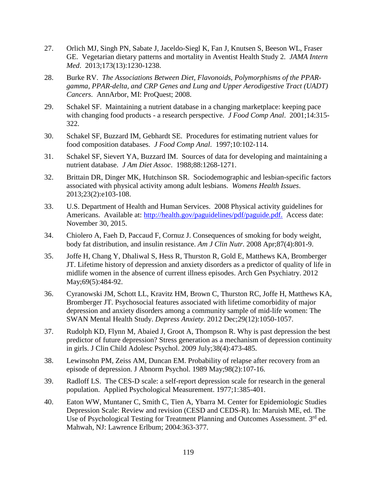- 27. Orlich MJ, Singh PN, Sabate J, Jaceldo-Siegl K, Fan J, Knutsen S, Beeson WL, Fraser GE. Vegetarian dietary patterns and mortality in Aventist Health Study 2. *JAMA Intern Med*. 2013;173(13):1230-1238.
- 28. Burke RV. *The Associations Between Diet, Flavonoids, Polymorphisms of the PPARgamma, PPAR-delta, and CRP Genes and Lung and Upper Aerodigestive Tract (UADT) Cancers*. AnnArbor, MI: ProQuest; 2008.
- 29. Schakel SF. Maintaining a nutrient database in a changing marketplace: keeping pace with changing food products - a research perspective. *J Food Comp Anal*. 2001;14:315- 322.
- 30. Schakel SF, Buzzard IM, Gebhardt SE. Procedures for estimating nutrient values for food composition databases. *J Food Comp Anal*. 1997;10:102-114.
- 31. Schakel SF, Sievert YA, Buzzard IM. Sources of data for developing and maintaining a nutrient database. *J Am Diet Assoc*. 1988;88:1268-1271.
- 32. Brittain DR, Dinger MK, Hutchinson SR. Sociodemographic and lesbian-specific factors associated with physical activity among adult lesbians. *Womens Health Issues*. 2013;23(2):e103-108.
- 33. U.S. Department of Health and Human Services. 2008 Physical activity guidelines for Americans. Available at: [http://health.gov/paguidelines/pdf/paguide.pdf.](http://health.gov/paguidelines/pdf/paguide.pdf) Access date: November 30, 2015.
- 34. Chiolero A, Faeh D, Paccaud F, Cornuz J. Consequences of smoking for body weight, body fat distribution, and insulin resistance. *Am J Clin Nutr.* 2008 Apr;87(4):801-9.
- 35. Joffe H, Chang Y, Dhaliwal S, Hess R, Thurston R, Gold E, Matthews KA, Bromberger JT. Lifetime history of depression and anxiety disorders as a predictor of quality of life in midlife women in the absence of current illness episodes. Arch Gen Psychiatry. 2012 May;69(5):484-92.
- 36. Cyranowski JM, Schott LL, Kravitz HM, Brown C, Thurston RC, Joffe H, Matthews KA, Bromberger JT. Psychosocial features associated with lifetime comorbidity of major depression and anxiety disorders among a community sample of mid-life women: The SWAN Mental Health Study. *Depress Anxiety*. 2012 Dec;29(12):1050-1057.
- 37. Rudolph KD, Flynn M, Abaied J, Groot A, Thompson R. Why is past depression the best predictor of future depression? Stress generation as a mechanism of depression continuity in girls. J Clin Child Adolesc Psychol. 2009 July;38(4):473-485.
- 38. Lewinsohn PM, Zeiss AM, Duncan EM. Probability of relapse after recovery from an episode of depression. J Abnorm Psychol. 1989 May;98(2):107-16.
- 39. Radloff LS. The CES-D scale: a self-report depression scale for research in the general population. Applied Psychological Measurement. 1977;1:385-401.
- 40. Eaton WW, Muntaner C, Smith C, Tien A, Ybarra M. Center for Epidemiologic Studies Depression Scale: Review and revision (CESD and CEDS-R). In: Maruish ME, ed. The Use of Psychological Testing for Treatment Planning and Outcomes Assessment. 3rd ed. Mahwah, NJ: Lawrence Erlbum; 2004:363-377.